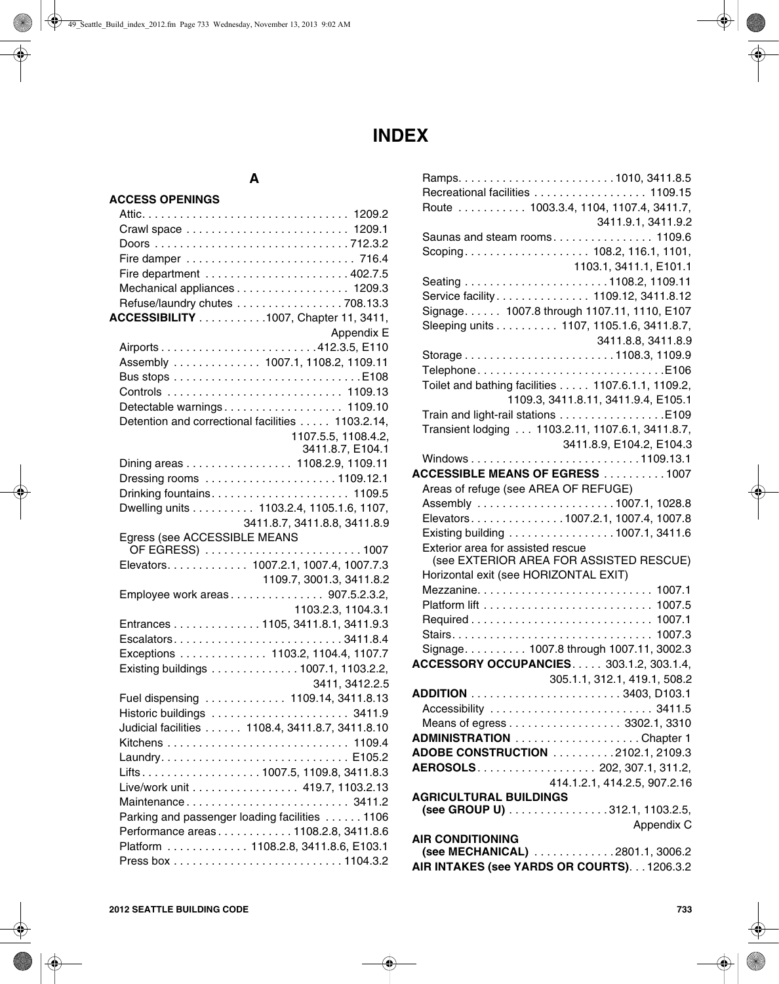# **INDEX**

# **A**

| <b>ACCESS OPENINGS</b>                                                     |
|----------------------------------------------------------------------------|
|                                                                            |
|                                                                            |
|                                                                            |
|                                                                            |
|                                                                            |
| Mechanical appliances 1209.3                                               |
| Refuse/laundry chutes 708.13.3                                             |
| ACCESSIBILITY 1007, Chapter 11, 3411,                                      |
| Appendix E                                                                 |
|                                                                            |
| Assembly 1007.1, 1108.2, 1109.11                                           |
|                                                                            |
|                                                                            |
| Detectable warnings 1109.10                                                |
| Detention and correctional facilities 1103.2.14,                           |
| 1107.5.5, 1108.4.2,                                                        |
| 3411.8.7, E104.1                                                           |
| Dining areas 1108.2.9, 1109.11                                             |
| Dressing rooms 1109.12.1                                                   |
|                                                                            |
| Dwelling units 1103.2.4, 1105.1.6, 1107,                                   |
| 3411.8.7, 3411.8.8, 3411.8.9                                               |
| Egress (see ACCESSIBLE MEANS                                               |
| Elevators. 1007.2.1, 1007.4, 1007.7.3                                      |
|                                                                            |
|                                                                            |
| 1109.7, 3001.3, 3411.8.2                                                   |
| Employee work areas 907.5.2.3.2,                                           |
| 1103.2.3, 1104.3.1                                                         |
| Entrances 1105, 3411.8.1, 3411.9.3                                         |
|                                                                            |
| Exceptions  1103.2, 1104.4, 1107.7<br>Existing buildings 1007.1, 1103.2.2, |
| 3411, 3412.2.5                                                             |
| Fuel dispensing  1109.14, 3411.8.13                                        |
|                                                                            |
| Judicial facilities  1108.4, 3411.8.7, 3411.8.10                           |
|                                                                            |
|                                                                            |
|                                                                            |
| Live/work unit 419.7, 1103.2.13                                            |
| Maintenance 3411.2                                                         |
| Parking and passenger loading facilities 1106                              |
| Performance areas1108.2.8, 3411.8.6                                        |
| Platform  1108.2.8, 3411.8.6, E103.1                                       |

|                                                | Recreational facilities  1109.15                  |
|------------------------------------------------|---------------------------------------------------|
|                                                | Route  1003.3.4, 1104, 1107.4, 3411.7,            |
|                                                | 3411.9.1, 3411.9.2                                |
|                                                | Saunas and steam rooms 1109.6                     |
|                                                | Scoping 108.2, 116.1, 1101,                       |
|                                                | 1103.1, 3411.1, E101.1                            |
|                                                |                                                   |
|                                                | Service facility 1109.12, 3411.8.12               |
|                                                | Signage. 1007.8 through 1107.11, 1110, E107       |
|                                                | Sleeping units 1107, 1105.1.6, 3411.8.7,          |
|                                                | 3411.8.8, 3411.8.9                                |
|                                                |                                                   |
|                                                | TelephoneE106                                     |
|                                                | Toilet and bathing facilities 1107.6.1.1, 1109.2, |
|                                                | 1109.3, 3411.8.11, 3411.9.4, E105.1               |
|                                                | Train and light-rail stations E109                |
|                                                | Transient lodging 1103.2.11, 1107.6.1, 3411.8.7,  |
|                                                | 3411.8.9, E104.2, E104.3                          |
|                                                |                                                   |
| <b>ACCESSIBLE MEANS OF EGRESS</b> 1007         |                                                   |
| Areas of refuge (see AREA OF REFUGE)           |                                                   |
|                                                | Assembly 1007.1, 1028.8                           |
|                                                | Elevators1007.2.1, 1007.4, 1007.8                 |
|                                                | Existing building 1007.1, 3411.6                  |
| Exterior area for assisted rescue              |                                                   |
|                                                | (see EXTERIOR AREA FOR ASSISTED RESCUE)           |
| Horizontal exit (see HORIZONTAL EXIT)          |                                                   |
|                                                |                                                   |
|                                                |                                                   |
|                                                |                                                   |
|                                                |                                                   |
|                                                | Signage. 1007.8 through 1007.11, 3002.3           |
| <b>ACCESSORY OCCUPANCIES 303.1.2, 303.1.4,</b> |                                                   |
|                                                | 305.1.1, 312.1, 419.1, 508.2                      |
|                                                |                                                   |
|                                                | Accessibility  3411.5                             |
| <b>ADMINISTRATION</b> Chapter 1                | Means of egress 3302.1, 3310                      |
| ADOBE CONSTRUCTION 2102.1, 2109.3              |                                                   |
| AEROSOLS. 202, 307.1, 311.2,                   |                                                   |
|                                                | 414.1.2.1, 414.2.5, 907.2.16                      |
| <b>AGRICULTURAL BUILDINGS</b>                  |                                                   |
|                                                | (see GROUP U) 312.1, 1103.2.5,                    |
|                                                | Appendix C                                        |
| <b>AIR CONDITIONING</b>                        |                                                   |
|                                                | (see MECHANICAL) 2801.1, 3006.2                   |
| AIR INTAKES (see YARDS OR COURTS). 1206.3.2    |                                                   |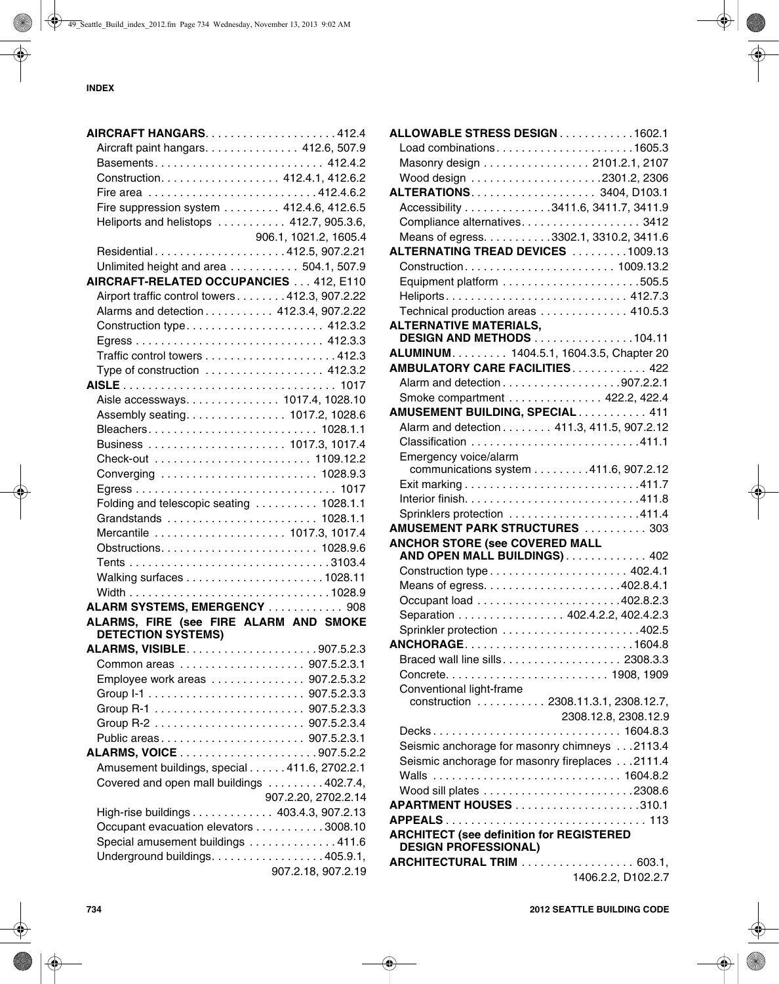| Aircraft paint hangars. 412.6, 507.9                                |                       |
|---------------------------------------------------------------------|-----------------------|
|                                                                     |                       |
| Construction. 412.4.1, 412.6.2                                      |                       |
|                                                                     |                       |
| Fire suppression system 412.4.6, 412.6.5                            |                       |
| Heliports and helistops  412.7, 905.3.6,                            |                       |
|                                                                     | 906.1, 1021.2, 1605.4 |
| Residential412.5, 907.2.21                                          |                       |
| Unlimited height and area 504.1, 507.9                              |                       |
| AIRCRAFT-RELATED OCCUPANCIES 412, E110                              |                       |
| Airport traffic control towers 412.3, 907.2.22                      |                       |
| Alarms and detection 412.3.4, 907.2.22                              |                       |
| Construction type 412.3.2                                           |                       |
|                                                                     |                       |
|                                                                     |                       |
| Type of construction  412.3.2                                       |                       |
|                                                                     |                       |
| Aisle accessways. 1017.4, 1028.10                                   |                       |
| Assembly seating. 1017.2, 1028.6                                    |                       |
|                                                                     |                       |
| Business  1017.3, 1017.4                                            |                       |
|                                                                     |                       |
| Converging  1028.9.3                                                |                       |
|                                                                     |                       |
| Folding and telescopic seating  1028.1.1                            |                       |
|                                                                     |                       |
| Mercantile  1017.3, 1017.4                                          |                       |
|                                                                     |                       |
|                                                                     |                       |
|                                                                     |                       |
|                                                                     |                       |
| ALARM SYSTEMS, EMERGENCY  908                                       |                       |
| ALARMS, FIRE (see FIRE ALARM AND SMOKE<br><b>DETECTION SYSTEMS)</b> |                       |
|                                                                     |                       |
|                                                                     |                       |
| Employee work areas 907.2.5.3.2                                     |                       |
|                                                                     |                       |
|                                                                     |                       |
|                                                                     |                       |
| Public areas 907.5.2.3.1                                            |                       |
|                                                                     |                       |
| Amusement buildings, special 411.6, 2702.2.1                        |                       |
| Covered and open mall buildings 402.7.4,                            |                       |
|                                                                     | 907.2.20, 2702.2.14   |
| High-rise buildings 403.4.3, 907.2.13                               |                       |
| Occupant evacuation elevators 3008.10                               |                       |
| Special amusement buildings 411.6                                   |                       |
| Underground buildings. 405.9.1,                                     |                       |
|                                                                     | 907.2.18, 907.2.19    |

| ALLOWABLE STRESS DESIGN1602.1                                                  |                      |
|--------------------------------------------------------------------------------|----------------------|
| Load combinations1605.3                                                        |                      |
| Masonry design 2101.2.1, 2107                                                  |                      |
|                                                                                |                      |
|                                                                                |                      |
| Accessibility 3411.6, 3411.7, 3411.9                                           |                      |
| Compliance alternatives. 3412                                                  |                      |
| Means of egress. 3302.1, 3310.2, 3411.6                                        |                      |
| ALTERNATING TREAD DEVICES 1009.13                                              |                      |
|                                                                                |                      |
|                                                                                |                      |
|                                                                                |                      |
| Technical production areas 410.5.3                                             |                      |
| <b>ALTERNATIVE MATERIALS,</b>                                                  |                      |
| <b>DESIGN AND METHODS 104.11</b>                                               |                      |
| ALUMINUM. 1404.5.1, 1604.3.5, Chapter 20                                       |                      |
| <b>AMBULATORY CARE FACILITIES 422</b>                                          |                      |
|                                                                                |                      |
| Smoke compartment 422.2, 422.4                                                 |                      |
| AMUSEMENT BUILDING, SPECIAL 411                                                |                      |
| Alarm and detection 411.3, 411.5, 907.2.12                                     |                      |
|                                                                                |                      |
| Emergency voice/alarm                                                          |                      |
| communications system 411.6, 907.2.12                                          |                      |
|                                                                                |                      |
|                                                                                |                      |
|                                                                                |                      |
| <b>AMUSEMENT PARK STRUCTURES</b> 303                                           |                      |
| <b>ANCHOR STORE (see COVERED MALL</b>                                          |                      |
| AND OPEN MALL BUILDINGS) 402                                                   |                      |
|                                                                                |                      |
|                                                                                |                      |
|                                                                                |                      |
| Separation 402.4.2.2, 402.4.2.3                                                |                      |
|                                                                                |                      |
| ANCHORAGE1604.8                                                                |                      |
| Braced wall line sills 2308.3.3                                                |                      |
|                                                                                |                      |
| Conventional light-frame                                                       |                      |
| construction 2308.11.3.1, 2308.12.7,                                           |                      |
|                                                                                | 2308.12.8, 2308.12.9 |
| Decks 1604.8.3                                                                 |                      |
| Seismic anchorage for masonry chimneys 2113.4                                  |                      |
| Seismic anchorage for masonry fireplaces 2111.4                                |                      |
| Walls  1604.8.2                                                                |                      |
|                                                                                |                      |
|                                                                                |                      |
|                                                                                |                      |
| <b>ARCHITECT (see definition for REGISTERED</b><br><b>DESIGN PROFESSIONAL)</b> |                      |
| <b>ARCHITECTURAL TRIM</b> 603.1,                                               |                      |
|                                                                                | 1406.2.2, D102.2.7   |
|                                                                                |                      |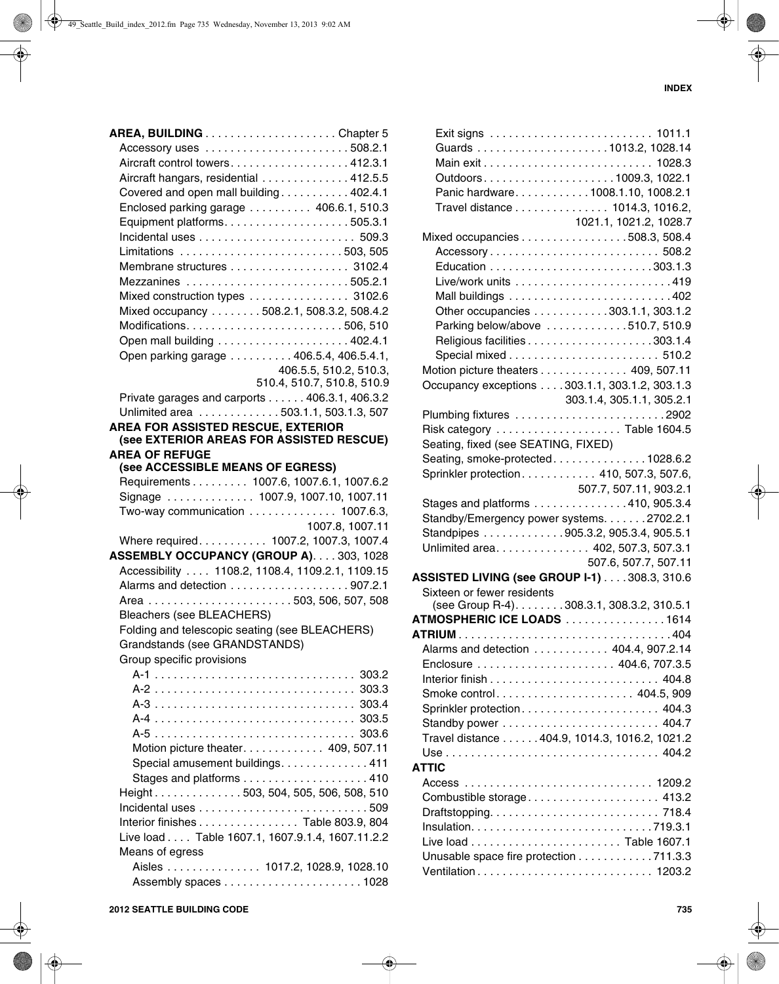| Accessory uses 508.2.1                           |                            |
|--------------------------------------------------|----------------------------|
| Aircraft control towers. 412.3.1                 |                            |
| Aircraft hangars, residential 412.5.5            |                            |
| Covered and open mall building402.4.1            |                            |
| Enclosed parking garage  406.6.1, 510.3          |                            |
|                                                  |                            |
|                                                  |                            |
| Limitations 503,505                              |                            |
| Membrane structures 3102.4                       |                            |
| Mezzanines 505.2.1                               |                            |
| Mixed construction types 3102.6                  |                            |
| Mixed occupancy 508.2.1, 508.3.2, 508.4.2        |                            |
|                                                  |                            |
|                                                  |                            |
| Open parking garage 406.5.4, 406.5.4.1,          |                            |
|                                                  | 406.5.5, 510.2, 510.3,     |
|                                                  | 510.4, 510.7, 510.8, 510.9 |
| Private garages and carports 406.3.1, 406.3.2    |                            |
| Unlimited area 503.1.1, 503.1.3, 507             |                            |
| AREA FOR ASSISTED RESCUE, EXTERIOR               |                            |
| (see EXTERIOR AREAS FOR ASSISTED RESCUE)         |                            |
| <b>AREA OF REFUGE</b>                            |                            |
| (see ACCESSIBLE MEANS OF EGRESS)                 |                            |
| Requirements 1007.6, 1007.6.1, 1007.6.2          |                            |
| Signage  1007.9, 1007.10, 1007.11                |                            |
| Two-way communication 1007.6.3,                  |                            |
|                                                  | 1007.8, 1007.11            |
| Where required. 1007.2, 1007.3, 1007.4           |                            |
| ASSEMBLY OCCUPANCY (GROUP A). 303, 1028          |                            |
| Accessibility  1108.2, 1108.4, 1109.2.1, 1109.15 |                            |
|                                                  |                            |
|                                                  |                            |
| <b>Bleachers (see BLEACHERS)</b>                 |                            |
| Folding and telescopic seating (see BLEACHERS)   |                            |
| Grandstands (see GRANDSTANDS)                    |                            |
| Group specific provisions                        |                            |
|                                                  |                            |
|                                                  |                            |
|                                                  |                            |
|                                                  |                            |
|                                                  |                            |
| Motion picture theater 409, 507.11               |                            |
| Special amusement buildings. 411                 |                            |
|                                                  |                            |
| Height503, 504, 505, 506, 508, 510               |                            |
|                                                  |                            |
| Interior finishes Table 803.9, 804               |                            |
| Live load Table 1607.1, 1607.9.1.4, 1607.11.2.2  |                            |
| Means of egress                                  |                            |
| Aisles 1017.2, 1028.9, 1028.10                   |                            |
|                                                  |                            |

|                                                | Outdoors1009.3, 1022.1             |
|------------------------------------------------|------------------------------------|
|                                                | Panic hardware1008.1.10, 1008.2.1  |
|                                                | Travel distance 1014.3, 1016.2,    |
|                                                | 1021.1, 1021.2, 1028.7             |
| Mixed occupancies 508.3, 508.4                 |                                    |
|                                                |                                    |
|                                                |                                    |
|                                                |                                    |
|                                                |                                    |
|                                                | Other occupancies 303.1.1, 303.1.2 |
|                                                | Parking below/above 510.7, 510.9   |
|                                                |                                    |
|                                                |                                    |
| Motion picture theaters 409, 507.11            |                                    |
|                                                |                                    |
| Occupancy exceptions 303.1.1, 303.1.2, 303.1.3 |                                    |
|                                                | 303.1.4, 305.1.1, 305.2.1          |
| Plumbing fixtures 2902                         |                                    |
|                                                |                                    |
| Seating, fixed (see SEATING, FIXED)            |                                    |
| Seating, smoke-protected1028.6.2               |                                    |
| Sprinkler protection 410, 507.3, 507.6,        |                                    |
|                                                | 507.7, 507.11, 903.2.1             |
| Stages and platforms 410, 905.3.4              |                                    |
| Standby/Emergency power systems. 2702.2.1      |                                    |
| Standpipes 905.3.2, 905.3.4, 905.5.1           |                                    |
| Unlimited area. 402, 507.3, 507.3.1            |                                    |
|                                                | 507.6, 507.7, 507.11               |
| ASSISTED LIVING (see GROUP I-1) 308.3, 310.6   |                                    |
| Sixteen or fewer residents                     |                                    |
| (see Group R-4). 308.3.1, 308.3.2, 310.5.1     |                                    |
| ATMOSPHERIC ICE LOADS 1614                     |                                    |
| ATRIUM .                                       |                                    |
| Alarms and detection 404.4, 907.2.14           |                                    |
|                                                |                                    |
|                                                |                                    |
| Smoke control 404.5, 909                       |                                    |
| Sprinkler protection 404.3                     |                                    |
|                                                |                                    |
| Travel distance 404.9, 1014.3, 1016.2, 1021.2  |                                    |
|                                                |                                    |
| <b>ATTIC</b>                                   |                                    |
|                                                |                                    |
| Combustible storage 413.2                      |                                    |
|                                                |                                    |
|                                                |                                    |
|                                                |                                    |
| Unusable space fire protection 711.3.3         |                                    |
|                                                |                                    |
|                                                |                                    |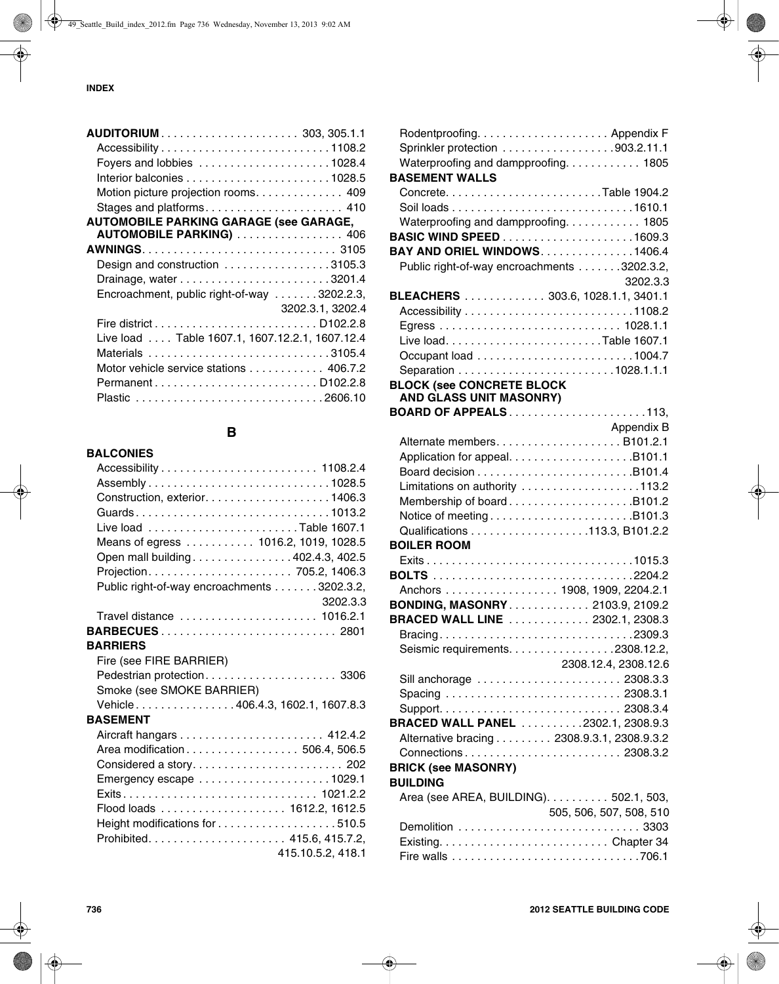| AUDITORIUM 303, 305.1.1                         |                  |
|-------------------------------------------------|------------------|
|                                                 |                  |
|                                                 |                  |
|                                                 |                  |
| Motion picture projection rooms. 409            |                  |
| Stages and platforms 410                        |                  |
| <b>AUTOMOBILE PARKING GARAGE (see GARAGE,</b>   |                  |
| AUTOMOBILE PARKING)  406                        |                  |
|                                                 |                  |
| Design and construction 3105.3                  |                  |
|                                                 |                  |
| Encroachment, public right-of-way 3202.2.3,     |                  |
|                                                 | 3202.3.1, 3202.4 |
|                                                 |                  |
| Live load  Table 1607.1, 1607.12.2.1, 1607.12.4 |                  |
| Materials 3105.4                                |                  |
| Motor vehicle service stations 406.7.2          |                  |
|                                                 |                  |
|                                                 |                  |

# **B**

| <b>BALCONIES</b>                            |
|---------------------------------------------|
|                                             |
|                                             |
|                                             |
| Guards1013.2                                |
| Live load Table 1607.1                      |
| Means of egress 1016.2, 1019, 1028.5        |
| Open mall building 402.4.3, 402.5           |
|                                             |
| Public right-of-way encroachments 3202.3.2, |
| 3202.3.3                                    |
| Travel distance  1016.2.1                   |
|                                             |
| <b>BARRIERS</b>                             |
| Fire (see FIRE BARRIER)                     |
|                                             |
| Smoke (see SMOKE BARRIER)                   |
| Vehicle406.4.3, 1602.1, 1607.8.3            |
| <b>BASEMENT</b>                             |
|                                             |
| Area modification 506.4, 506.5              |
|                                             |
|                                             |
| Exits 1021.2.2                              |
|                                             |
|                                             |
|                                             |
| 415.10.5.2, 418.1                           |

| Waterproofing and dampproofing. 1805<br><b>BASEMENT WALLS</b> |                         |
|---------------------------------------------------------------|-------------------------|
|                                                               |                         |
|                                                               |                         |
| Waterproofing and dampproofing. 1805                          |                         |
|                                                               |                         |
| <b>BAY AND ORIEL WINDOWS1406.4</b>                            |                         |
| Public right-of-way encroachments 3202.3.2,                   |                         |
|                                                               | 3202.3.3                |
| BLEACHERS 303.6, 1028.1.1, 3401.1                             |                         |
|                                                               |                         |
|                                                               |                         |
|                                                               |                         |
|                                                               |                         |
|                                                               |                         |
| <b>BLOCK (see CONCRETE BLOCK</b><br>AND GLASS UNIT MASONRY)   |                         |
| <b>BOARD OF APPEALS113,</b>                                   |                         |
|                                                               | Appendix B              |
|                                                               |                         |
|                                                               |                         |
|                                                               |                         |
| Limitations on authority 113.2                                |                         |
| Membership of boardB101.2                                     |                         |
| Notice of meetingB101.3                                       |                         |
| Qualifications 113.3, B101.2.2                                |                         |
| <b>BOILER ROOM</b>                                            |                         |
|                                                               |                         |
|                                                               |                         |
| Anchors 1908, 1909, 2204.2.1                                  |                         |
| <b>BONDING, MASONRY 2103.9, 2109.2</b>                        |                         |
| BRACED WALL LINE  2302.1, 2308.3                              |                         |
| Bracing2309.3                                                 |                         |
| Seismic requirements. 2308.12.2,                              |                         |
|                                                               | 2308.12.4, 2308.12.6    |
| Sill anchorage  2308.3.3                                      |                         |
|                                                               |                         |
|                                                               |                         |
| BRACED WALL PANEL 2302.1, 2308.9.3                            |                         |
| Alternative bracing 2308.9.3.1, 2308.9.3.2                    |                         |
| Connections 2308.3.2                                          |                         |
| <b>BRICK (see MASONRY)</b><br><b>BUILDING</b>                 |                         |
| Area (see AREA, BUILDING). 502.1, 503,                        |                         |
|                                                               | 505, 506, 507, 508, 510 |
| Demolition  3303                                              |                         |
|                                                               |                         |
|                                                               |                         |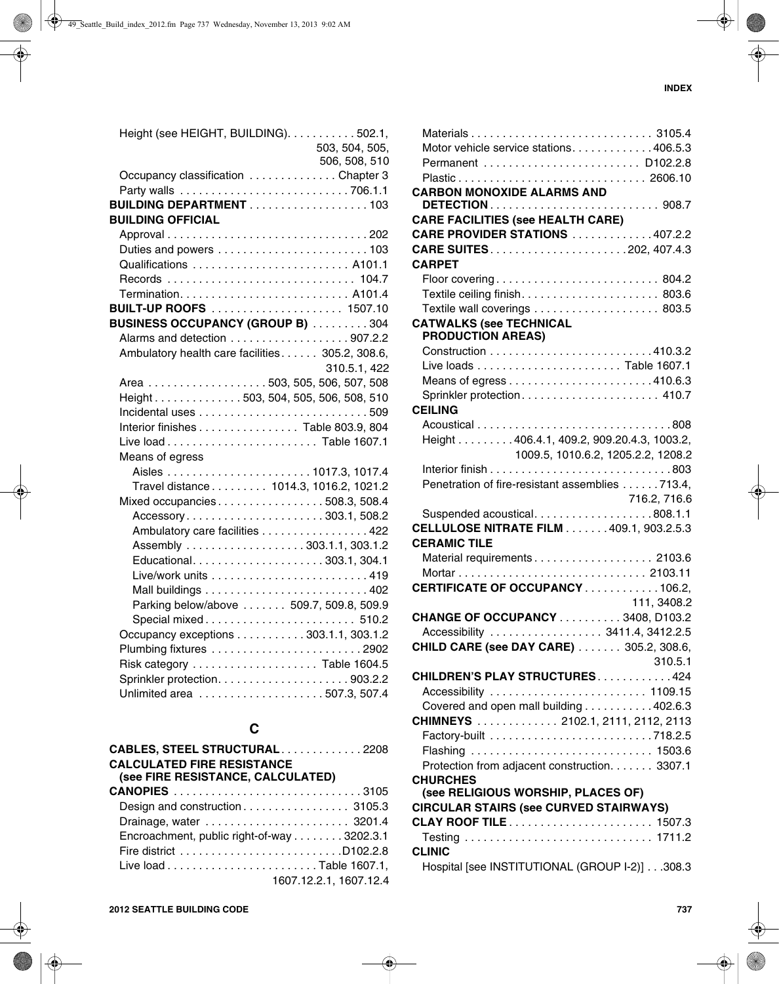| 503, 504, 505,                                  |
|-------------------------------------------------|
| 506, 508, 510                                   |
| Occupancy classification Chapter 3              |
|                                                 |
| <b>BUILDING DEPARTMENT</b> 103                  |
|                                                 |
|                                                 |
| Duties and powers 103                           |
| Qualifications  A101.1                          |
|                                                 |
|                                                 |
| BUILT-UP ROOFS  1507.10                         |
| <b>BUSINESS OCCUPANCY (GROUP B) 304</b>         |
|                                                 |
| Ambulatory health care facilities 305.2, 308.6, |
|                                                 |
| 310.5.1, 422                                    |
| Area 503, 505, 506, 507, 508                    |
| Height503, 504, 505, 506, 508, 510              |
|                                                 |
|                                                 |
| Interior finishes Table 803.9, 804              |
|                                                 |
|                                                 |
|                                                 |
| Travel distance 1014.3, 1016.2, 1021.2          |
| Mixed occupancies508.3, 508.4                   |
|                                                 |
| Accessory303.1,508.2                            |
| Ambulatory care facilities 422                  |
| Assembly 303.1.1, 303.1.2                       |
| Educational303.1, 304.1                         |
|                                                 |
|                                                 |
| Parking below/above  509.7, 509.8, 509.9        |
| Special mixed 510.2                             |
| Occupancy exceptions 303.1.1, 303.1.2           |
|                                                 |
| Risk category  Table 1604.5                     |
|                                                 |
|                                                 |

# **C**

| CABLES, STEEL STRUCTURAL2208               |  |
|--------------------------------------------|--|
| <b>CALCULATED FIRE RESISTANCE</b>          |  |
| (see FIRE RESISTANCE, CALCULATED)          |  |
| <b>CANOPIES</b> 3105                       |  |
|                                            |  |
|                                            |  |
| Encroachment, public right-of-way 3202.3.1 |  |
|                                            |  |
|                                            |  |
| 1607.12.2.1, 1607.12.4                     |  |

| Motor vehicle service stations. 406.5.3                        |              |
|----------------------------------------------------------------|--------------|
| Permanent  D102.2.8                                            |              |
|                                                                |              |
| <b>CARBON MONOXIDE ALARMS AND</b>                              |              |
|                                                                |              |
| <b>CARE FACILITIES (see HEALTH CARE)</b>                       |              |
| <b>CARE PROVIDER STATIONS 407.2.2</b>                          |              |
|                                                                |              |
| <b>CARPET</b>                                                  |              |
| Floor covering 804.2                                           |              |
|                                                                |              |
| Textile wall coverings 803.5                                   |              |
| <b>CATWALKS (see TECHNICAL</b>                                 |              |
| <b>PRODUCTION AREAS)</b>                                       |              |
|                                                                |              |
|                                                                |              |
|                                                                |              |
| Sprinkler protection 410.7                                     |              |
| <b>CEILING</b>                                                 |              |
|                                                                |              |
| Height 406.4.1, 409.2, 909.20.4.3, 1003.2,                     |              |
| 1009.5, 1010.6.2, 1205.2.2, 1208.2                             |              |
|                                                                |              |
| Penetration of fire-resistant assemblies 713.4,                |              |
|                                                                |              |
|                                                                | 716.2, 716.6 |
| Suspended acoustical808.1.1                                    |              |
| <b>CELLULOSE NITRATE FILM 409.1, 903.2.5.3</b>                 |              |
| <b>CERAMIC TILE</b>                                            |              |
| Material requirements 2103.6                                   |              |
|                                                                |              |
| CERTIFICATE OF OCCUPANCY106.2,                                 |              |
|                                                                | 111, 3408.2  |
| <b>CHANGE OF OCCUPANCY 3408, D103.2</b>                        |              |
| Accessibility  3411.4, 3412.2.5                                |              |
| <b>CHILD CARE (see DAY CARE)</b> 305.2, 308.6,                 |              |
|                                                                | 310.5.1      |
| CHILDREN'S PLAY STRUCTURES. 424                                |              |
| Accessibility  1109.15                                         |              |
| Covered and open mall building 402.6.3                         |              |
| CHIMNEYS  2102.1, 2111, 2112, 2113                             |              |
|                                                                |              |
|                                                                |              |
| Protection from adjacent construction. 3307.1                  |              |
| <b>CHURCHES</b>                                                |              |
| (see RELIGIOUS WORSHIP, PLACES OF)                             |              |
| <b>CIRCULAR STAIRS (see CURVED STAIRWAYS)</b>                  |              |
|                                                                |              |
|                                                                |              |
|                                                                |              |
|                                                                |              |
| <b>CLINIC</b><br>Hospital [see INSTITUTIONAL (GROUP I-2)]308.3 |              |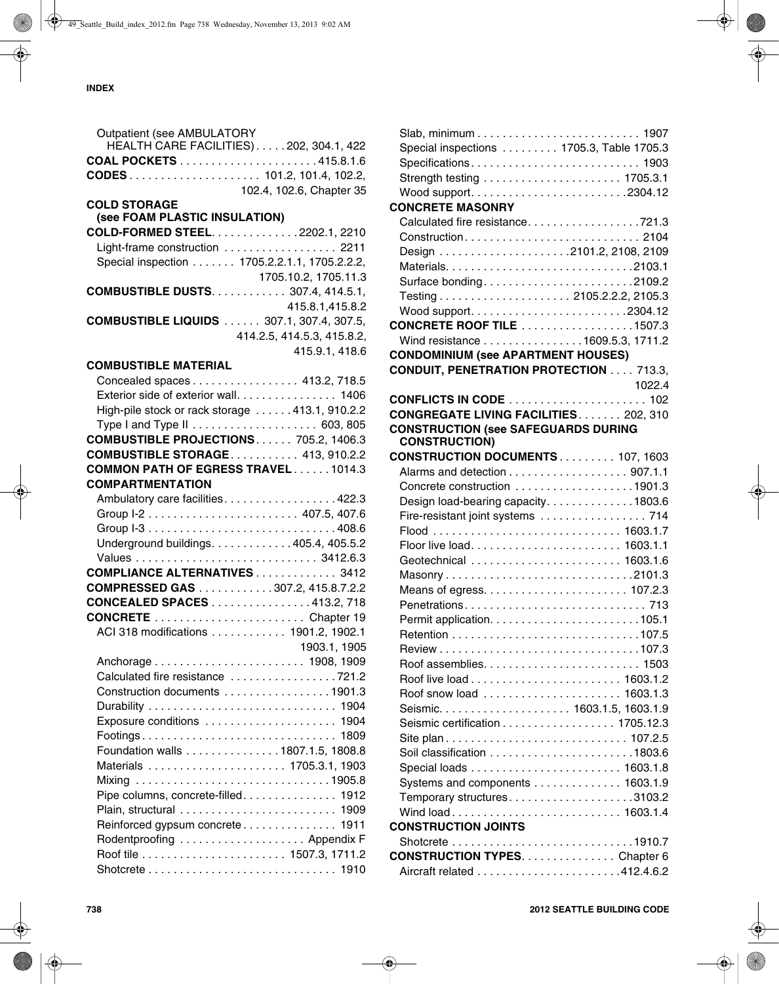| Outpatient (see AMBULATORY                      |                            |
|-------------------------------------------------|----------------------------|
| HEALTH CARE FACILITIES)202, 304.1, 422          |                            |
|                                                 |                            |
|                                                 |                            |
|                                                 | 102.4, 102.6, Chapter 35   |
| <b>COLD STORAGE</b>                             |                            |
| (see FOAM PLASTIC INSULATION)                   |                            |
| <b>COLD-FORMED STEEL2202.1, 2210</b>            |                            |
| Light-frame construction  2211                  |                            |
| Special inspection 1705.2.2.1.1, 1705.2.2.2,    |                            |
|                                                 | 1705.10.2, 1705.11.3       |
| <b>COMBUSTIBLE DUSTS 307.4, 414.5.1,</b>        |                            |
|                                                 | 415.8.1,415.8.2            |
| <b>COMBUSTIBLE LIQUIDS</b> 307.1, 307.4, 307.5, |                            |
|                                                 | 414.2.5, 414.5.3, 415.8.2, |
|                                                 | 415.9.1, 418.6             |
| <b>COMBUSTIBLE MATERIAL</b>                     |                            |
| Concealed spaces 413.2, 718.5                   |                            |
| Exterior side of exterior wall. 1406            |                            |
|                                                 |                            |
| High-pile stock or rack storage 413.1, 910.2.2  |                            |
|                                                 |                            |
| <b>COMBUSTIBLE PROJECTIONS 705.2, 1406.3</b>    |                            |
| <b>COMBUSTIBLE STORAGE 413, 910.2.2</b>         |                            |
| <b>COMMON PATH OF EGRESS TRAVEL1014.3</b>       |                            |
| <b>COMPARTMENTATION</b>                         |                            |
| Ambulatory care facilities422.3                 |                            |
|                                                 |                            |
|                                                 |                            |
| Underground buildings. 405.4, 405.5.2           |                            |
|                                                 |                            |
| <b>COMPLIANCE ALTERNATIVES 3412</b>             |                            |
| COMPRESSED GAS 307.2, 415.8.7.2.2               |                            |
| <b>CONCEALED SPACES</b> 413.2, 718              |                            |
|                                                 |                            |
| ACI 318 modifications 1901.2, 1902.1            |                            |
|                                                 | 1903.1, 1905               |
|                                                 |                            |
| Calculated fire resistance 721.2                |                            |
| Construction documents 1901.3                   |                            |
|                                                 |                            |
| Exposure conditions  1904                       |                            |
|                                                 |                            |
| Foundation walls 1807.1.5, 1808.8               |                            |
| Materials  1705.3.1, 1903                       |                            |
|                                                 |                            |
| Mixing 1905.8                                   |                            |
| Pipe columns, concrete-filled 1912              |                            |
|                                                 |                            |
| Reinforced gypsum concrete 1911                 |                            |
| Rodentproofing  Appendix F                      |                            |
|                                                 |                            |
|                                                 |                            |

| Special inspections  1705.3, Table 1705.3     |        |
|-----------------------------------------------|--------|
|                                               |        |
|                                               |        |
|                                               |        |
| <b>CONCRETE MASONRY</b>                       |        |
| Calculated fire resistance721.3               |        |
|                                               |        |
|                                               |        |
|                                               |        |
|                                               |        |
| Surface bonding2109.2                         |        |
|                                               |        |
|                                               |        |
| <b>CONCRETE ROOF TILE</b> 1507.3              |        |
| Wind resistance 1609.5.3, 1711.2              |        |
| <b>CONDOMINIUM (see APARTMENT HOUSES)</b>     |        |
| <b>CONDUIT, PENETRATION PROTECTION 713.3,</b> |        |
|                                               | 1022.4 |
| <b>CONFLICTS IN CODE</b> 102                  |        |
| <b>CONGREGATE LIVING FACILITIES 202, 310</b>  |        |
| <b>CONSTRUCTION (see SAFEGUARDS DURING</b>    |        |
| <b>CONSTRUCTION)</b>                          |        |
| <b>CONSTRUCTION DOCUMENTS 107, 1603</b>       |        |
| Alarms and detection 907.1.1                  |        |
| Concrete construction 1901.3                  |        |
| Design load-bearing capacity1803.6            |        |
|                                               |        |
|                                               |        |
|                                               |        |
|                                               |        |
|                                               |        |
|                                               |        |
|                                               |        |
|                                               |        |
|                                               |        |
|                                               |        |
|                                               |        |
|                                               |        |
|                                               |        |
| Roof snow load  1603.1.3                      |        |
|                                               |        |
| Seismic certification 1705.12.3               |        |
|                                               |        |
|                                               |        |
|                                               |        |
| Systems and components 1603.1.9               |        |
| Temporary structures3103.2                    |        |
| Wind load 1603.1.4                            |        |
| <b>CONSTRUCTION JOINTS</b>                    |        |
|                                               |        |
| <b>CONSTRUCTION TYPESChapter 6</b>            |        |
|                                               |        |
|                                               |        |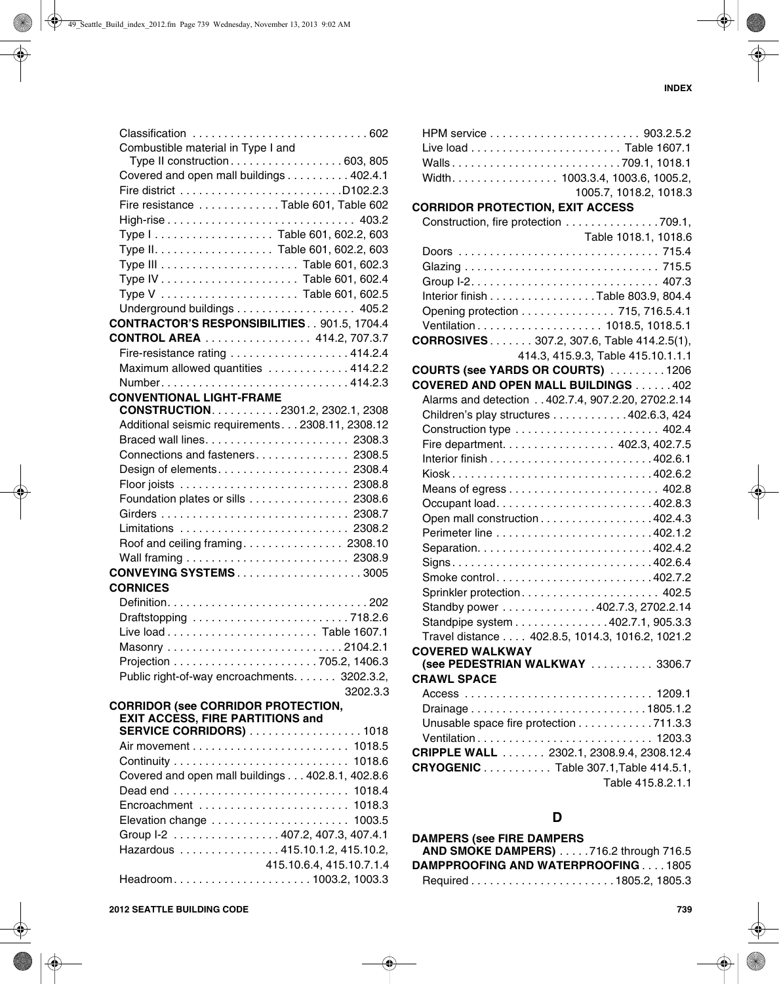1005.7, 1018.2, 1018.3

Table 1018.1, 1018.6

| Classification 602                                 |          |
|----------------------------------------------------|----------|
| Combustible material in Type I and                 |          |
| Type II construction603, 805                       |          |
| Covered and open mall buildings 402.4.1            |          |
|                                                    |          |
| Fire resistance Table 601, Table 602               |          |
|                                                    |          |
|                                                    |          |
|                                                    |          |
|                                                    |          |
|                                                    |          |
|                                                    |          |
| Underground buildings 405.2                        |          |
| <b>CONTRACTOR'S RESPONSIBILITIES 901.5, 1704.4</b> |          |
| <b>CONTROL AREA</b> 414.2, 707.3.7                 |          |
| Fire-resistance rating 414.2.4                     |          |
| Maximum allowed quantities 414.2.2                 |          |
|                                                    |          |
| <b>CONVENTIONAL LIGHT-FRAME</b>                    |          |
| CONSTRUCTION. 2301.2, 2302.1, 2308                 |          |
| Additional seismic requirements 2308.11, 2308.12   |          |
|                                                    |          |
| Connections and fasteners 2308.5                   |          |
| Design of elements 2308.4                          |          |
|                                                    |          |
| Foundation plates or sills 2308.6                  |          |
|                                                    |          |
| Limitations  2308.2                                |          |
| Roof and ceiling framing 2308.10                   |          |
|                                                    |          |
| <b>CONVEYING SYSTEMS3005</b>                       |          |
| <b>CORNICES</b>                                    |          |
|                                                    |          |
| Draftstopping 718.2.6                              |          |
|                                                    |          |
|                                                    |          |
|                                                    |          |
| Public right-of-way encroachments. 3202.3.2,       |          |
|                                                    | 3202.3.3 |
| <b>CORRIDOR (see CORRIDOR PROTECTION,</b>          |          |
| <b>EXIT ACCESS, FIRE PARTITIONS and</b>            |          |
| <b>SERVICE CORRIDORS)</b> 1018                     |          |
|                                                    |          |
|                                                    |          |
| Covered and open mall buildings 402.8.1, 402.8.6   |          |
|                                                    |          |
|                                                    |          |
| Elevation change  1003.5                           |          |

Group I-2 . . . . . . . . . . . . . . . . . 407.2, 407.3, 407.4.1 Hazardous . . . . . . . . . . . . . . . . 415.10.1.2, 415.10.2,

Headroom. . . . . . . . . . . . . . . . . . . . . . 1003.2, 1003.3

415.10.6.4, 415.10.7.1.4

| Interior finish Table 803.9, 804.4                |                                    |
|---------------------------------------------------|------------------------------------|
| Opening protection 715, 716.5.4.1                 |                                    |
|                                                   |                                    |
| <b>CORROSIVES</b> 307.2, 307.6, Table 414.2.5(1), |                                    |
|                                                   | 414.3, 415.9.3, Table 415.10.1.1.1 |
| COURTS (see YARDS OR COURTS) 1206                 |                                    |
| <b>COVERED AND OPEN MALL BUILDINGS  402</b>       |                                    |
| Alarms and detection 402.7.4, 907.2.20, 2702.2.14 |                                    |
| Children's play structures 402.6.3, 424           |                                    |
|                                                   |                                    |
| Fire department. 402.3, 402.7.5                   |                                    |
|                                                   |                                    |
| Kiosk402.6.2                                      |                                    |
|                                                   |                                    |
| Occupant load402.8.3                              |                                    |
| Open mall construction 402.4.3                    |                                    |
|                                                   |                                    |
|                                                   |                                    |
|                                                   |                                    |
| Smoke control402.7.2                              |                                    |
| Sprinkler protection 402.5                        |                                    |
| Standby power 402.7.3, 2702.2.14                  |                                    |
| Standpipe system 402.7.1, 905.3.3                 |                                    |
| Travel distance 402.8.5, 1014.3, 1016.2, 1021.2   |                                    |
| <b>COVERED WALKWAY</b>                            |                                    |
| (see PEDESTRIAN WALKWAY  3306.7                   |                                    |
| <b>CRAWL SPACE</b>                                |                                    |
|                                                   |                                    |
| Drainage1805.1.2                                  |                                    |
| Unusable space fire protection 711.3.3            |                                    |
|                                                   |                                    |
| CRIPPLE WALL 2302.1, 2308.9.4, 2308.12.4          |                                    |
| <b>CRYOGENIC</b> Table 307.1, Table 414.5.1,      |                                    |
|                                                   | Table 415.8.2.1.1                  |
|                                                   |                                    |
| D                                                 |                                    |
|                                                   |                                    |
| <b>DAMPERS (see FIRE DAMPERS</b>                  |                                    |
| AND SMOKE DAMPERS) 716.2 through 716.5            |                                    |
| DAMPPROOFING AND WATERPROOFING1805                |                                    |
|                                                   |                                    |
|                                                   |                                    |
|                                                   | 739                                |
|                                                   |                                    |

HPM service . . . . . . . . . . . . . . . . . . . . . . . . 903.2.5.2 Live load . . . . . . . . . . . . . . . . . . . . . . . . Table 1607.1 Walls . . . . . . . . . . . . . . . . . . . . . . . . . . . 709.1, 1018.1 Width. . . . . . . . . . . . . . . . . 1003.3.4, 1003.6, 1005.2,

Construction, fire protection . . . . . . . . . . . . . . . 709.1,

Doors . . . . . . . . . . . . . . . . . . . . . . . . . . . . . . . . 715.4

**CORRIDOR PROTECTION, EXIT ACCESS**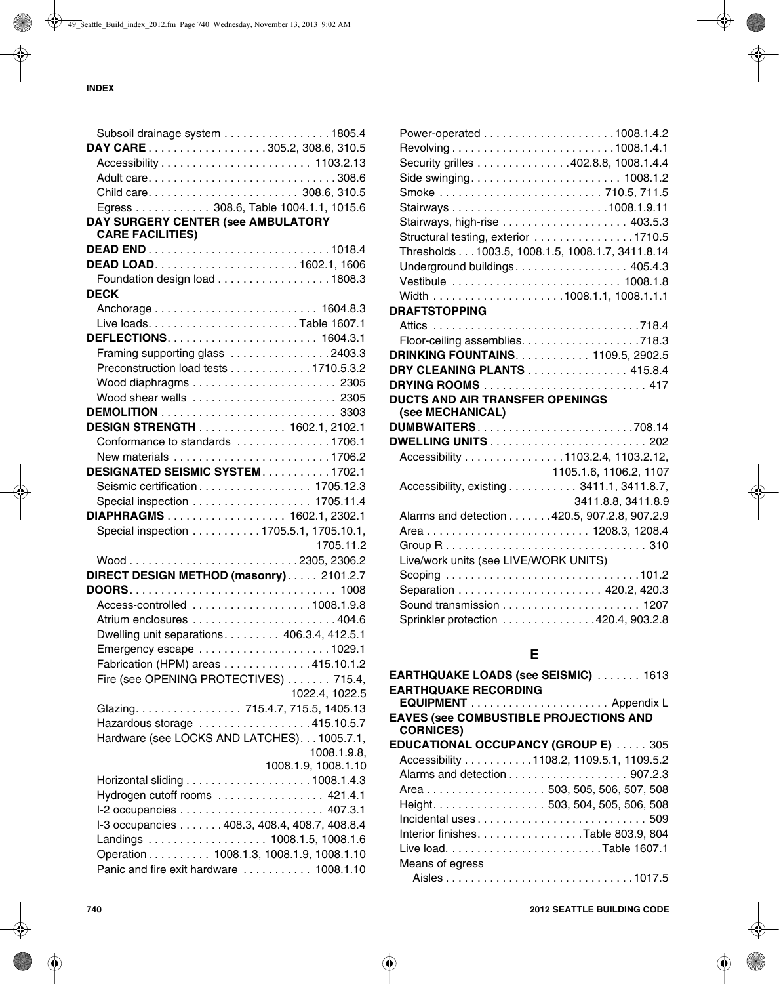|                                                                                    | Subsoil drainage system 1805.4 |
|------------------------------------------------------------------------------------|--------------------------------|
| DAY CARE 305.2, 308.6, 310.5                                                       |                                |
|                                                                                    |                                |
|                                                                                    |                                |
|                                                                                    |                                |
| Egress 308.6, Table 1004.1.1, 1015.6                                               |                                |
| DAY SURGERY CENTER (see AMBULATORY                                                 |                                |
| <b>CARE FACILITIES)</b>                                                            |                                |
|                                                                                    |                                |
|                                                                                    |                                |
| Foundation design load 1808.3                                                      |                                |
| <b>DECK</b>                                                                        |                                |
|                                                                                    |                                |
|                                                                                    |                                |
|                                                                                    |                                |
| Framing supporting glass 2403.3                                                    |                                |
| Preconstruction load tests 1710.5.3.2                                              |                                |
|                                                                                    |                                |
| Wood shear walls  2305                                                             |                                |
|                                                                                    |                                |
| <b>DESIGN STRENGTH</b> 1602.1, 2102.1                                              |                                |
| Conformance to standards 1706.1                                                    |                                |
|                                                                                    |                                |
| DESIGNATED SEISMIC SYSTEM1702.1                                                    |                                |
|                                                                                    |                                |
| Seismic certification 1705.12.3                                                    |                                |
| Special inspection 1705.11.4                                                       |                                |
| DIAPHRAGMS 1602.1, 2302.1                                                          |                                |
| Special inspection 1705.5.1, 1705.10.1,                                            |                                |
|                                                                                    | 1705.11.2                      |
|                                                                                    |                                |
| DIRECT DESIGN METHOD (masonry) 2101.2.7                                            |                                |
|                                                                                    |                                |
|                                                                                    |                                |
| Access-controlled 1008.1.9.8                                                       |                                |
|                                                                                    |                                |
| Dwelling unit separations 406.3.4, 412.5.1                                         |                                |
|                                                                                    |                                |
| Fabrication (HPM) areas 415.10.1.2                                                 |                                |
| Fire (see OPENING PROTECTIVES) 715.4,                                              |                                |
|                                                                                    | 1022.4, 1022.5                 |
| Glazing. 715.4.7, 715.5, 1405.13                                                   |                                |
| Hazardous storage 415.10.5.7                                                       |                                |
| Hardware (see LOCKS AND LATCHES)1005.7.1,                                          |                                |
|                                                                                    | 1008.1.9.8,                    |
|                                                                                    | 1008.1.9, 1008.1.10            |
|                                                                                    |                                |
| Hydrogen cutoff rooms  421.4.1                                                     |                                |
|                                                                                    |                                |
| I-3 occupancies 408.3, 408.4, 408.7, 408.8.4                                       |                                |
| Landings 1008.1.5, 1008.1.6                                                        |                                |
| Operation 1008.1.3, 1008.1.9, 1008.1.10<br>Panic and fire exit hardware  1008.1.10 |                                |

| Security grilles 402.8.8, 1008.1.4.4                                                              |                        |
|---------------------------------------------------------------------------------------------------|------------------------|
| Side swinging 1008.1.2                                                                            |                        |
| Smoke  710.5, 711.5                                                                               |                        |
|                                                                                                   |                        |
|                                                                                                   |                        |
| Structural testing, exterior 1710.5                                                               |                        |
| Thresholds 1003.5, 1008.1.5, 1008.1.7, 3411.8.14                                                  |                        |
| Underground buildings 405.4.3                                                                     |                        |
| Vestibule  1008.1.8                                                                               |                        |
|                                                                                                   |                        |
| <b>DRAFTSTOPPING</b>                                                                              |                        |
|                                                                                                   |                        |
|                                                                                                   |                        |
| <b>DRINKING FOUNTAINS 1109.5, 2902.5</b>                                                          |                        |
| DRY CLEANING PLANTS 415.8.4                                                                       |                        |
|                                                                                                   |                        |
|                                                                                                   |                        |
|                                                                                                   |                        |
| (see MECHANICAL)                                                                                  |                        |
|                                                                                                   |                        |
|                                                                                                   |                        |
| <b>DUCTS AND AIR TRANSFER OPENINGS</b><br>DUMBWAITERS708.14<br>Accessibility 1103.2.4, 1103.2.12, |                        |
|                                                                                                   | 1105.1.6, 1106.2, 1107 |
| Accessibility, existing 3411.1, 3411.8.7,                                                         |                        |
|                                                                                                   | 3411.8.8, 3411.8.9     |
| Alarms and detection 420.5, 907.2.8, 907.2.9                                                      |                        |
| Area 1208.3, 1208.4                                                                               |                        |
|                                                                                                   |                        |
| Live/work units (see LIVE/WORK UNITS)                                                             |                        |
|                                                                                                   |                        |
|                                                                                                   |                        |
|                                                                                                   |                        |
| Sprinkler protection 420.4, 903.2.8                                                               |                        |

| <b>EARTHQUAKE LOADS (see SEISMIC)  1613</b>   |  |
|-----------------------------------------------|--|
| <b>EARTHQUAKE RECORDING</b>                   |  |
|                                               |  |
| <b>EAVES (see COMBUSTIBLE PROJECTIONS AND</b> |  |
| <b>CORNICES)</b>                              |  |
| <b>EDUCATIONAL OCCUPANCY (GROUP E)  305</b>   |  |
| Accessibility 1108.2, 1109.5.1, 1109.5.2      |  |
|                                               |  |
| Area 503, 505, 506, 507, 508                  |  |
| Height. 503, 504, 505, 506, 508               |  |
|                                               |  |
| Interior finishes. Table 803.9, 804           |  |
|                                               |  |
| Means of egress                               |  |
|                                               |  |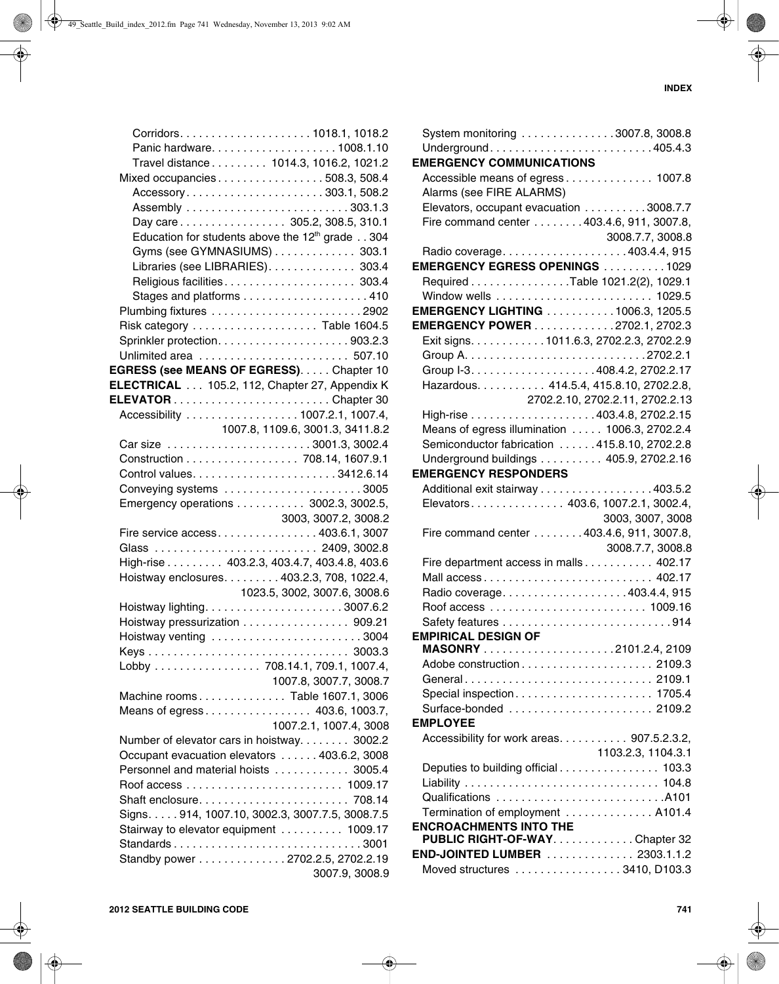|                                               | Travel distance 1014.3, 1016.2, 1021.2                  |
|-----------------------------------------------|---------------------------------------------------------|
|                                               | Mixed occupancies508.3, 508.4                           |
|                                               | Accessory303.1,508.2                                    |
|                                               |                                                         |
|                                               | Day care 305.2, 308.5, 310.1                            |
|                                               | Education for students above the $12th$ grade 304       |
|                                               | Gyms (see GYMNASIUMS) 303.1                             |
|                                               | Libraries (see LIBRARIES). 303.4                        |
|                                               | Religious facilities 303.4                              |
|                                               |                                                         |
|                                               |                                                         |
|                                               |                                                         |
|                                               |                                                         |
|                                               |                                                         |
| EGRESS (see MEANS OF EGRESS). Chapter 10      |                                                         |
| ELECTRICAL 105.2, 112, Chapter 27, Appendix K |                                                         |
|                                               |                                                         |
|                                               | Accessibility  1007.2.1, 1007.4,                        |
|                                               | 1007.8, 1109.6, 3001.3, 3411.8.2                        |
|                                               |                                                         |
|                                               | Construction 708.14, 1607.9.1                           |
|                                               |                                                         |
|                                               |                                                         |
|                                               | Emergency operations 3002.3, 3002.5,                    |
|                                               | 3003, 3007.2, 3008.2                                    |
|                                               | Fire service access 403.6.1, 3007                       |
|                                               | Glass  2409, 3002.8                                     |
|                                               | High-rise 403.2.3, 403.4.7, 403.4.8, 403.6              |
|                                               | Hoistway enclosures. 403.2.3, 708, 1022.4,              |
|                                               | 1023.5, 3002, 3007.6, 3008.6                            |
|                                               |                                                         |
|                                               | Hoistway pressurization 909.21                          |
|                                               | Hoistway venting 3004                                   |
|                                               |                                                         |
|                                               | Lobby 708.14.1, 709.1, 1007.4,                          |
|                                               | 1007.8, 3007.7, 3008.7                                  |
|                                               | Machine rooms Table 1607.1, 3006                        |
|                                               | Means of egress 403.6, 1003.7,                          |
|                                               | 1007.2.1, 1007.4, 3008                                  |
|                                               | Number of elevator cars in hoistway. 3002.2             |
|                                               | Occupant evacuation elevators  403.6.2, 3008            |
|                                               | Personnel and material hoists  3005.4                   |
|                                               |                                                         |
|                                               |                                                         |
|                                               | Signs. 914, 1007.10, 3002.3, 3007.7.5, 3008.7.5         |
|                                               |                                                         |
|                                               | Stairway to elevator equipment 1009.17<br>Standards3001 |
|                                               | Standby power 2702.2.5, 2702.2.19                       |
|                                               |                                                         |
|                                               | 3007.9, 3008.9                                          |

| System monitoring 3007.8, 3008.8               |
|------------------------------------------------|
| Underground405.4.3                             |
| <b>EMERGENCY COMMUNICATIONS</b>                |
| Accessible means of egress 1007.8              |
| Alarms (see FIRE ALARMS)                       |
| Elevators, occupant evacuation 3008.7.7        |
| Fire command center 403.4.6, 911, 3007.8,      |
| 3008.7.7, 3008.8                               |
| Radio coverage403.4.4, 915                     |
| EMERGENCY EGRESS OPENINGS 1029                 |
| Required Table 1021.2(2), 1029.1               |
|                                                |
| <b>EMERGENCY LIGHTING 1006.3, 1205.5</b>       |
| <b>EMERGENCY POWER</b> 2702.1, 2702.3          |
| Exit signs. 1011.6.3, 2702.2.3, 2702.2.9       |
|                                                |
|                                                |
| Hazardous. 414.5.4, 415.8.10, 2702.2.8,        |
| 2702.2.10, 2702.2.11, 2702.2.13                |
|                                                |
| Means of egress illumination  1006.3, 2702.2.4 |
| Semiconductor fabrication  415.8.10, 2702.2.8  |
| Underground buildings 405.9, 2702.2.16         |
| <b>EMERGENCY RESPONDERS</b>                    |
| Additional exit stairway 403.5.2               |
| Elevators 403.6, 1007.2.1, 3002.4,             |
| 3003, 3007, 3008                               |
| Fire command center 403.4.6, 911, 3007.8,      |
| 3008.7.7, 3008.8                               |
| Fire department access in malls 402.17         |
|                                                |
| Radio coverage403.4.4, 915                     |
|                                                |
|                                                |
| <b>EMPIRICAL DESIGN OF</b>                     |
|                                                |
|                                                |
| General 2109.1                                 |
|                                                |
| Surface-bonded  2109.2                         |
| <b>EMPLOYEE</b>                                |
| Accessibility for work areas 907.5.2.3.2,      |
| 1103.2.3, 1104.3.1                             |
| Deputies to building official 103.3            |
|                                                |
|                                                |
| Termination of employment  A101.4              |
| <b>ENCROACHMENTS INTO THE</b>                  |
| PUBLIC RIGHT-OF-WAY. Chapter 32                |
| END-JOINTED LUMBER  2303.1.1.2                 |
| Moved structures 3410, D103.3                  |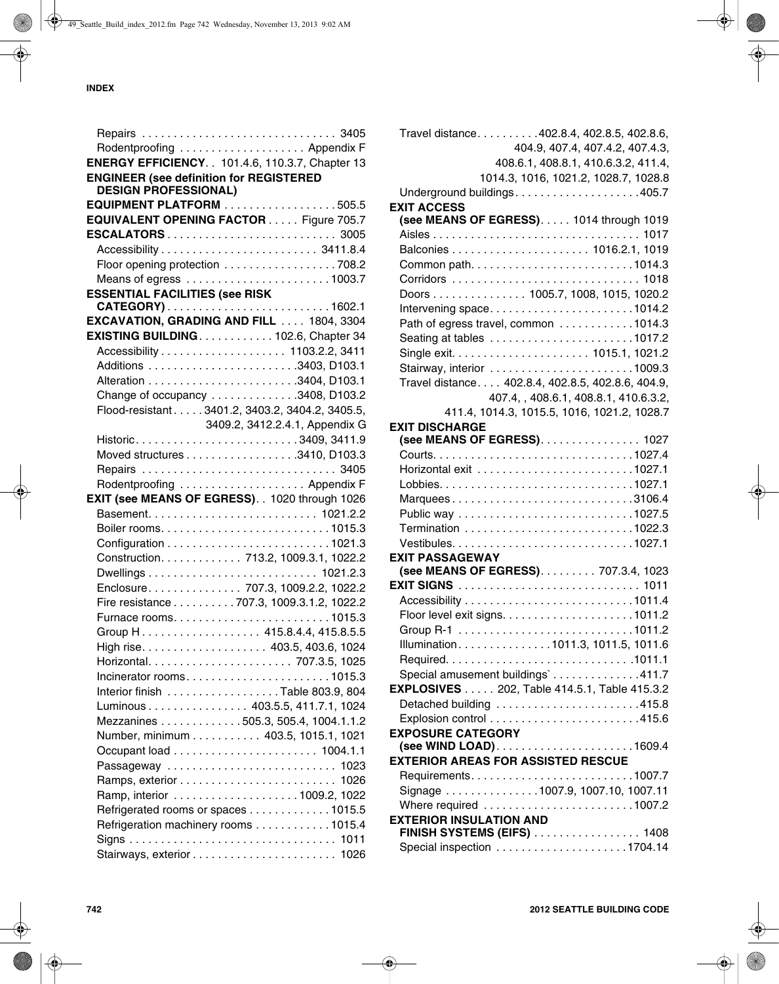| Rodentproofing  Appendix F                            |                                |
|-------------------------------------------------------|--------------------------------|
| <b>ENERGY EFFICIENCY</b> 101.4.6, 110.3.7, Chapter 13 |                                |
| <b>ENGINEER (see definition for REGISTERED</b>        |                                |
| <b>DESIGN PROFESSIONAL)</b>                           |                                |
| EQUIPMENT PLATFORM 505.5                              |                                |
| EQUIVALENT OPENING FACTOR Figure 705.7                |                                |
|                                                       |                                |
|                                                       |                                |
| Floor opening protection 708.2                        |                                |
|                                                       |                                |
| <b>ESSENTIAL FACILITIES (see RISK</b>                 |                                |
|                                                       |                                |
| EXCAVATION, GRADING AND FILL  1804, 3304              |                                |
| EXISTING BUILDING. 102.6, Chapter 34                  |                                |
|                                                       |                                |
|                                                       |                                |
|                                                       |                                |
| Change of occupancy 3408, D103.2                      |                                |
| Flood-resistant3401.2, 3403.2, 3404.2, 3405.5,        |                                |
|                                                       | 3409.2, 3412.2.4.1, Appendix G |
|                                                       |                                |
| Moved structures 3410, D103.3                         |                                |
|                                                       |                                |
| Rodentproofing  Appendix F                            |                                |
| EXIT (see MEANS OF EGRESS). . 1020 through 1026       |                                |
|                                                       |                                |
|                                                       |                                |
|                                                       |                                |
| Construction. 713.2, 1009.3.1, 1022.2                 |                                |
|                                                       |                                |
| Enclosure 707.3, 1009.2.2, 1022.2                     |                                |
| Fire resistance 707.3, 1009.3.1.2, 1022.2             |                                |
|                                                       |                                |
|                                                       |                                |
|                                                       |                                |
|                                                       |                                |
|                                                       |                                |
|                                                       |                                |
| Interior finish Table 803.9, 804                      |                                |
| Luminous 403.5.5, 411.7.1, 1024                       |                                |
| Mezzanines 505.3, 505.4, 1004.1.1.2                   |                                |
| Number, minimum 403.5, 1015.1, 1021                   |                                |
|                                                       |                                |
| Passageway  1023                                      |                                |
|                                                       |                                |
|                                                       |                                |
| Refrigerated rooms or spaces 1015.5                   |                                |
| Refrigeration machinery rooms 1015.4                  |                                |
|                                                       |                                |
|                                                       |                                |

|                                                     | Travel distance. 402.8.4, 402.8.5, 402.8.6,<br>404.9, 407.4, 407.4.2, 407.4.3, |
|-----------------------------------------------------|--------------------------------------------------------------------------------|
|                                                     | 408.6.1, 408.8.1, 410.6.3.2, 411.4,                                            |
|                                                     | 1014.3, 1016, 1021.2, 1028.7, 1028.8<br>Underground buildings405.7             |
| <b>EXIT ACCESS</b>                                  |                                                                                |
|                                                     | (see MEANS OF EGRESS). 1014 through 1019                                       |
|                                                     |                                                                                |
|                                                     |                                                                                |
|                                                     |                                                                                |
|                                                     |                                                                                |
|                                                     | Doors 1005.7, 1008, 1015, 1020.2                                               |
|                                                     | Intervening space1014.2                                                        |
|                                                     | Path of egress travel, common 1014.3                                           |
|                                                     |                                                                                |
|                                                     |                                                                                |
|                                                     | Stairway, interior 1009.3                                                      |
|                                                     | Travel distance. 402.8.4, 402.8.5, 402.8.6, 404.9,                             |
|                                                     | 407.4, , 408.6.1, 408.8.1, 410.6.3.2,                                          |
|                                                     | 411.4, 1014.3, 1015.5, 1016, 1021.2, 1028.7                                    |
| <b>EXIT DISCHARGE</b>                               |                                                                                |
|                                                     | (see MEANS OF EGRESS) 1027                                                     |
|                                                     |                                                                                |
|                                                     |                                                                                |
|                                                     |                                                                                |
|                                                     | Marquees3106.4                                                                 |
| Public way 1027.5                                   |                                                                                |
|                                                     |                                                                                |
| <b>EXIT PASSAGEWAY</b>                              |                                                                                |
|                                                     | (see MEANS OF EGRESS). 707.3.4, 1023                                           |
|                                                     |                                                                                |
|                                                     |                                                                                |
|                                                     |                                                                                |
|                                                     |                                                                                |
|                                                     | Illumination1011.3, 1011.5, 1011.6                                             |
|                                                     |                                                                                |
|                                                     | Special amusement buildings`411.7                                              |
| <b>EXPLOSIVES</b> 202, Table 414.5.1, Table 415.3.2 |                                                                                |
|                                                     | Detached building 415.8                                                        |
|                                                     |                                                                                |
| <b>EXPOSURE CATEGORY</b>                            |                                                                                |
|                                                     |                                                                                |
| <b>EXTERIOR AREAS FOR ASSISTED RESCUE</b>           |                                                                                |
|                                                     |                                                                                |
|                                                     | Signage 1007.9, 1007.10, 1007.11                                               |
|                                                     | Where required 1007.2                                                          |
| <b>EXTERIOR INSULATION AND</b>                      |                                                                                |
|                                                     | <b>FINISH SYSTEMS (EIFS)</b> 1408                                              |
|                                                     |                                                                                |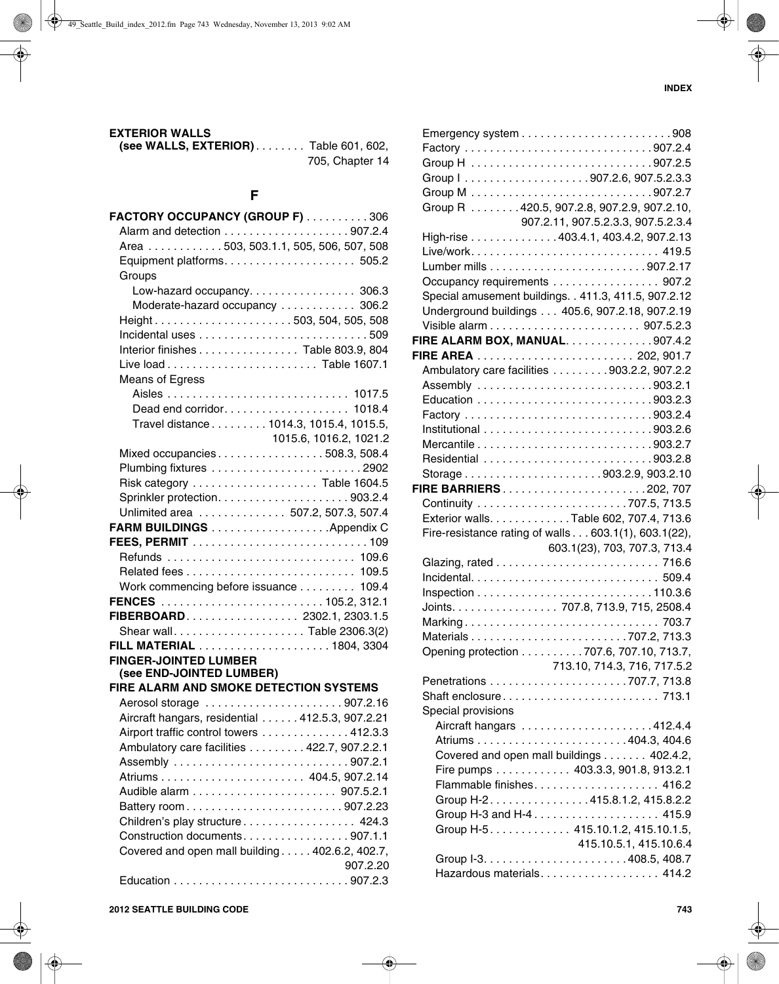#### **EXTERIOR WALLS**

**(see WALLS, EXTERIOR)** . . . . . . . . Table 601, 602, 705, Chapter 14

## **F**

| FACTORY OCCUPANCY (GROUP F) 306                 |                        |
|-------------------------------------------------|------------------------|
|                                                 |                        |
| Area 503, 503.1.1, 505, 506, 507, 508           |                        |
|                                                 |                        |
| Groups                                          |                        |
| Low-hazard occupancy. 306.3                     |                        |
| Moderate-hazard occupancy  306.2                |                        |
| Height503, 504, 505, 508                        |                        |
|                                                 |                        |
| Interior finishes Table 803.9, 804              |                        |
|                                                 |                        |
| Means of Egress                                 |                        |
|                                                 |                        |
|                                                 |                        |
| Travel distance 1014.3, 1015.4, 1015.5,         |                        |
|                                                 | 1015.6, 1016.2, 1021.2 |
| Mixed occupancies508.3, 508.4                   |                        |
|                                                 |                        |
|                                                 |                        |
|                                                 |                        |
|                                                 |                        |
| Unlimited area  507.2, 507.3, 507.4             |                        |
| FARM BUILDINGS Appendix C                       |                        |
|                                                 |                        |
|                                                 |                        |
| Related fees 109.5                              |                        |
| Work commencing before issuance 109.4           |                        |
|                                                 |                        |
| FIBERBOARD 2302.1, 2303.1.5                     |                        |
| Shear wallTable 2306.3(2)                       |                        |
|                                                 |                        |
| <b>FINGER-JOINTED LUMBER</b>                    |                        |
| (see END-JOINTED LUMBER)                        |                        |
| FIRE ALARM AND SMOKE DETECTION SYSTEMS          |                        |
| Aerosol storage 907.2.16                        |                        |
| Aircraft hangars, residential 412.5.3, 907.2.21 |                        |
| Airport traffic control towers 412.3.3          |                        |
| Ambulatory care facilities 422.7, 907.2.2.1     |                        |
|                                                 |                        |
|                                                 |                        |
|                                                 |                        |
| Battery room907.2.23                            |                        |
| Children's play structure 424.3                 |                        |
| Construction documents907.1.1                   |                        |
| Covered and open mall building 402.6.2, 402.7,  |                        |
|                                                 | 907.2.20               |
|                                                 |                        |

|                    | Group R 420.5, 907.2.8, 907.2.9, 907.2.10,            |
|--------------------|-------------------------------------------------------|
|                    | 907.2.11, 907.5.2.3.3, 907.5.2.3.4                    |
|                    | High-rise 403.4.1, 403.4.2, 907.2.13                  |
|                    | Live/work 419.5                                       |
|                    |                                                       |
|                    | Occupancy requirements 907.2                          |
|                    | Special amusement buildings. . 411.3, 411.5, 907.2.12 |
|                    | Underground buildings 405.6, 907.2.18, 907.2.19       |
|                    |                                                       |
|                    | FIRE ALARM BOX, MANUAL. 907.4.2                       |
|                    |                                                       |
|                    | Ambulatory care facilities 903.2.2, 907.2.2           |
|                    |                                                       |
|                    |                                                       |
|                    |                                                       |
|                    |                                                       |
|                    |                                                       |
|                    |                                                       |
|                    |                                                       |
|                    | FIRE BARRIERS202, 707                                 |
|                    |                                                       |
|                    | Exterior walls. Table 602, 707.4, 713.6               |
|                    | Fire-resistance rating of walls 603.1(1), 603.1(22),  |
|                    | 603.1(23), 703, 707.3, 713.4                          |
|                    |                                                       |
|                    |                                                       |
|                    |                                                       |
|                    | Joints. 707.8, 713.9, 715, 2508.4                     |
|                    |                                                       |
|                    |                                                       |
|                    | Opening protection 707.6, 707.10, 713.7,              |
|                    | 713.10, 714.3, 716, 717.5.2                           |
|                    |                                                       |
|                    |                                                       |
| Special provisions |                                                       |
|                    | Aircraft hangars 412.4.4                              |
|                    |                                                       |
|                    | Covered and open mall buildings 402.4.2,              |
|                    | Fire pumps 403.3.3, 901.8, 913.2.1                    |
|                    |                                                       |
|                    | Group H-2. 415.8.1.2, 415.8.2.2                       |
|                    |                                                       |
|                    | Group H-5. 415.10.1.2, 415.10.1.5,                    |
|                    | 415.10.5.1, 415.10.6.4                                |
|                    |                                                       |
|                    | Hazardous materials. 414.2                            |
|                    |                                                       |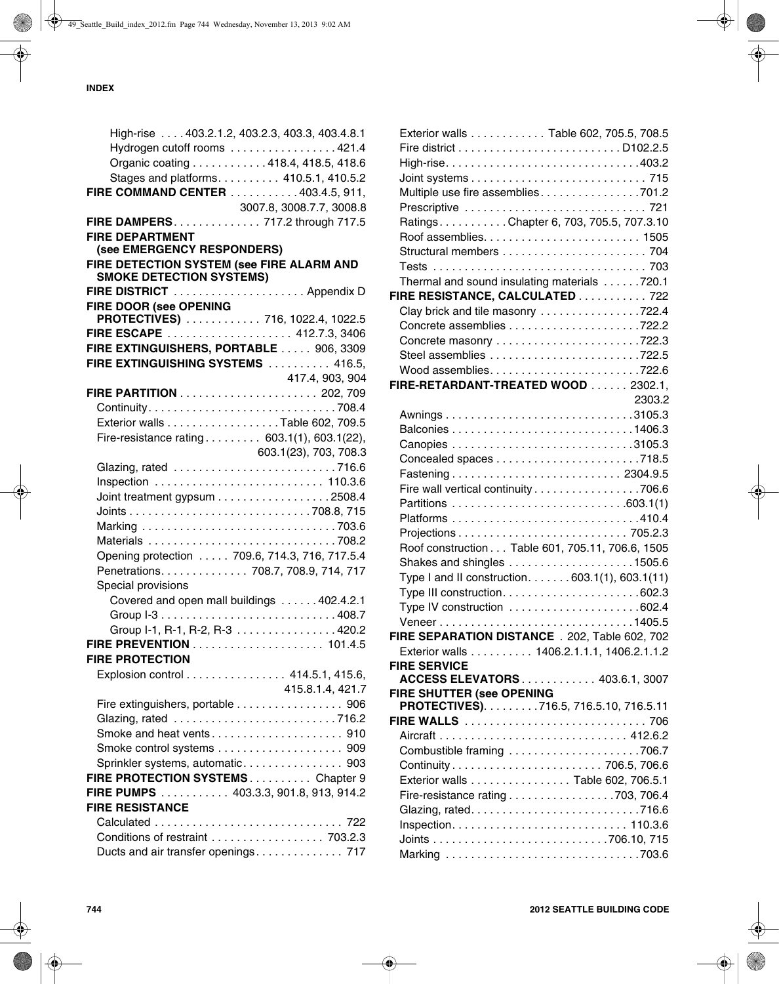|                                                      | High-rise  403.2.1.2, 403.2.3, 403.3, 403.4.8.1 |
|------------------------------------------------------|-------------------------------------------------|
|                                                      | Hydrogen cutoff rooms 421.4                     |
|                                                      | Organic coating 418.4, 418.5, 418.6             |
|                                                      | Stages and platforms. 410.5.1, 410.5.2          |
| FIRE COMMAND CENTER 403.4.5, 911,                    |                                                 |
|                                                      | 3007.8, 3008.7.7, 3008.8                        |
| FIRE DAMPERS 717.2 through 717.5                     |                                                 |
| <b>FIRE DEPARTMENT</b>                               |                                                 |
| (see EMERGENCY RESPONDERS)                           |                                                 |
| FIRE DETECTION SYSTEM (see FIRE ALARM AND            |                                                 |
| SMOKE DETECTION SYSTEMS)<br>FIRE DISTRICT Appendix D |                                                 |
| FIRE DOOR (see OPENING                               |                                                 |
| PROTECTIVES) 716, 1022.4, 1022.5                     |                                                 |
| FIRE ESCAPE 412.7.3, 3406                            |                                                 |
| FIRE EXTINGUISHERS, PORTABLE 906, 3309               |                                                 |
| FIRE EXTINGUISHING SYSTEMS  416.5,                   |                                                 |
|                                                      | 417.4, 903, 904                                 |
|                                                      |                                                 |
|                                                      |                                                 |
| Exterior walls Table 602, 709.5                      |                                                 |
| Fire-resistance rating 603.1(1), 603.1(22),          |                                                 |
|                                                      | 603.1(23), 703, 708.3                           |
|                                                      |                                                 |
|                                                      |                                                 |
| Joint treatment gypsum 2508.4                        |                                                 |
|                                                      |                                                 |
|                                                      |                                                 |
|                                                      |                                                 |
| Opening protection  709.6, 714.3, 716, 717.5.4       |                                                 |
| Penetrations. 708.7, 708.9, 714, 717                 |                                                 |
| Special provisions                                   |                                                 |
|                                                      | Covered and open mall buildings 402.4.2.1       |
|                                                      |                                                 |
|                                                      | Group I-1, R-1, R-2, R-3 420.2                  |
|                                                      |                                                 |
| <b>FIRE PROTECTION</b>                               |                                                 |
| Explosion control 414.5.1, 415.6,                    |                                                 |
|                                                      | 415.8.1.4, 421.7                                |
| Fire extinguishers, portable 906                     |                                                 |
|                                                      |                                                 |
| Smoke and heat vents910                              |                                                 |
| Smoke control systems  909                           |                                                 |
| Sprinkler systems, automatic 903                     |                                                 |
| FIRE PROTECTION SYSTEMSChapter 9                     |                                                 |
| FIRE PUMPS 403.3.3, 901.8, 913, 914.2                |                                                 |
| <b>FIRE RESISTANCE</b>                               |                                                 |
|                                                      |                                                 |
| Conditions of restraint 703.2.3                      |                                                 |
| Ducts and air transfer openings 717                  |                                                 |
|                                                      |                                                 |

| Exterior walls Table 602, 705.5, 708.5           |        |
|--------------------------------------------------|--------|
|                                                  |        |
| High-rise403.2                                   |        |
|                                                  |        |
| Multiple use fire assemblies701.2                |        |
| Prescriptive  721                                |        |
| RatingsChapter 6, 703, 705.5, 707.3.10           |        |
|                                                  |        |
|                                                  |        |
|                                                  |        |
| Thermal and sound insulating materials 720.1     |        |
| FIRE RESISTANCE, CALCULATED 722                  |        |
| Clay brick and tile masonry 722.4                |        |
|                                                  |        |
| Concrete masonry 722.3                           |        |
| Steel assemblies 722.5                           |        |
| Wood assemblies722.6                             |        |
| FIRE-RETARDANT-TREATED WOOD 2302.1,              |        |
|                                                  | 2303.2 |
|                                                  |        |
|                                                  |        |
|                                                  |        |
|                                                  |        |
|                                                  |        |
| Fire wall vertical continuity 706.6              |        |
|                                                  |        |
|                                                  |        |
|                                                  |        |
| Roof construction Table 601, 705.11, 706.6, 1505 |        |
| Shakes and shingles 1505.6                       |        |
| Type I and II construction. 603.1(1), 603.1(11)  |        |
|                                                  |        |
|                                                  |        |
| Veneer1405.5                                     |        |
| FIRE SEPARATION DISTANCE . 202, Table 602, 702   |        |
| Exterior walls 1406.2.1.1.1, 1406.2.1.1.2        |        |
| <b>FIRE SERVICE</b>                              |        |
| <b>ACCESS ELEVATORS 403.6.1, 3007</b>            |        |
| FIRE SHUTTER (see OPENING                        |        |
| PROTECTIVES). 716.5, 716.5.10, 716.5.11          |        |
|                                                  |        |
|                                                  |        |
| Combustible framing 706.7                        |        |
| Continuity 706.5, 706.6                          |        |
| Exterior walls Table 602, 706.5.1                |        |
| Fire-resistance rating 703, 706.4                |        |
|                                                  |        |
|                                                  |        |
|                                                  |        |
|                                                  |        |
|                                                  |        |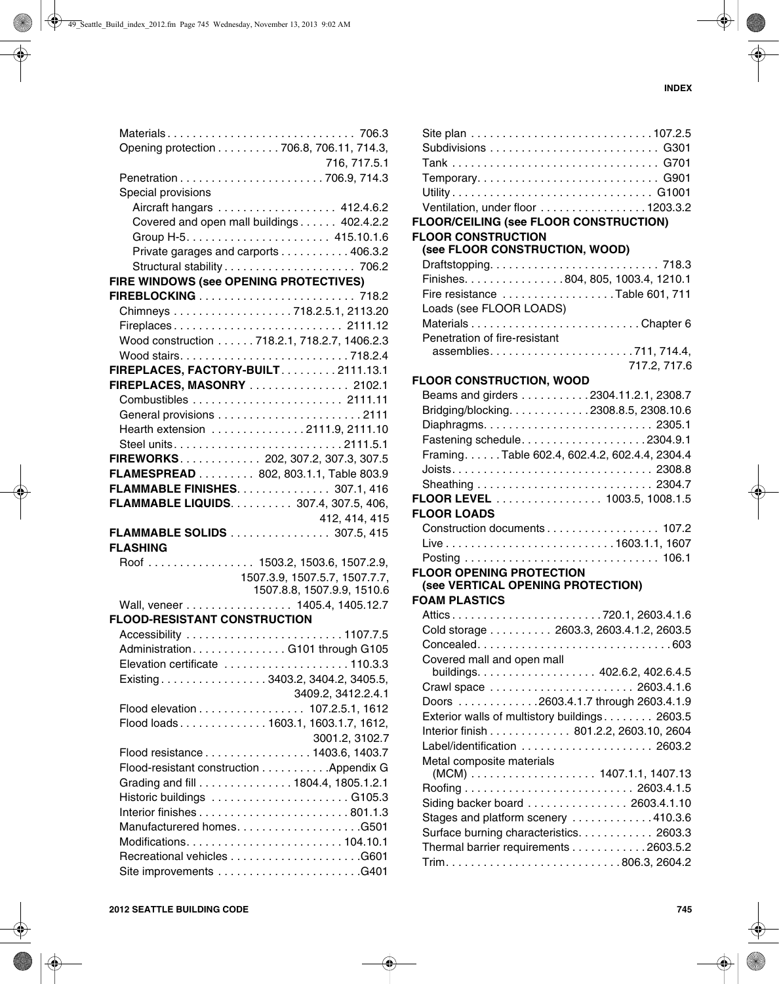|                                        | Opening protection 706.8, 706.11, 714.3,     |
|----------------------------------------|----------------------------------------------|
|                                        | 716, 717.5.1                                 |
|                                        |                                              |
| Special provisions                     |                                              |
|                                        | Aircraft hangars  412.4.6.2                  |
|                                        | Covered and open mall buildings 402.4.2.2    |
|                                        |                                              |
|                                        | Private garages and carports 406.3.2         |
|                                        | Structural stability 706.2                   |
| FIRE WINDOWS (see OPENING PROTECTIVES) |                                              |
|                                        |                                              |
|                                        | Chimneys 718.2.5.1, 2113.20                  |
|                                        | Fireplaces 2111.12                           |
|                                        | Wood construction 718.2.1, 718.2.7, 1406.2.3 |
|                                        |                                              |
|                                        | FIREPLACES, FACTORY-BUILT. 2111.13.1         |
|                                        | FIREPLACES, MASONRY  2102.1                  |
|                                        |                                              |
|                                        |                                              |
|                                        | Hearth extension 2111.9, 2111.10             |
|                                        | Steel units2111.5.1                          |
|                                        | FIREWORKS 202, 307.2, 307.3, 307.5           |
|                                        |                                              |
|                                        | FLAMESPREAD 802, 803.1.1, Table 803.9        |
|                                        | <b>FLAMMABLE FINISHES 307.1, 416</b>         |
|                                        |                                              |
|                                        | FLAMMABLE LIQUIDS. 307.4, 307.5, 406,        |
|                                        | 412, 414, 415                                |
|                                        | FLAMMABLE SOLIDS 307.5, 415                  |
| <b>FLASHING</b>                        |                                              |
|                                        | Roof  1503.2, 1503.6, 1507.2.9,              |
|                                        | 1507.3.9, 1507.5.7, 1507.7.7,                |
|                                        | 1507.8.8, 1507.9.9, 1510.6                   |
|                                        | Wall, veneer 1405.4, 1405.12.7               |
| <b>FLOOD-RESISTANT CONSTRUCTION</b>    |                                              |
|                                        | Accessibility 1107.7.5                       |
|                                        | Administration. G101 through G105            |
|                                        | Elevation certificate 110.3.3                |
|                                        | Existing3403.2, 3404.2, 3405.5,              |
|                                        | 3409.2, 3412.2.4.1                           |
|                                        | Flood elevation 107.2.5.1, 1612              |
|                                        | Flood loads1603.1, 1603.1.7, 1612,           |
|                                        | 3001.2, 3102.7                               |
|                                        | Flood resistance 1403.6, 1403.7              |
|                                        | Flood-resistant construction Appendix G      |
|                                        | Grading and fill 1804.4, 1805.1.2.1          |
|                                        |                                              |
|                                        |                                              |
|                                        | Manufacturered homesG501                     |
|                                        |                                              |
|                                        |                                              |

| Temporary G901                                 |              |
|------------------------------------------------|--------------|
|                                                |              |
| Ventilation, under floor 1203.3.2              |              |
| FLOOR/CEILING (see FLOOR CONSTRUCTION)         |              |
| <b>FLOOR CONSTRUCTION</b>                      |              |
| (see FLOOR CONSTRUCTION, WOOD)                 |              |
|                                                |              |
| Finishes. 804, 805, 1003.4, 1210.1             |              |
| Fire resistance Table 601, 711                 |              |
| Loads (see FLOOR LOADS)                        |              |
|                                                |              |
| Penetration of fire-resistant                  |              |
|                                                |              |
|                                                | 717.2, 717.6 |
| <b>FLOOR CONSTRUCTION, WOOD</b>                |              |
| Beams and girders 2304.11.2.1, 2308.7          |              |
| Bridging/blocking. 2308.8.5, 2308.10.6         |              |
|                                                |              |
| Fastening schedule2304.9.1                     |              |
| Framing. Table 602.4, 602.4.2, 602.4.4, 2304.4 |              |
|                                                |              |
|                                                |              |
|                                                |              |
| <b>FLOOR LEVEL</b> 1003.5, 1008.1.5            |              |
| <b>FLOOR LOADS</b>                             |              |
| Construction documents 107.2                   |              |
|                                                |              |
|                                                |              |
| <b>FLOOR OPENING PROTECTION</b>                |              |
| (see VERTICAL OPENING PROTECTION)              |              |
| <b>FOAM PLASTICS</b>                           |              |
| Attics720.1, 2603.4.1.6                        |              |
| Cold storage 2603.3, 2603.4.1.2, 2603.5        |              |
|                                                |              |
| Covered mall and open mall                     |              |
| buildings. 402.6.2, 402.6.4.5                  |              |
|                                                |              |
| Doors 2603.4.1.7 through 2603.4.1.9            |              |
| Exterior walls of multistory buildings 2603.5  |              |
| Interior finish 801.2.2, 2603.10, 2604         |              |
| Label/identification  2603.2                   |              |
| Metal composite materials                      |              |
|                                                |              |
|                                                |              |
| Siding backer board 2603.4.1.10                |              |
| Stages and platform scenery 410.3.6            |              |
| Surface burning characteristics. 2603.3        |              |
| Thermal barrier requirements 2603.5.2          |              |
|                                                |              |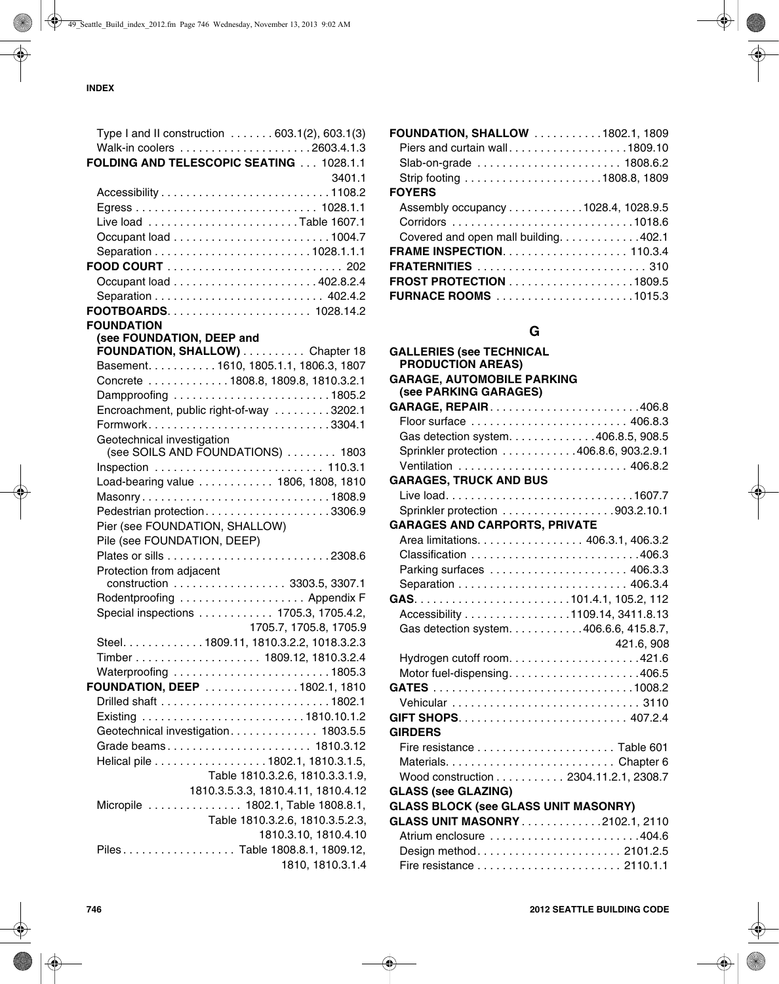| Type I and II construction $\ldots \ldots 603.1(2)$ , 603.1(3) |                        |
|----------------------------------------------------------------|------------------------|
|                                                                |                        |
| FOLDING AND TELESCOPIC SEATING  1028.1.1                       |                        |
|                                                                | 3401.1                 |
|                                                                |                        |
|                                                                |                        |
|                                                                |                        |
|                                                                |                        |
|                                                                |                        |
|                                                                |                        |
|                                                                |                        |
|                                                                |                        |
|                                                                |                        |
| <b>FOUNDATION</b>                                              |                        |
| (see FOUNDATION, DEEP and                                      |                        |
| FOUNDATION, SHALLOW) Chapter 18                                |                        |
| Basement. 1610, 1805.1.1, 1806.3, 1807                         |                        |
| Concrete 1808.8, 1809.8, 1810.3.2.1                            |                        |
| Dampproofing 1805.2                                            |                        |
| Encroachment, public right-of-way 3202.1                       |                        |
| Formwork3304.1                                                 |                        |
| Geotechnical investigation                                     |                        |
| (see SOILS AND FOUNDATIONS)  1803                              |                        |
|                                                                |                        |
| Load-bearing value 1806, 1808, 1810                            |                        |
| Masonry1808.9                                                  |                        |
| Pedestrian protection3306.9                                    |                        |
| Pier (see FOUNDATION, SHALLOW)                                 |                        |
| Pile (see FOUNDATION, DEEP)                                    |                        |
|                                                                |                        |
| Protection from adjacent                                       |                        |
| construction 3303.5, 3307.1                                    |                        |
| Rodentproofing  Appendix F                                     |                        |
| Special inspections 1705.3, 1705.4.2,                          |                        |
|                                                                | 1705.7, 1705.8, 1705.9 |
| Steel. 1809.11, 1810.3.2.2, 1018.3.2.3                         |                        |
|                                                                |                        |
| Waterproofing 1805.3                                           |                        |
| FOUNDATION, DEEP 1802.1, 1810                                  |                        |
|                                                                |                        |
|                                                                |                        |
| Geotechnical investigation. 1803.5.5                           |                        |
|                                                                |                        |
| Helical pile 1802.1, 1810.3.1.5,                               |                        |
| Table 1810.3.2.6, 1810.3.3.1.9,                                |                        |
| 1810.3.5.3.3, 1810.4.11, 1810.4.12                             |                        |
| Micropile  1802.1, Table 1808.8.1,                             |                        |
| Table 1810.3.2.6, 1810.3.5.2.3,                                |                        |
|                                                                | 1810.3.10, 1810.4.10   |
| Piles Table 1808.8.1, 1809.12,                                 |                        |
|                                                                | 1810, 1810.3.1.4       |

| <b>FOUNDATION, SHALLOW 1802.1, 1809</b> |
|-----------------------------------------|
| Piers and curtain wall1809.10           |
|                                         |
|                                         |
| <b>FOYERS</b>                           |
| Assembly occupancy 1028.4, 1028.9.5     |
|                                         |
| Covered and open mall building. 402.1   |
|                                         |
|                                         |
| <b>FROST PROTECTION</b> 1809.5          |
|                                         |

# **G**

| <b>GALLERIES (see TECHNICAL</b><br><b>PRODUCTION AREAS)</b> |            |
|-------------------------------------------------------------|------------|
| <b>GARAGE, AUTOMOBILE PARKING</b>                           |            |
| (see PARKING GARAGES)                                       |            |
|                                                             |            |
|                                                             |            |
| Gas detection system. 406.8.5, 908.5                        |            |
| Sprinkler protection 406.8.6, 903.2.9.1                     |            |
| Ventilation  406.8.2                                        |            |
| <b>GARAGES, TRUCK AND BUS</b>                               |            |
|                                                             |            |
| Sprinkler protection 903.2.10.1                             |            |
| <b>GARAGES AND CARPORTS, PRIVATE</b>                        |            |
| Area limitations. 406.3.1, 406.3.2                          |            |
|                                                             |            |
|                                                             |            |
|                                                             |            |
|                                                             |            |
| Accessibility 1109.14, 3411.8.13                            |            |
| Gas detection system. 406.6.6, 415.8.7,                     |            |
|                                                             | 421.6, 908 |
|                                                             |            |
| Motor fuel-dispensing406.5                                  |            |
|                                                             |            |
|                                                             |            |
|                                                             |            |
| <b>GIRDERS</b>                                              |            |
|                                                             |            |
|                                                             |            |
| Wood construction 2304.11.2.1, 2308.7                       |            |
| <b>GLASS (see GLAZING)</b>                                  |            |
| <b>GLASS BLOCK (see GLASS UNIT MASONRY)</b>                 |            |
| <b>GLASS UNIT MASONRY 2102.1, 2110</b>                      |            |
| Atrium enclosure 404.6                                      |            |
| Design method 2101.2.5                                      |            |
|                                                             |            |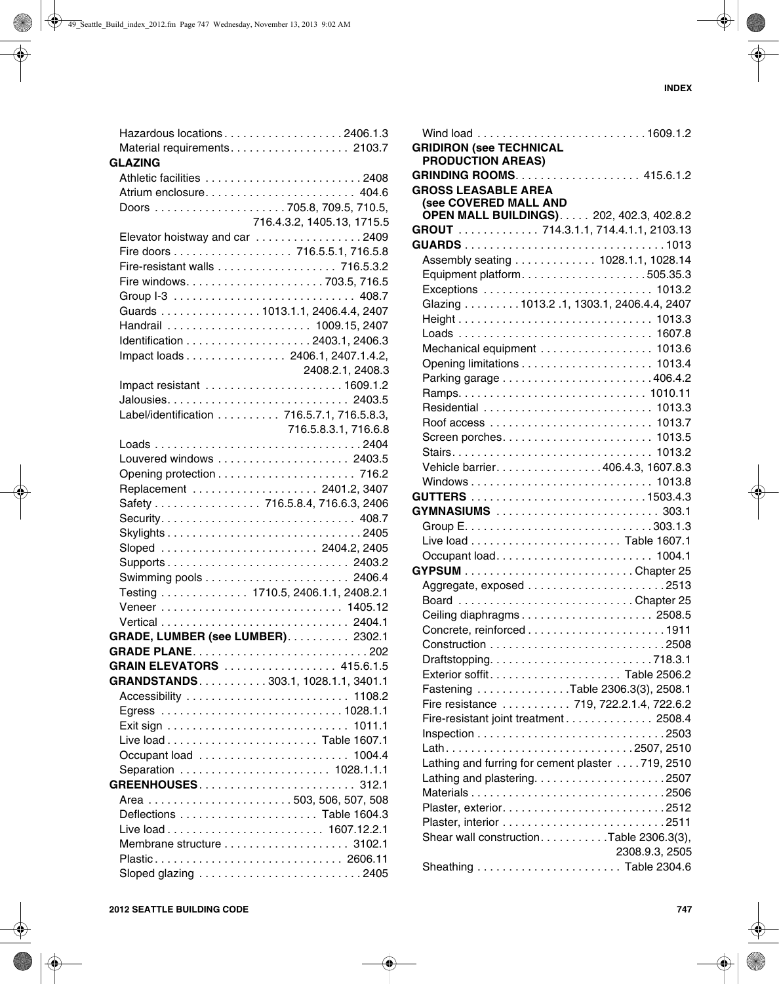|                | Hazardous locations 2406.1.3               |
|----------------|--------------------------------------------|
|                | Material requirements. 2103.7              |
| <b>GLAZING</b> |                                            |
|                |                                            |
|                |                                            |
|                |                                            |
|                |                                            |
|                | 716.4.3.2, 1405.13, 1715.5                 |
|                | Elevator hoistway and car 2409             |
|                | Fire doors 716.5.5.1, 716.5.8              |
|                |                                            |
|                |                                            |
|                |                                            |
|                | Guards 1013.1.1, 2406.4.4, 2407            |
|                | Handrail  1009.15, 2407                    |
|                |                                            |
|                | Impact loads 2406.1, 2407.1.4.2,           |
|                | 2408.2.1, 2408.3                           |
|                |                                            |
|                |                                            |
|                |                                            |
|                | Label/identification 716.5.7.1, 716.5.8.3, |
|                | 716.5.8.3.1, 716.6.8                       |
|                |                                            |
|                |                                            |
|                |                                            |
|                | Replacement  2401.2, 3407                  |
|                | Safety 716.5.8.4, 716.6.3, 2406            |
|                |                                            |
|                |                                            |
|                | Sloped  2404.2, 2405                       |
|                |                                            |
|                |                                            |
|                | Testing 1710.5, 2406.1.1, 2408.2.1         |
|                |                                            |
|                |                                            |
|                |                                            |
|                | GRADE, LUMBER (see LUMBER). 2302.1         |
|                | GRADE PLANE202                             |
|                | GRAIN ELEVATORS  415.6.1.5                 |
|                | GRANDSTANDS303.1, 1028.1.1, 3401.1         |
|                |                                            |
|                |                                            |
|                |                                            |
|                |                                            |
|                |                                            |
|                | Separation  1028.1.1.1                     |
|                |                                            |
|                |                                            |
|                |                                            |
|                |                                            |
|                |                                            |
|                |                                            |
|                | Plastic 2606.11                            |
|                |                                            |

| <b>GRIDIRON (see TECHNICAL</b><br><b>PRODUCTION AREAS)</b> |                |
|------------------------------------------------------------|----------------|
| GRINDING ROOMS. 415.6.1.2                                  |                |
| <b>GROSS LEASABLE AREA</b>                                 |                |
| (see COVERED MALL AND                                      |                |
| <b>OPEN MALL BUILDINGS) 202, 402.3, 402.8.2</b>            |                |
| GROUT 714.3.1.1, 714.4.1.1, 2103.13                        |                |
|                                                            |                |
| Assembly seating 1028.1.1, 1028.14                         |                |
| Equipment platform505.35.3                                 |                |
| Exceptions  1013.2                                         |                |
| Glazing 1013.2 .1, 1303.1, 2406.4.4, 2407                  |                |
|                                                            |                |
|                                                            |                |
|                                                            |                |
| Mechanical equipment 1013.6                                |                |
|                                                            |                |
|                                                            |                |
|                                                            |                |
|                                                            |                |
|                                                            |                |
|                                                            |                |
|                                                            |                |
| Vehicle barrier. 406.4.3, 1607.8.3                         |                |
|                                                            |                |
|                                                            |                |
| GYMNASIUMS  303.1                                          |                |
|                                                            |                |
|                                                            |                |
|                                                            |                |
|                                                            |                |
|                                                            |                |
| Board Chapter 25                                           |                |
|                                                            |                |
|                                                            |                |
|                                                            |                |
|                                                            |                |
|                                                            |                |
| Fastening Table 2306.3(3), 2508.1                          |                |
| Fire resistance  719, 722.2.1.4, 722.6.2                   |                |
| Fire-resistant joint treatment 2508.4                      |                |
|                                                            |                |
| Lath2507, 2510                                             |                |
| Lathing and furring for cement plaster 719, 2510           |                |
|                                                            |                |
|                                                            |                |
|                                                            |                |
|                                                            |                |
| Shear wall construction. Table 2306.3(3),                  |                |
|                                                            | 2308.9.3, 2505 |
|                                                            |                |
|                                                            |                |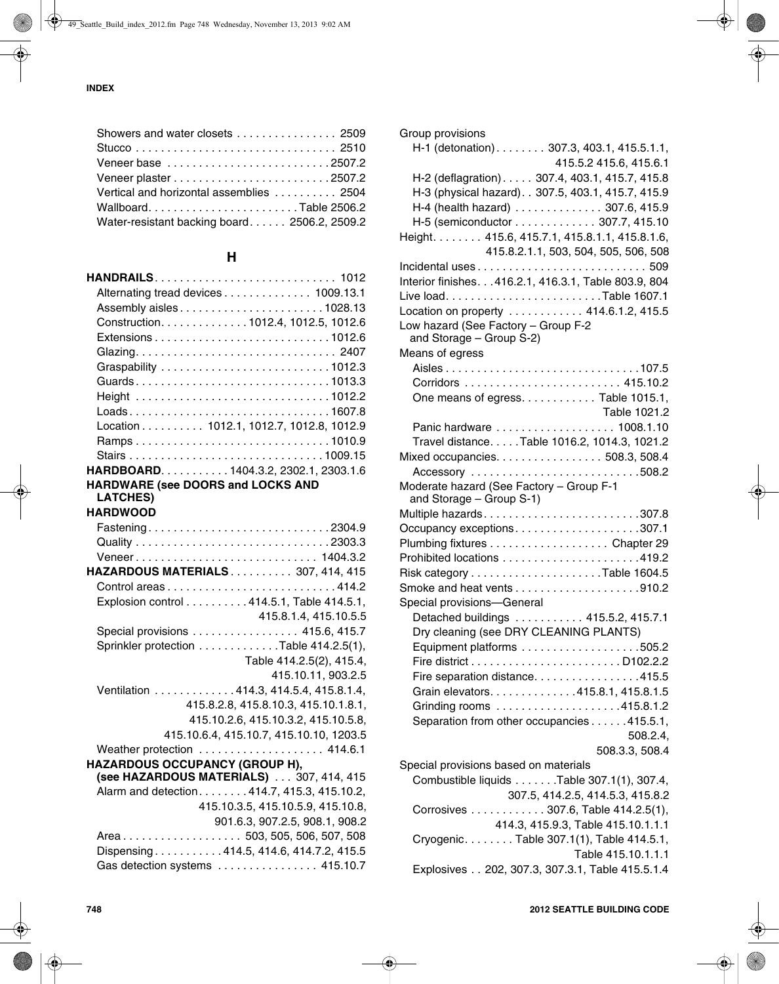| Showers and water closets 2509               |
|----------------------------------------------|
|                                              |
|                                              |
|                                              |
| Vertical and horizontal assemblies  2504     |
| WallboardTable 2506.2                        |
| Water-resistant backing board 2506.2, 2509.2 |
|                                              |

## **H**

| Alternating tread devices 1009.13.1            |  |
|------------------------------------------------|--|
|                                                |  |
| Construction. 1012.4, 1012.5, 1012.6           |  |
| Extensions1012.6                               |  |
|                                                |  |
|                                                |  |
| Guards1013.3                                   |  |
| Height 1012.2                                  |  |
| Loads1607.8                                    |  |
| Location 1012.1, 1012.7, 1012.8, 1012.9        |  |
| Ramps1010.9                                    |  |
|                                                |  |
| HARDBOARD. 1404.3.2, 2302.1, 2303.1.6          |  |
| HARDWARE (see DOORS and LOCKS AND              |  |
| <b>LATCHES)</b>                                |  |
| <b>HARDWOOD</b>                                |  |
| Fastening2304.9                                |  |
|                                                |  |
| Veneer 1404.3.2                                |  |
| HAZARDOUS MATERIALS 307, 414, 415              |  |
|                                                |  |
| Explosion control 414.5.1, Table 414.5.1,      |  |
| 415.8.1.4, 415.10.5.5                          |  |
| Special provisions 415.6, 415.7                |  |
| Sprinkler protection Table 414.2.5(1),         |  |
| Table 414.2.5(2), 415.4,<br>415.10.11, 903.2.5 |  |
| Ventilation 414.3, 414.5.4, 415.8.1.4,         |  |
| 415.8.2.8, 415.8.10.3, 415.10.1.8.1,           |  |
| 415.10.2.6, 415.10.3.2, 415.10.5.8,            |  |
| 415.10.6.4, 415.10.7, 415.10.10, 1203.5        |  |
| Weather protection 414.6.1                     |  |
| HAZARDOUS OCCUPANCY (GROUP H),                 |  |
| (see HAZARDOUS MATERIALS)  307, 414, 415       |  |
| Alarm and detection. 414.7, 415.3, 415.10.2,   |  |
| 415.10.3.5, 415.10.5.9, 415.10.8,              |  |
| 901.6.3, 907.2.5, 908.1, 908.2                 |  |
| Area503, 505, 506, 507, 508                    |  |
| Dispensing414.5, 414.6, 414.7.2, 415.5         |  |
| Gas detection systems  415.10.7                |  |

| Group provisions                                      |
|-------------------------------------------------------|
| H-1 (detonation). 307.3, 403.1, 415.5.1.1,            |
| 415.5.2 415.6, 415.6.1                                |
| H-2 (deflagration). 307.4, 403.1, 415.7, 415.8        |
| H-3 (physical hazard). . 307.5, 403.1, 415.7, 415.9   |
| H-4 (health hazard) 307.6, 415.9                      |
| H-5 (semiconductor 307.7, 415.10                      |
| Height. 415.6, 415.7.1, 415.8.1.1, 415.8.1.6,         |
| 415.8.2.1.1, 503, 504, 505, 506, 508                  |
|                                                       |
| Interior finishes. 416.2.1, 416.3.1, Table 803.9, 804 |
|                                                       |
| Location on property  414.6.1.2, 415.5                |
| Low hazard (See Factory - Group F-2                   |
| and Storage - Group S-2)                              |
| Means of egress                                       |
|                                                       |
|                                                       |
| One means of egress. Table 1015.1,                    |
| Table 1021.2                                          |
| Panic hardware  1008.1.10                             |
| Travel distance. Table 1016.2, 1014.3, 1021.2         |
| Mixed occupancies. 508.3, 508.4                       |
| Accessory 508.2                                       |
| Moderate hazard (See Factory - Group F-1              |
| and Storage - Group S-1)                              |
|                                                       |
| Occupancy exceptions307.1                             |
| Plumbing fixtures Chapter 29                          |
|                                                       |
|                                                       |
|                                                       |
| Special provisions-General                            |
| Detached buildings  415.5.2, 415.7.1                  |
| Dry cleaning (see DRY CLEANING PLANTS)                |
|                                                       |
|                                                       |
| Fire separation distance415.5                         |
| Grain elevators. 415.8.1, 415.8.1.5                   |
| Grinding rooms 415.8.1.2                              |
| Separation from other occupancies 415.5.1,            |
| 508.2.4,                                              |
| 508.3.3, 508.4                                        |
| Special provisions based on materials                 |
| Combustible liquids Table 307.1(1), 307.4,            |
| 307.5, 414.2.5, 414.5.3, 415.8.2                      |
| Corrosives  307.6, Table 414.2.5(1),                  |
| 414.3, 415.9.3, Table 415.10.1.1.1                    |
| Cryogenic. Table 307.1(1), Table 414.5.1,             |
| Table 415.10.1.1.1                                    |
| Explosives 202, 307.3, 307.3.1, Table 415.5.1.4       |
|                                                       |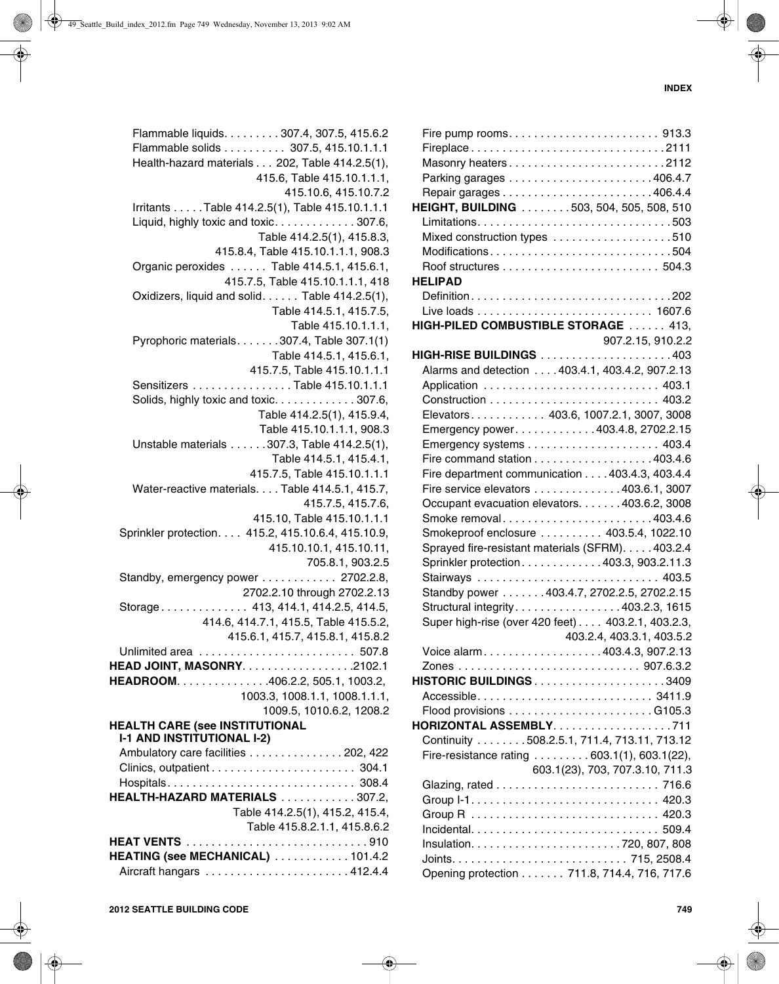| Flammable liquids. 307.4, 307.5, 415.6.2           |
|----------------------------------------------------|
| Flammable solids 307.5, 415.10.1.1.1               |
| Health-hazard materials 202, Table 414.2.5(1),     |
| 415.6, Table 415.10.1.1.1,                         |
| 415.10.6, 415.10.7.2                               |
|                                                    |
| Irritants Table 414.2.5(1), Table 415.10.1.1.1     |
| Liquid, highly toxic and toxic307.6,               |
| Table 414.2.5(1), 415.8.3,                         |
| 415.8.4, Table 415.10.1.1.1, 908.3                 |
| Organic peroxides  Table 414.5.1, 415.6.1,         |
| 415.7.5, Table 415.10.1.1.1, 418                   |
| Oxidizers, liquid and solid. Table 414.2.5(1),     |
|                                                    |
| Table 414.5.1, 415.7.5,                            |
| Table 415.10.1.1.1,                                |
| Pyrophoric materials. 307.4, Table 307.1(1)        |
| Table 414.5.1, 415.6.1,                            |
| 415.7.5, Table 415.10.1.1.1                        |
| Sensitizers Table 415.10.1.1.1                     |
|                                                    |
| Solids, highly toxic and toxic307.6,               |
| Table 414.2.5(1), 415.9.4,                         |
| Table 415.10.1.1.1, 908.3                          |
| Unstable materials 307.3, Table 414.2.5(1),        |
| Table 414.5.1, 415.4.1,                            |
| 415.7.5, Table 415.10.1.1.1                        |
| Water-reactive materials. Table 414.5.1, 415.7,    |
| 415.7.5, 415.7.6,                                  |
|                                                    |
| 415.10, Table 415.10.1.1.1                         |
| Sprinkler protection. 415.2, 415.10.6.4, 415.10.9, |
| 415.10.10.1, 415.10.11,                            |
| 705.8.1, 903.2.5                                   |
| Standby, emergency power 2702.2.8,                 |
| 2702.2.10 through 2702.2.13                        |
| Storage 413, 414.1, 414.2.5, 414.5,                |
| 414.6, 414.7.1, 415.5, Table 415.5.2,              |
|                                                    |
| 415.6.1, 415.7, 415.8.1, 415.8.2                   |
|                                                    |
| HEAD JOINT, MASONRY. 2102.1                        |
| HEADROOM. 406.2.2, 505.1, 1003.2,                  |
| 1003.3, 1008.1.1, 1008.1.1.1,                      |
| 1009.5, 1010.6.2, 1208.2                           |
| <b>HEALTH CARE (see INSTITUTIONAL</b>              |
| <b>I-1 AND INSTITUTIONAL I-2)</b>                  |
| Ambulatory care facilities 202, 422                |
|                                                    |
|                                                    |
| Hospitals 308.4                                    |
| HEALTH-HAZARD MATERIALS 307.2,                     |
| Table 414.2.5(1), 415.2, 415.4,                    |
| Table 415.8.2.1.1, 415.8.6.2                       |
|                                                    |
| HEATING (see MECHANICAL) 101.4.2                   |
|                                                    |
|                                                    |

| Fireplace2111                                     |                   |
|---------------------------------------------------|-------------------|
|                                                   |                   |
|                                                   |                   |
|                                                   |                   |
| HEIGHT, BUILDING 503, 504, 505, 508, 510          |                   |
|                                                   |                   |
|                                                   |                   |
| Mixed construction types 510                      |                   |
| Modifications504                                  |                   |
|                                                   |                   |
| <b>HELIPAD</b>                                    |                   |
| Definition202                                     |                   |
|                                                   |                   |
| HIGH-PILED COMBUSTIBLE STORAGE  413,              |                   |
|                                                   |                   |
|                                                   | 907.2.15, 910.2.2 |
| <b>HIGH-RISE BUILDINGS</b> 403                    |                   |
| Alarms and detection 403.4.1, 403.4.2, 907.2.13   |                   |
| Application  403.1                                |                   |
|                                                   |                   |
| Elevators 403.6, 1007.2.1, 3007, 3008             |                   |
| Emergency power. 403.4.8, 2702.2.15               |                   |
|                                                   |                   |
|                                                   |                   |
| Fire command station 403.4.6                      |                   |
| Fire department communication 403.4.3, 403.4.4    |                   |
| Fire service elevators 403.6.1, 3007              |                   |
| Occupant evacuation elevators. 403.6.2, 3008      |                   |
| Smoke removal403.4.6                              |                   |
| Smokeproof enclosure 403.5.4, 1022.10             |                   |
| Sprayed fire-resistant materials (SFRM). 403.2.4  |                   |
| Sprinkler protection403.3, 903.2.11.3             |                   |
|                                                   |                   |
| Stairways  403.5                                  |                   |
| Standby power 403.4.7, 2702.2.5, 2702.2.15        |                   |
| Structural integrity403.2.3, 1615                 |                   |
| Super high-rise (over 420 feet) 403.2.1, 403.2.3, |                   |
| 403.2.4, 403.3.1, 403.5.2                         |                   |
| Voice alarm403.4.3, 907.2.13                      |                   |
|                                                   |                   |
|                                                   |                   |
|                                                   |                   |
|                                                   |                   |
|                                                   |                   |
| HORIZONTAL ASSEMBLY711                            |                   |
| Continuity 508.2.5.1, 711.4, 713.11, 713.12       |                   |
| Fire-resistance rating  603.1(1), 603.1(22),      |                   |
| 603.1(23), 703, 707.3.10, 711.3                   |                   |
|                                                   |                   |
|                                                   |                   |
|                                                   |                   |
|                                                   |                   |
|                                                   |                   |
|                                                   |                   |
|                                                   |                   |
| Opening protection 711.8, 714.4, 716, 717.6       |                   |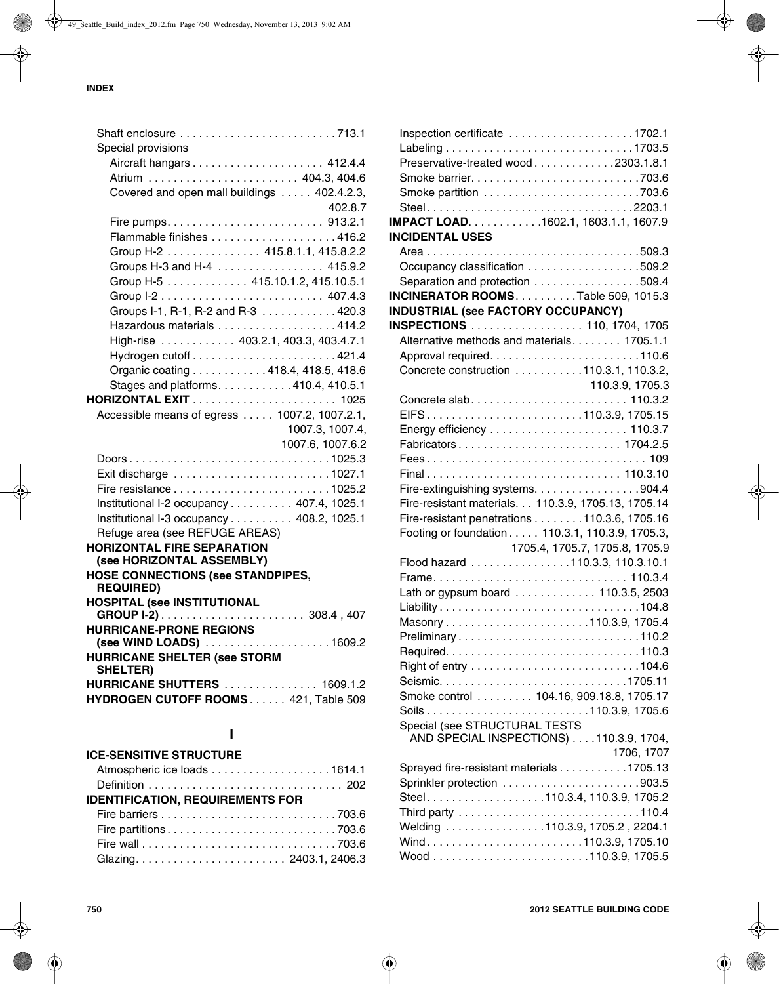| Shaft enclosure 713.1                           |
|-------------------------------------------------|
| Special provisions                              |
|                                                 |
|                                                 |
| Covered and open mall buildings  402.4.2.3,     |
| 402.8.7                                         |
|                                                 |
|                                                 |
| Group H-2 415.8.1.1, 415.8.2.2                  |
| Groups H-3 and H-4 415.9.2                      |
| Group H-5 415.10.1.2, 415.10.5.1                |
|                                                 |
| Groups I-1, R-1, R-2 and R-3 420.3              |
| Hazardous materials 414.2                       |
|                                                 |
| High-rise  403.2.1, 403.3, 403.4.7.1            |
|                                                 |
| Organic coating 418.4, 418.5, 418.6             |
| Stages and platforms. 410.4, 410.5.1            |
|                                                 |
| Accessible means of egress 1007.2, 1007.2.1,    |
| 1007.3, 1007.4,                                 |
| 1007.6, 1007.6.2                                |
| Doors1025.3                                     |
|                                                 |
|                                                 |
| Institutional I-2 occupancy 407.4, 1025.1       |
| Institutional I-3 occupancy 408.2, 1025.1       |
| Refuge area (see REFUGE AREAS)                  |
| <b>HORIZONTAL FIRE SEPARATION</b>               |
| (see HORIZONTAL ASSEMBLY)                       |
| <b>HOSE CONNECTIONS (see STANDPIPES,</b>        |
| <b>REQUIRED)</b>                                |
| <b>HOSPITAL (see INSTITUTIONAL</b>              |
|                                                 |
| <b>HURRICANE-PRONE REGIONS</b>                  |
| (see WIND LOADS)<br>. 1609.2                    |
| <b>HURRICANE SHELTER (see STORM</b><br>SHELTER) |
| <b>HURRICANE SHUTTERS</b> 1609.1.2              |
| HYDROGEN CUTOFF ROOMS 421, Table 509            |
|                                                 |
|                                                 |

# **I**

| <b>ICE-SENSITIVE STRUCTURE</b>          |  |  |  |
|-----------------------------------------|--|--|--|
| Atmospheric ice loads 1614.1            |  |  |  |
|                                         |  |  |  |
| <b>IDENTIFICATION, REQUIREMENTS FOR</b> |  |  |  |
|                                         |  |  |  |
|                                         |  |  |  |
|                                         |  |  |  |
|                                         |  |  |  |
|                                         |  |  |  |

| Inspection certificate $\ldots \ldots \ldots \ldots \ldots \ldots 1702.1$ |                                |
|---------------------------------------------------------------------------|--------------------------------|
|                                                                           |                                |
| Preservative-treated wood2303.1.8.1                                       |                                |
|                                                                           |                                |
|                                                                           |                                |
| Steel2203.1                                                               |                                |
| IMPACT LOAD. 1602.1, 1603.1.1, 1607.9                                     |                                |
|                                                                           |                                |
| <b>INCIDENTAL USES</b>                                                    |                                |
|                                                                           |                                |
| Occupancy classification 509.2                                            |                                |
| Separation and protection 509.4                                           |                                |
| INCINERATOR ROOMS. Table 509, 1015.3                                      |                                |
| <b>INDUSTRIAL (see FACTORY OCCUPANCY)</b>                                 |                                |
| INSPECTIONS  110, 1704, 1705                                              |                                |
| Alternative methods and materials. 1705.1.1                               |                                |
|                                                                           |                                |
| Concrete construction 110.3.1, 110.3.2,                                   |                                |
|                                                                           | 110.3.9, 1705.3                |
|                                                                           |                                |
|                                                                           |                                |
|                                                                           |                                |
|                                                                           |                                |
| Fabricators 1704.2.5                                                      |                                |
|                                                                           |                                |
| Final 110.3.10                                                            |                                |
| Fire-extinguishing systems. 904.4                                         |                                |
| Fire-resistant materials. 110.3.9, 1705.13, 1705.14                       |                                |
| Fire-resistant penetrations 110.3.6, 1705.16                              |                                |
| Footing or foundation 110.3.1, 110.3.9, 1705.3,                           |                                |
|                                                                           | 1705.4, 1705.7, 1705.8, 1705.9 |
| Flood hazard 110.3.3, 110.3.10.1                                          |                                |
| Frame 110.3.4                                                             |                                |
| Lath or gypsum board 110.3.5, 2503                                        |                                |
| Liability104.8                                                            |                                |
|                                                                           |                                |
| Preliminary110.2                                                          |                                |
|                                                                           |                                |
|                                                                           |                                |
|                                                                           |                                |
|                                                                           |                                |
| Smoke control  104.16, 909.18.8, 1705.17                                  |                                |
|                                                                           |                                |
| Special (see STRUCTURAL TESTS                                             |                                |
| AND SPECIAL INSPECTIONS) 110.3.9, 1704,                                   |                                |
|                                                                           | 1706, 1707                     |
| Sprayed fire-resistant materials 1705.13                                  |                                |
|                                                                           |                                |
| Steel110.3.4, 110.3.9, 1705.2                                             |                                |
|                                                                           |                                |
| Welding 110.3.9, 1705.2, 2204.1                                           |                                |
|                                                                           |                                |
|                                                                           |                                |
|                                                                           |                                |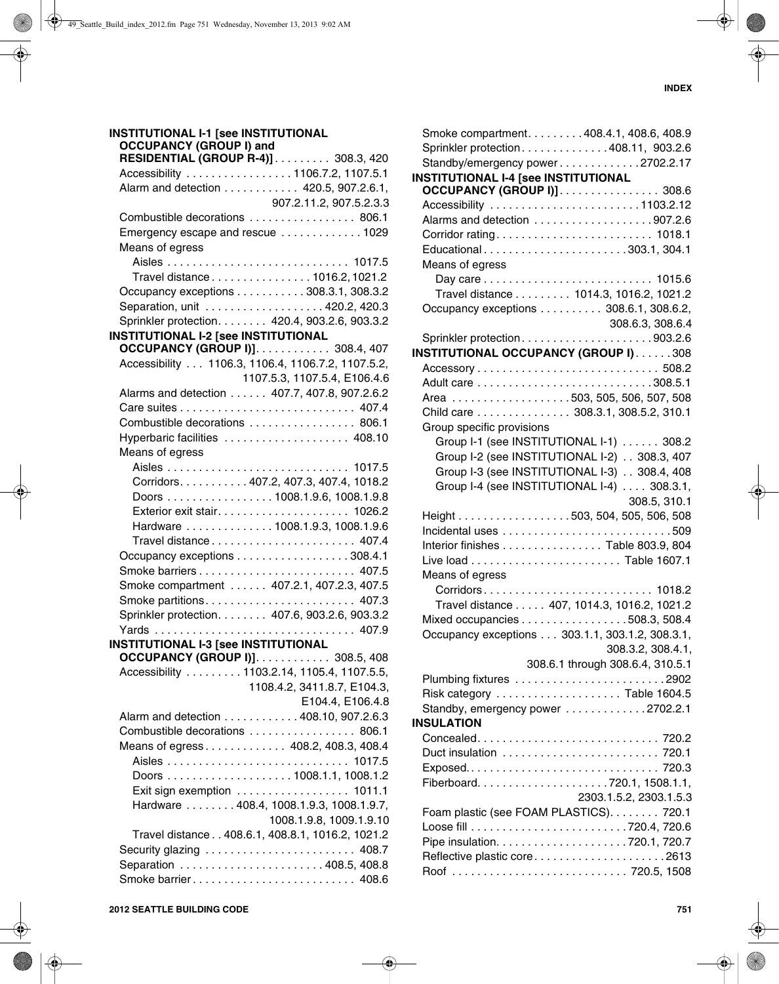#### **INSTITUTIONAL I-1 [see INSTITUTIONAL OCCUPANCY (GROUP I) and RESIDENTIAL (GROUP R-4)]** . . . . . . . . . 308.3, 420 Accessibility . . . . . . . . . . . . . . . . . 1106.7.2, 1107.5.1 Alarm and detection . . . . . . . . . . . . 420.5, 907.2.6.1, 907.2.11.2, 907.5.2.3.3 Combustible decorations . . . . . . . . . . . . . . . . . 806.1 Emergency escape and rescue . . . . . . . . . . . . . 1029 Means of egress Aisles . . . . . . . . . . . . . . . . . . . . . . . . . . . . . 1017.5 Travel distance . . . . . . . . . . . . . . . . 1016.2, 1021.2 Occupancy exceptions . . . . . . . . . . . 308.3.1, 308.3.2 Separation, unit . . . . . . . . . . . . . . . . . . . 420.2, 420.3 Sprinkler protection. . . . . . . . 420.4, 903.2.6, 903.3.2 **INSTITUTIONAL I-2 [see INSTITUTIONAL OCCUPANCY (GROUP I)]**. . . . . . . . . . . . 308.4, 407 Accessibility . . . 1106.3, 1106.4, 1106.7.2, 1107.5.2, 1107.5.3, 1107.5.4, E106.4.6 Alarms and detection . . . . . . 407.7, 407.8, 907.2.6.2 Care suites . . . . . . . . . . . . . . . . . . . . . . . . . . . . 407.4 Combustible decorations . . . . . . . . . . . . . . . . . 806.1 Hyperbaric facilities . . . . . . . . . . . . . . . . . . . . 408.10 Means of egress Aisles . . . . . . . . . . . . . . . . . . . . . . . . . . . . . 1017.5 Corridors. . . . . . . . . . . 407.2, 407.3, 407.4, 1018.2 Doors . . . . . . . . . . . . . . . . . 1008.1.9.6, 1008.1.9.8 Exterior exit stair. . . . . . . . . . . . . . . . . . . . . 1026.2 Hardware . . . . . . . . . . . . . . 1008.1.9.3, 1008.1.9.6 Travel distance . . . . . . . . . . . . . . . . . . . . . . . 407.4 Occupancy exceptions . . . . . . . . . . . . . . . . . . 308.4.1 Smoke barriers . . . . . . . . . . . . . . . . . . . . . . . . . 407.5 Smoke compartment . . . . . . 407.2.1, 407.2.3, 407.5 Smoke partitions. . . . . . . . . . . . . . . . . . . . . . . . 407.3 Sprinkler protection. . . . . . . . 407.6, 903.2.6, 903.3.2 Yards . . . . . . . . . . . . . . . . . . . . . . . . . . . . . . . . 407.9 **INSTITUTIONAL I-3 [see INSTITUTIONAL OCCUPANCY (GROUP I)]**. . . . . . . . . . . . 308.5, 408 Accessibility . . . . . . . . . 1103.2.14, 1105.4, 1107.5.5, 1108.4.2, 3411.8.7, E104.3, E104.4, E106.4.8 Alarm and detection . . . . . . . . . . . . 408.10, 907.2.6.3 Combustible decorations . . . . . . . . . . . . . . . . . 806.1 Means of egress . . . . . . . . . . . . . 408.2, 408.3, 408.4 Aisles . . . . . . . . . . . . . . . . . . . . . . . . . . . . . 1017.5 Doors . . . . . . . . . . . . . . . . . . . . 1008.1.1, 1008.1.2 Exit sign exemption . . . . . . . . . . . . . . . . . 1011.1 Hardware . . . . . . . . 408.4, 1008.1.9.3, 1008.1.9.7, 1008.1.9.8, 1009.1.9.10 Travel distance . . 408.6.1, 408.8.1, 1016.2, 1021.2 Security glazing . . . . . . . . . . . . . . . . . . . . . . . . 408.7 Separation . . . . . . . . . . . . . . . . . . . . . . . 408.5, 408.8 Smoke barrier . . . . . . . . . . . . . . . . . . . . . . . . . . 408.6

| Smoke compartment. 408.4.1, 408.6, 408.9        |                                  |
|-------------------------------------------------|----------------------------------|
| Sprinkler protection408.11, 903.2.6             |                                  |
| Standby/emergency power2702.2.17                |                                  |
| <b>INSTITUTIONAL I-4 [see INSTITUTIONAL</b>     |                                  |
| OCCUPANCY (GROUP I)]. 308.6                     |                                  |
| Accessibility 1103.2.12                         |                                  |
|                                                 |                                  |
|                                                 |                                  |
| Educational303.1, 304.1                         |                                  |
| Means of egress                                 |                                  |
|                                                 |                                  |
| Travel distance 1014.3, 1016.2, 1021.2          |                                  |
| Occupancy exceptions 308.6.1, 308.6.2,          |                                  |
|                                                 | 308.6.3, 308.6.4                 |
| Sprinkler protection903.2.6                     |                                  |
| INSTITUTIONAL OCCUPANCY (GROUP I)308            |                                  |
|                                                 |                                  |
|                                                 |                                  |
| Area 503, 505, 506, 507, 508                    |                                  |
| Child care 308.3.1, 308.5.2, 310.1              |                                  |
| Group specific provisions                       |                                  |
| Group I-1 (see INSTITUTIONAL I-1) 308.2         |                                  |
| Group I-2 (see INSTITUTIONAL I-2) 308.3, 407    |                                  |
| Group I-3 (see INSTITUTIONAL I-3) 308.4, 408    |                                  |
| Group I-4 (see INSTITUTIONAL I-4) 308.3.1,      |                                  |
|                                                 | 308.5, 310.1                     |
| Height 503, 504, 505, 506, 508                  |                                  |
|                                                 |                                  |
| Interior finishes Table 803.9, 804              |                                  |
|                                                 |                                  |
| Means of egress                                 |                                  |
| Corridors 1018.2                                |                                  |
| Travel distance 407, 1014.3, 1016.2, 1021.2     |                                  |
| Mixed occupancies 508.3, 508.4                  |                                  |
| Occupancy exceptions 303.1.1, 303.1.2, 308.3.1, |                                  |
|                                                 | 308.3.2, 308.4.1,                |
|                                                 | 308.6.1 through 308.6.4, 310.5.1 |
|                                                 |                                  |
| Risk category  Table 1604.5                     |                                  |
| Standby, emergency power 2702.2.1               |                                  |
| <b>INSULATION</b>                               |                                  |
|                                                 |                                  |
|                                                 |                                  |
|                                                 |                                  |
|                                                 |                                  |
|                                                 | 2303.1.5.2, 2303.1.5.3           |
| Foam plastic (see FOAM PLASTICS). 720.1         |                                  |
|                                                 |                                  |
|                                                 |                                  |
| Reflective plastic core2613                     |                                  |
|                                                 |                                  |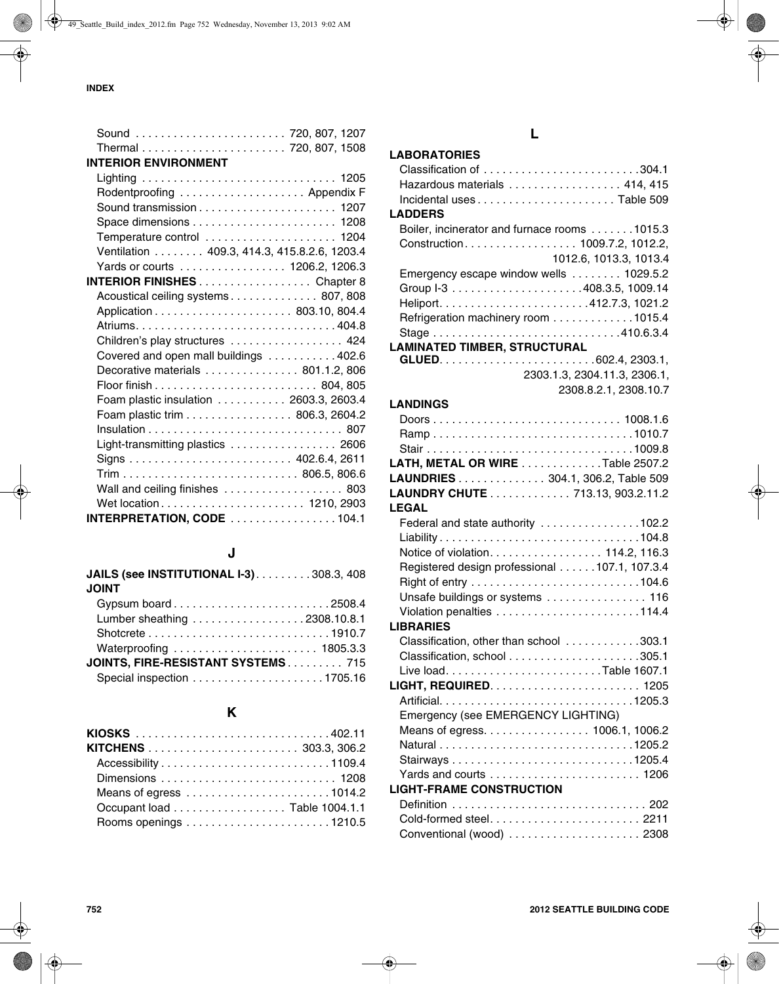| Sound  720, 807, 1207                       |  |
|---------------------------------------------|--|
|                                             |  |
| <b>INTERIOR ENVIRONMENT</b>                 |  |
|                                             |  |
| Rodentproofing  Appendix F                  |  |
|                                             |  |
|                                             |  |
| Temperature control  1204                   |  |
| Ventilation 409.3, 414.3, 415.8.2.6, 1203.4 |  |
| Yards or courts 1206.2, 1206.3              |  |
| <b>INTERIOR FINISHES</b> Chapter 8          |  |
| Acoustical ceiling systems 807, 808         |  |
|                                             |  |
|                                             |  |
| Children's play structures  424             |  |
| Covered and open mall buildings 402.6       |  |
| Decorative materials  801.1.2, 806          |  |
|                                             |  |
| Foam plastic insulation 2603.3, 2603.4      |  |
| Foam plastic trim 806.3, 2604.2             |  |
|                                             |  |
| Light-transmitting plastics  2606           |  |
|                                             |  |
|                                             |  |
| Wall and ceiling finishes  803              |  |
| Wet location 1210, 2903                     |  |
| <b>INTERPRETATION, CODE</b> 104.1           |  |

# **J**

| JAILS (see INSTITUTIONAL I-3). 308.3, 408 |
|-------------------------------------------|
| <b>JOINT</b>                              |
|                                           |
| Lumber sheathing 2308.10.8.1              |
|                                           |
| Waterproofing  1805.3.3                   |
| JOINTS, FIRE-RESISTANT SYSTEMS 715        |
|                                           |
|                                           |

# **K**

| KIOSKS 402.11                |  |  |  |  |
|------------------------------|--|--|--|--|
|                              |  |  |  |  |
|                              |  |  |  |  |
|                              |  |  |  |  |
|                              |  |  |  |  |
| Occupant load Table 1004.1.1 |  |  |  |  |
|                              |  |  |  |  |

# **L**

## **LABORATORIES**

| Classification of 304.1                       |
|-----------------------------------------------|
| Hazardous materials 414, 415                  |
|                                               |
| <b>LADDERS</b>                                |
| Boiler, incinerator and furnace rooms 1015.3  |
| Construction 1009.7.2, 1012.2,                |
| 1012.6, 1013.3, 1013.4                        |
| Emergency escape window wells 1029.5.2        |
|                                               |
|                                               |
| Refrigeration machinery room 1015.4           |
|                                               |
| <b>LAMINATED TIMBER, STRUCTURAL</b>           |
|                                               |
| 2303.1.3, 2304.11.3, 2306.1,                  |
| 2308.8.2.1, 2308.10.7                         |
| <b>LANDINGS</b>                               |
|                                               |
| Ramp1010.7                                    |
|                                               |
| LATH, METAL OR WIRE Table 2507.2              |
| LAUNDRIES 304.1, 306.2, Table 509             |
| LAUNDRY CHUTE 713.13, 903.2.11.2              |
| <b>LEGAL</b>                                  |
| Federal and state authority 102.2             |
| Liability104.8                                |
| Notice of violation. 114.2, 116.3             |
| Registered design professional 107.1, 107.3.4 |
|                                               |
| Unsafe buildings or systems  116              |
|                                               |
| <b>LIBRARIES</b>                              |
| Classification, other than school 303.1       |
|                                               |
| Live loadTable 1607.1                         |
|                                               |
| Artificial1205.3                              |
| Emergency (see EMERGENCY LIGHTING)            |
| Means of egress. 1006.1, 1006.2               |
|                                               |
|                                               |
| <b>LIGHT-FRAME CONSTRUCTION</b>               |
|                                               |
|                                               |
|                                               |
| Conventional (wood)  2308                     |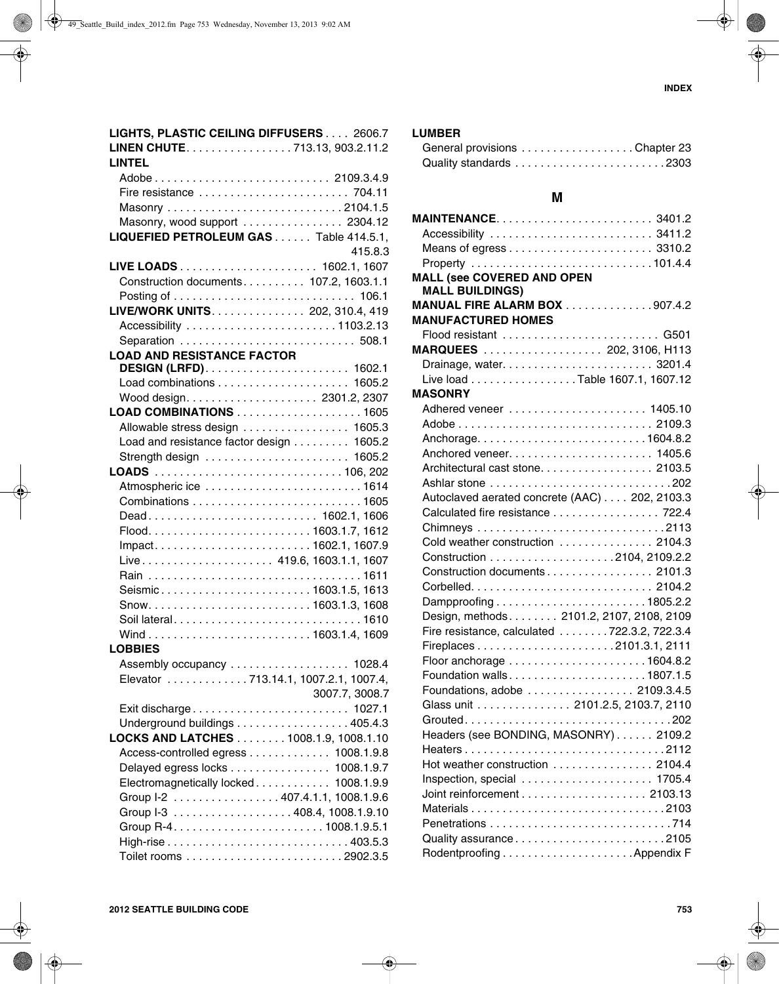|                                   | LIGHTS, PLASTIC CEILING DIFFUSERS 2606.7 |
|-----------------------------------|------------------------------------------|
|                                   | LINEN CHUTE. 713.13, 903.2.11.2          |
| LINTEL                            |                                          |
|                                   | Adobe 2109.3.4.9                         |
|                                   |                                          |
|                                   |                                          |
|                                   | Masonry, wood support  2304.12           |
|                                   | LIQUEFIED PETROLEUM GAS Table 414.5.1,   |
|                                   | 415.8.3                                  |
|                                   |                                          |
|                                   | Construction documents 107.2, 1603.1.1   |
|                                   |                                          |
|                                   | LIVE/WORK UNITS. 202, 310.4, 419         |
|                                   | Accessibility 1103.2.13                  |
|                                   |                                          |
| <b>LOAD AND RESISTANCE FACTOR</b> |                                          |
|                                   |                                          |
|                                   |                                          |
|                                   |                                          |
|                                   | LOAD COMBINATIONS 1605                   |
|                                   | Allowable stress design 1605.3           |
|                                   | Load and resistance factor design 1605.2 |
|                                   | Strength design  1605.2                  |
|                                   |                                          |
|                                   | Atmospheric ice 1614                     |
|                                   |                                          |
|                                   | Dead 1602.1, 1606                        |
|                                   |                                          |
|                                   | Impact1602.1, 1607.9                     |
|                                   | Live 419.6, 1603.1.1, 1607               |
|                                   |                                          |
|                                   | Seismic1603.1.5, 1613                    |
|                                   |                                          |
|                                   |                                          |
|                                   | Soil lateral1610                         |
| <b>LOBBIES</b>                    |                                          |
|                                   | Assembly occupancy 1028.4                |
|                                   | Elevator 713.14.1, 1007.2.1, 1007.4,     |
|                                   | 3007.7, 3008.7                           |
|                                   | Exit discharge 1027.1                    |
|                                   | Underground buildings 405.4.3            |
|                                   | LOCKS AND LATCHES 1008.1.9, 1008.1.10    |
|                                   | Access-controlled egress 1008.1.9.8      |
|                                   | Delayed egress locks 1008.1.9.7          |
|                                   | Electromagnetically locked 1008.1.9.9    |
|                                   | Group I-2 407.4.1.1, 1008.1.9.6          |
|                                   | Group I-3 408.4, 1008.1.9.10             |
|                                   |                                          |
|                                   |                                          |
|                                   |                                          |
|                                   |                                          |

### **LUMBER**

| General provisions Chapter 23 |  |  |  |  |  |  |  |  |  |  |  |  |
|-------------------------------|--|--|--|--|--|--|--|--|--|--|--|--|
|                               |  |  |  |  |  |  |  |  |  |  |  |  |

# **M**

| MAINTENANCE3401.2                                           |  |
|-------------------------------------------------------------|--|
| Accessibility  3411.2                                       |  |
|                                                             |  |
|                                                             |  |
| <b>MALL (see COVERED AND OPEN</b><br><b>MALL BUILDINGS)</b> |  |
| <b>MANUAL FIRE ALARM BOX</b> 907.4.2                        |  |
| <b>MANUFACTURED HOMES</b>                                   |  |
|                                                             |  |
| MARQUEES 202, 3106, H113                                    |  |
|                                                             |  |
| Live load Table 1607.1, 1607.12                             |  |
| <b>MASONRY</b>                                              |  |
|                                                             |  |
|                                                             |  |
| Anchorage1604.8.2                                           |  |
|                                                             |  |
| Architectural cast stone. 2103.5                            |  |
|                                                             |  |
| Autoclaved aerated concrete (AAC) 202, 2103.3               |  |
| Calculated fire resistance 722.4                            |  |
|                                                             |  |
| Cold weather construction  2104.3                           |  |
|                                                             |  |
| Construction documents 2101.3                               |  |
|                                                             |  |
| Dampproofing1805.2.2                                        |  |
| Design, methods. 2101.2, 2107, 2108, 2109                   |  |
| Fire resistance, calculated 722.3.2, 722.3.4                |  |
|                                                             |  |
|                                                             |  |
|                                                             |  |
| Foundations, adobe  2109.3.4.5                              |  |
| Glass unit 2101.2.5, 2103.7, 2110                           |  |
|                                                             |  |
| Headers (see BONDING, MASONRY) 2109.2                       |  |
| Heaters2112                                                 |  |
| Hot weather construction 2104.4                             |  |
| Inspection, special  1705.4                                 |  |
|                                                             |  |
|                                                             |  |
|                                                             |  |
|                                                             |  |
|                                                             |  |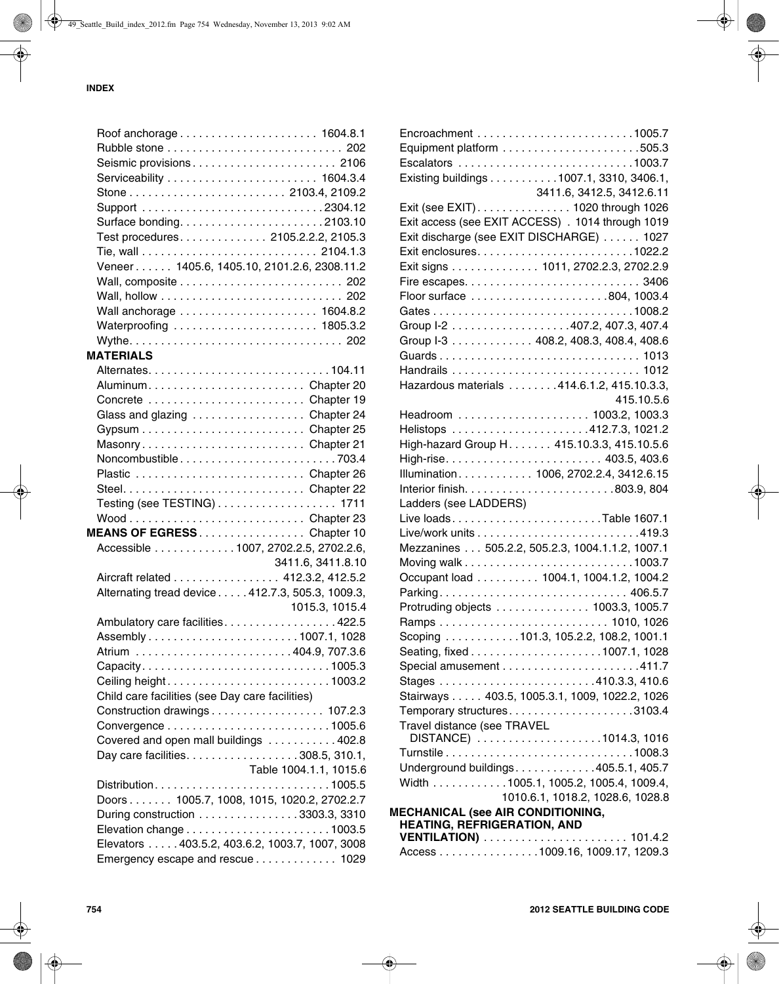| Seismic provisions 2106                          |                        |
|--------------------------------------------------|------------------------|
|                                                  |                        |
|                                                  |                        |
|                                                  |                        |
| Surface bonding2103.10                           |                        |
| Test procedures. 2105.2.2.2, 2105.3              |                        |
|                                                  |                        |
| Veneer 1405.6, 1405.10, 2101.2.6, 2308.11.2      |                        |
|                                                  |                        |
|                                                  |                        |
|                                                  |                        |
| Waterproofing  1805.3.2                          |                        |
|                                                  |                        |
| <b>MATERIALS</b>                                 |                        |
|                                                  |                        |
|                                                  |                        |
| AluminumChapter 20                               |                        |
| Concrete Chapter 19                              |                        |
| Glass and glazing Chapter 24                     |                        |
|                                                  |                        |
| MasonryChapter 21                                |                        |
| Noncombustible703.4                              |                        |
| Plastic  Chapter 26                              |                        |
|                                                  |                        |
| Testing (see TESTING) 1711                       |                        |
|                                                  |                        |
| MEANS OF EGRESSChapter 10                        |                        |
| Accessible 1007, 2702.2.5, 2702.2.6,             |                        |
|                                                  | 3411.6, 3411.8.10      |
| Aircraft related 412.3.2, 412.5.2                |                        |
| Alternating tread device 412.7.3, 505.3, 1009.3, |                        |
|                                                  | 1015.3, 1015.4         |
| Ambulatory care facilities422.5                  |                        |
|                                                  |                        |
|                                                  |                        |
| Capacity1005.3                                   |                        |
| Ceiling height1003.2                             |                        |
| Child care facilities (see Day care facilities)  |                        |
| Construction drawings 107.2.3                    |                        |
|                                                  |                        |
| Covered and open mall buildings 402.8            |                        |
| Day care facilities. 308.5, 310.1,               |                        |
|                                                  | Table 1004.1.1, 1015.6 |
|                                                  |                        |
| Doors 1005.7, 1008, 1015, 1020.2, 2702.2.7       |                        |
| During construction 3303.3, 3310                 |                        |
|                                                  |                        |
| Elevators 403.5.2, 403.6.2, 1003.7, 1007, 3008   |                        |
| Emergency escape and rescue 1029                 |                        |

|                                          | Existing buildings 1007.1, 3310, 3406.1,          |
|------------------------------------------|---------------------------------------------------|
|                                          | 3411.6, 3412.5, 3412.6.11                         |
|                                          | Exit (see EXIT). 1020 through 1026                |
|                                          | Exit access (see EXIT ACCESS) . 1014 through 1019 |
|                                          | Exit discharge (see EXIT DISCHARGE)  1027         |
|                                          |                                                   |
|                                          | Exit signs 1011, 2702.2.3, 2702.2.9               |
|                                          |                                                   |
|                                          | Floor surface 804, 1003.4                         |
|                                          |                                                   |
|                                          | Group I-2 407.2, 407.3, 407.4                     |
|                                          | Group I-3 408.2, 408.3, 408.4, 408.6              |
|                                          |                                                   |
|                                          |                                                   |
|                                          | Hazardous materials 414.6.1.2, 415.10.3.3,        |
|                                          | 415.10.5.6                                        |
|                                          | Headroom  1003.2, 1003.3                          |
|                                          |                                                   |
|                                          | High-hazard Group H. 415.10.3.3, 415.10.5.6       |
|                                          | High-rise 403.5, 403.6                            |
|                                          | Illumination 1006, 2702.2.4, 3412.6.15            |
|                                          |                                                   |
| Ladders (see LADDERS)                    |                                                   |
|                                          |                                                   |
|                                          |                                                   |
|                                          | Mezzanines 505.2.2, 505.2.3, 1004.1.1.2, 1007.1   |
|                                          |                                                   |
|                                          | Occupant load 1004.1, 1004.1.2, 1004.2            |
|                                          | Parking 406.5.7                                   |
|                                          | Protruding objects 1003.3, 1005.7                 |
|                                          |                                                   |
|                                          | Scoping 101.3, 105.2.2, 108.2, 1001.1             |
|                                          | Seating, fixed1007.1, 1028                        |
|                                          |                                                   |
|                                          |                                                   |
|                                          | Stairways 403.5, 1005.3.1, 1009, 1022.2, 1026     |
|                                          | Temporary structures3103.4                        |
| Travel distance (see TRAVEL              |                                                   |
|                                          | DISTANCE) 1014.3, 1016                            |
|                                          |                                                   |
|                                          | Underground buildings405.5.1, 405.7               |
|                                          | Width 1005.1, 1005.2, 1005.4, 1009.4,             |
|                                          | 1010.6.1, 1018.2, 1028.6, 1028.8                  |
| <b>MECHANICAL (see AIR CONDITIONING,</b> |                                                   |
| <b>HEATING, REFRIGERATION, AND</b>       |                                                   |
|                                          | Access 1009.16, 1009.17, 1209.3                   |
|                                          |                                                   |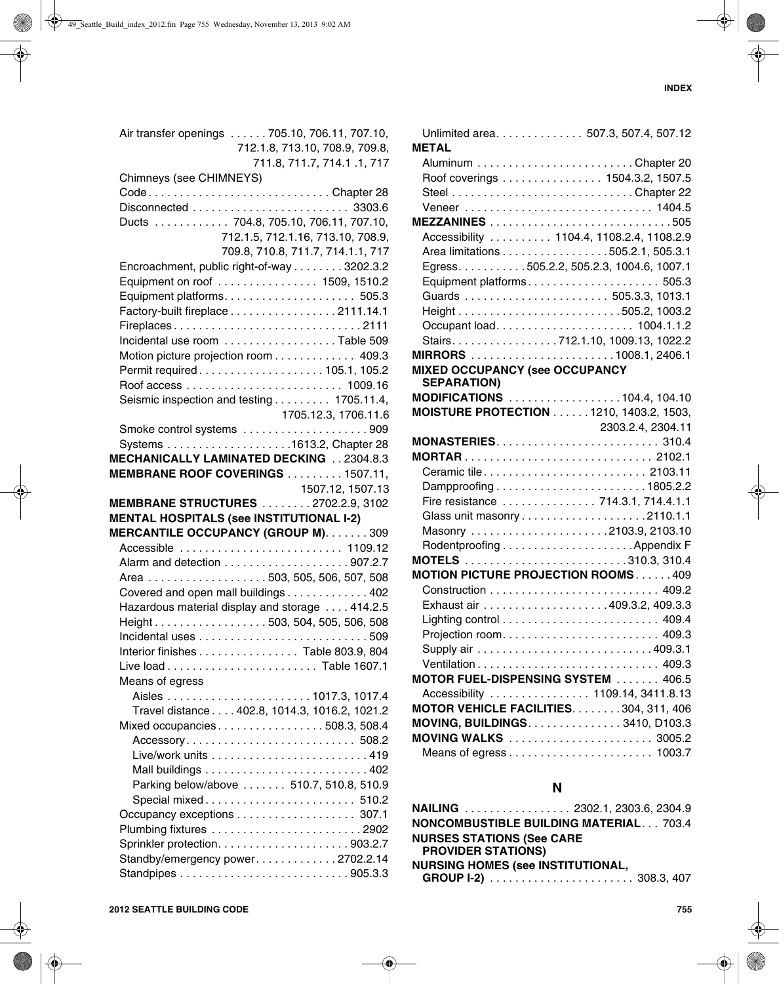| Air transfer openings  705.10, 706.11, 707.10,  |
|-------------------------------------------------|
| 712.1.8, 713.10, 708.9, 709.8,                  |
| 711.8, 711.7, 714.1 .1, 717                     |
| Chimneys (see CHIMNEYS)                         |
| CodeChapter 28                                  |
|                                                 |
|                                                 |
| Ducts 704.8, 705.10, 706.11, 707.10,            |
| 712.1.5, 712.1.16, 713.10, 708.9,               |
| 709.8, 710.8, 711.7, 714.1.1, 717               |
| Encroachment, public right-of-way 3202.3.2      |
| Equipment on roof 1509, 1510.2                  |
|                                                 |
| Factory-built fireplace 2111.14.1               |
| Fireplaces2111                                  |
| Incidental use room Table 509                   |
| Motion picture projection room 409.3            |
| Permit required105.1, 105.2                     |
|                                                 |
|                                                 |
| Seismic inspection and testing 1705.11.4,       |
| 1705.12.3, 1706.11.6                            |
| Smoke control systems 909                       |
|                                                 |
| MECHANICALLY LAMINATED DECKING 2304.8.3         |
| MEMBRANE ROOF COVERINGS 1507.11,                |
| 1507.12, 1507.13                                |
|                                                 |
| <b>MEMBRANE STRUCTURES</b> 2702.2.9, 3102       |
| <b>MENTAL HOSPITALS (see INSTITUTIONAL I-2)</b> |
|                                                 |
| MERCANTILE OCCUPANCY (GROUP M). 309             |
| Accessible  1109.12                             |
|                                                 |
| Area 503, 505, 506, 507, 508                    |
| Covered and open mall buildings 402             |
| Hazardous material display and storage  414.2.5 |
| Height503, 504, 505, 506, 508                   |
|                                                 |
| Interior finishes Table 803.9, 804              |
|                                                 |
| Means of egress                                 |
|                                                 |
| Travel distance 402.8, 1014.3, 1016.2, 1021.2   |
| Mixed occupancies508.3, 508.4                   |
|                                                 |
|                                                 |
|                                                 |
|                                                 |
| Parking below/above  510.7, 510.8, 510.9        |
| Special mixed 510.2                             |
| Occupancy exceptions 307.1                      |
|                                                 |
|                                                 |
| Standby/emergency power2702.2.14                |

| Unlimited area 507.3, 507.4, 507.12            |
|------------------------------------------------|
| <b>METAL</b>                                   |
|                                                |
| Roof coverings 1504.3.2, 1507.5                |
|                                                |
|                                                |
|                                                |
| Accessibility  1104.4, 1108.2.4, 1108.2.9      |
| Area limitations 505.2.1, 505.3.1              |
| Egress. 505.2.2, 505.2.3, 1004.6, 1007.1       |
| Equipment platforms 505.3                      |
|                                                |
|                                                |
| Occupant load 1004.1.1.2                       |
| Stairs712.1.10, 1009.13, 1022.2                |
|                                                |
| <b>MIXED OCCUPANCY (see OCCUPANCY</b>          |
| <b>SEPARATION)</b>                             |
| MODIFICATIONS 104.4, 104.10                    |
| <b>MOISTURE PROTECTION 1210, 1403.2, 1503,</b> |
| 2303.2.4, 2304.11                              |
| MONASTERIES 310.4                              |
|                                                |
| Ceramic tile 2103.11                           |
|                                                |
| Fire resistance  714.3.1, 714.4.1.1            |
|                                                |
| Masonry 2103.9, 2103.10                        |
|                                                |
|                                                |
| <b>MOTION PICTURE PROJECTION ROOMS409</b>      |
|                                                |
|                                                |
|                                                |
| Projection room 409.3                          |
|                                                |
|                                                |
| MOTOR FUEL-DISPENSING SYSTEM  406.5            |
| Accessibility  1109.14, 3411.8.13              |
| MOTOR VEHICLE FACILITIES. 304, 311, 406        |
| MOVING, BUILDINGS. 3410, D103.3                |
| MOVING WALKS  3005.2                           |
|                                                |
|                                                |
| N                                              |
| NAILING  2302.1, 2303.6, 2304.9                |
| <b>NONCOMBUSTIBLE BUILDING MATERIAL 703.4</b>  |
| <b>NURSES STATIONS (See CARE</b>               |

**GROUP I-2)** . . . . . . . . . . . . . . . . . . . . . . . 308.3, 407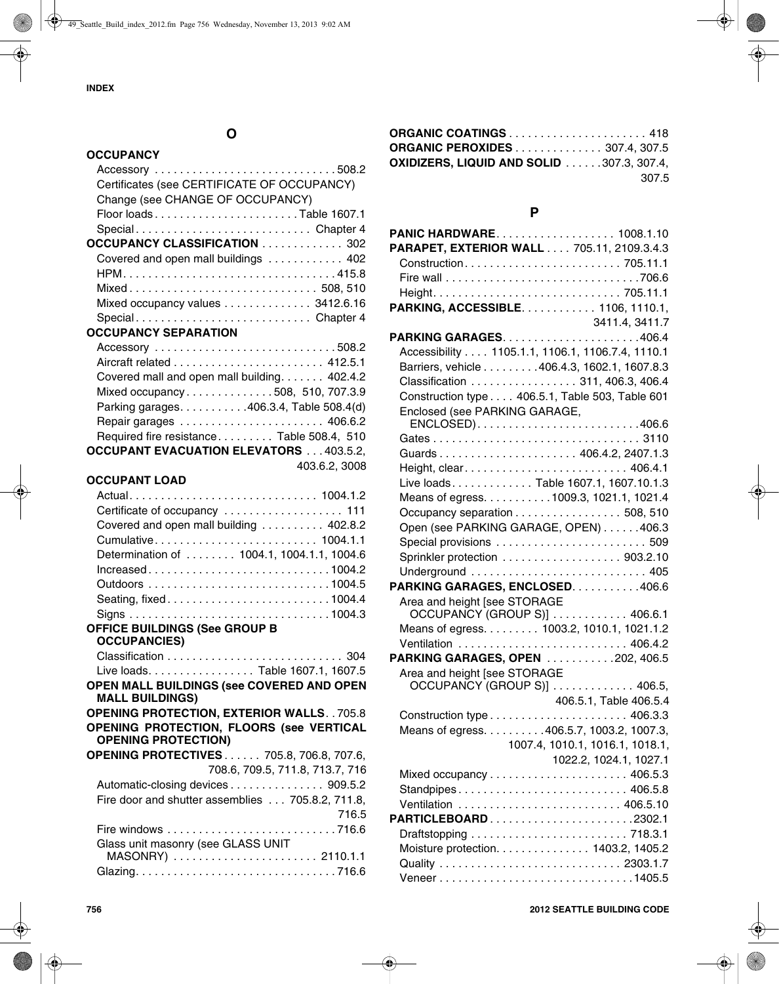# **O**

#### **OCCUPANCY**

| Certificates (see CERTIFICATE OF OCCUPANCY) |  |
|---------------------------------------------|--|
| Change (see CHANGE OF OCCUPANCY)            |  |
| Floor loadsTable 1607.1                     |  |
| SpecialChapter 4                            |  |
| OCCUPANCY CLASSIFICATION  302               |  |
| Covered and open mall buildings  402        |  |
|                                             |  |
| Mixed 508, 510                              |  |
| Mixed occupancy values 3412.6.16            |  |
| SpecialChapter 4                            |  |
| <b>OCCUPANCY SEPARATION</b>                 |  |
|                                             |  |

| Covered mall and open mall building. 402.4.2   |               |
|------------------------------------------------|---------------|
| Mixed occupancy508, 510, 707.3.9               |               |
| Parking garages. 406.3.4, Table 508.4(d)       |               |
|                                                |               |
| Required fire resistance Table 508.4, 510      |               |
| <b>OCCUPANT EVACUATION ELEVATORS  403.5.2,</b> |               |
|                                                | 403.6.2, 3008 |
|                                                |               |

#### **OCCUPANT LOAD**

| Covered and open mall building 402.8.2     |
|--------------------------------------------|
|                                            |
| Determination of  1004.1, 1004.1.1, 1004.6 |
|                                            |
|                                            |
|                                            |
|                                            |
|                                            |

#### **OFFICE BUILDINGS (See GROUP B OCCUPANCIES)**

| Live loads. Table 1607.1, 1607.5 |  |
|----------------------------------|--|

- **OPEN MALL BUILDINGS (see COVERED AND OPEN MALL BUILDINGS)**
- **OPENING PROTECTION, EXTERIOR WALLS**. . 705.8 **OPENING PROTECTION, FLOORS (see VERTICAL OPENING PROTECTION)**

| <b>OPENING PROTECTIVES 705.8, 706.8, 707.6,</b>   |
|---------------------------------------------------|
| 708.6, 709.5, 711.8, 713.7, 716                   |
| Automatic-closing devices 909.5.2                 |
| Fire door and shutter assemblies  705.8.2, 711.8, |
| 716.5                                             |
|                                                   |
| Glass unit masonry (see GLASS UNIT                |
| MASONRY)  2110.1.1                                |
|                                                   |
|                                                   |

| ORGANIC COATINGS  418                            |       |
|--------------------------------------------------|-------|
| <b>ORGANIC PEROXIDES 307.4, 307.5</b>            |       |
| <b>OXIDIZERS, LIQUID AND SOLID 307.3, 307.4,</b> |       |
|                                                  | 307.5 |

#### **P**

| PANIC HARDWARE 1008.1.10<br>PARAPET, EXTERIOR WALL 705.11, 2109.3.4.3 |                                                  |
|-----------------------------------------------------------------------|--------------------------------------------------|
|                                                                       |                                                  |
|                                                                       |                                                  |
|                                                                       |                                                  |
| PARKING, ACCESSIBLE. 1106, 1110.1,                                    |                                                  |
|                                                                       | 3411.4, 3411.7                                   |
|                                                                       |                                                  |
|                                                                       | Accessibility 1105.1.1, 1106.1, 1106.7.4, 1110.1 |
|                                                                       | Barriers, vehicle 406.4.3, 1602.1, 1607.8.3      |
|                                                                       | Classification  311, 406.3, 406.4                |
|                                                                       | Construction type 406.5.1, Table 503, Table 601  |
| Enclosed (see PARKING GARAGE,                                         |                                                  |
|                                                                       |                                                  |
|                                                                       |                                                  |
|                                                                       |                                                  |
|                                                                       |                                                  |
|                                                                       | Live loads. Table 1607.1, 1607.10.1.3            |
|                                                                       | Means of egress. 1009.3, 1021.1, 1021.4          |
|                                                                       | Occupancy separation 508, 510                    |
|                                                                       | Open (see PARKING GARAGE, OPEN) 406.3            |
|                                                                       | Special provisions  509                          |
|                                                                       | Sprinkler protection 903.2.10                    |
|                                                                       |                                                  |
| PARKING GARAGES, ENCLOSED. 406.6                                      |                                                  |
| Area and height [see STORAGE                                          |                                                  |
|                                                                       | OCCUPANCY (GROUP S)]  406.6.1                    |
|                                                                       | Means of egress. 1003.2, 1010.1, 1021.1.2        |
|                                                                       |                                                  |
| PARKING GARAGES, OPEN 202, 406.5                                      |                                                  |
| Area and height [see STORAGE                                          |                                                  |
|                                                                       | OCCUPANCY (GROUP S)]  406.5,                     |
|                                                                       | 406.5.1, Table 406.5.4                           |
|                                                                       |                                                  |
|                                                                       | Means of egress. 406.5.7, 1003.2, 1007.3,        |
|                                                                       | 1007.4, 1010.1, 1016.1, 1018.1,                  |
|                                                                       | 1022.2, 1024.1, 1027.1                           |
|                                                                       |                                                  |
|                                                                       | Standpipes 406.5.8                               |
|                                                                       |                                                  |
| PARTICLEBOARD2302.1                                                   |                                                  |
|                                                                       |                                                  |
|                                                                       | Moisture protection. 1403.2, 1405.2              |
|                                                                       |                                                  |
|                                                                       | Veneer1405.5                                     |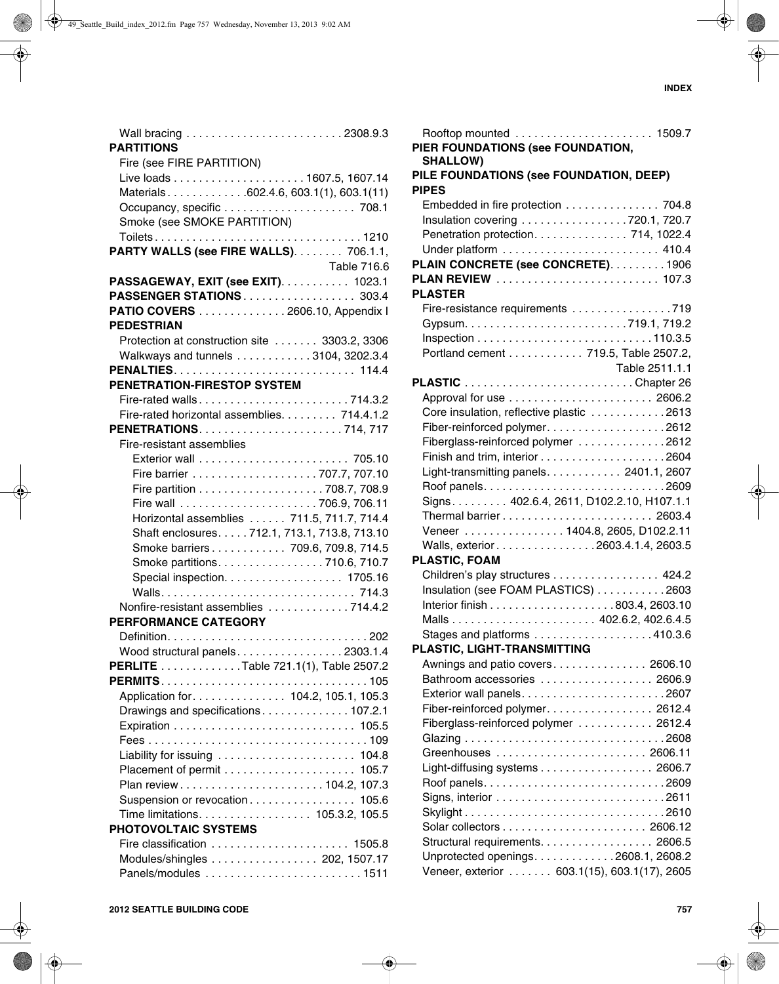| <b>PARTITIONS</b>                             |
|-----------------------------------------------|
| Fire (see FIRE PARTITION)                     |
|                                               |
|                                               |
| Materials602.4.6, 603.1(1), 603.1(11)         |
|                                               |
| Smoke (see SMOKE PARTITION)                   |
|                                               |
| <b>PARTY WALLS (see FIRE WALLS) 706.1.1,</b>  |
| Table 716.6                                   |
| PASSAGEWAY, EXIT (see EXIT). 1023.1           |
| PASSENGER STATIONS 303.4                      |
| PATIO COVERS 2606.10, Appendix I              |
| <b>PEDESTRIAN</b>                             |
|                                               |
| Protection at construction site  3303.2, 3306 |
| Walkways and tunnels 3104, 3202.3.4           |
| PENALTIES 114.4                               |
| PENETRATION-FIRESTOP SYSTEM                   |
|                                               |
| Fire-rated horizontal assemblies. 714.4.1.2   |
|                                               |
| Fire-resistant assemblies                     |
|                                               |
|                                               |
|                                               |
|                                               |
| Horizontal assemblies  711.5, 711.7, 714.4    |
| Shaft enclosures. 712.1, 713.1, 713.8, 713.10 |
|                                               |
| Smoke barriers 709.6, 709.8, 714.5            |
| Smoke partitions. 710.6, 710.7                |
| Special inspection. 1705.16                   |
|                                               |
| Nonfire-resistant assemblies 714.4.2          |
| <b>PERFORMANCE CATEGORY</b>                   |
|                                               |
| Wood structural panels2303.1.4                |
| PERLITE Table 721.1(1), Table 2507.2          |
|                                               |
| Application for. 104.2, 105.1, 105.3          |
| Drawings and specifications107.2.1            |
|                                               |
|                                               |
|                                               |
| Liability for issuing  104.8                  |
|                                               |
|                                               |
| Suspension or revocation<br>105.6             |
| Time limitations. 105.3.2, 105.5              |
| <b>PHOTOVOLTAIC SYSTEMS</b>                   |
|                                               |
| Modules/shingles  202, 1507.17                |
| Panels/modules 1511                           |
|                                               |

| PIER FOUNDATIONS (see FOUNDATION,<br><b>SHALLOW)</b>              |
|-------------------------------------------------------------------|
| PILE FOUNDATIONS (see FOUNDATION, DEEP)<br><b>PIPES</b>           |
| Embedded in fire protection 704.8                                 |
| Insulation covering 720.1, 720.7                                  |
| Penetration protection. 714, 1022.4                               |
|                                                                   |
| PLAIN CONCRETE (see CONCRETE). 1906                               |
| PLAN REVIEW  107.3                                                |
| <b>PLASTER</b>                                                    |
| Fire-resistance requirements 719                                  |
|                                                                   |
|                                                                   |
| Portland cement 719.5, Table 2507.2,                              |
| Table 2511.1.1                                                    |
|                                                                   |
|                                                                   |
| Core insulation, reflective plastic 2613                          |
|                                                                   |
| Fiberglass-reinforced polymer 2612                                |
|                                                                   |
| Light-transmitting panels. 2401.1, 2607                           |
|                                                                   |
| Signs. 402.6.4, 2611, D102.2.10, H107.1.1                         |
|                                                                   |
| Veneer 1404.8, 2605, D102.2.11                                    |
| Walls, exterior 2603.4.1.4, 2603.5                                |
| PLASTIC, FOAM                                                     |
| Children's play structures 424.2                                  |
| Insulation (see FOAM PLASTICS) 2603                               |
|                                                                   |
|                                                                   |
| Stages and platforms $\ldots \ldots \ldots \ldots \ldots$ 410.3.6 |
| PLASTIC, LIGHT-TRANSMITTING                                       |
| Awnings and patio covers 2606.10                                  |
| Bathroom accessories  2606.9                                      |
|                                                                   |
| Fiber-reinforced polymer. 2612.4                                  |
| Fiberglass-reinforced polymer  2612.4                             |
|                                                                   |
|                                                                   |
| Light-diffusing systems 2606.7                                    |
|                                                                   |
|                                                                   |
|                                                                   |
|                                                                   |
| Structural requirements. 2606.5                                   |
| Unprotected openings. 2608.1, 2608.2                              |
| Veneer, exterior 603.1(15), 603.1(17), 2605                       |
|                                                                   |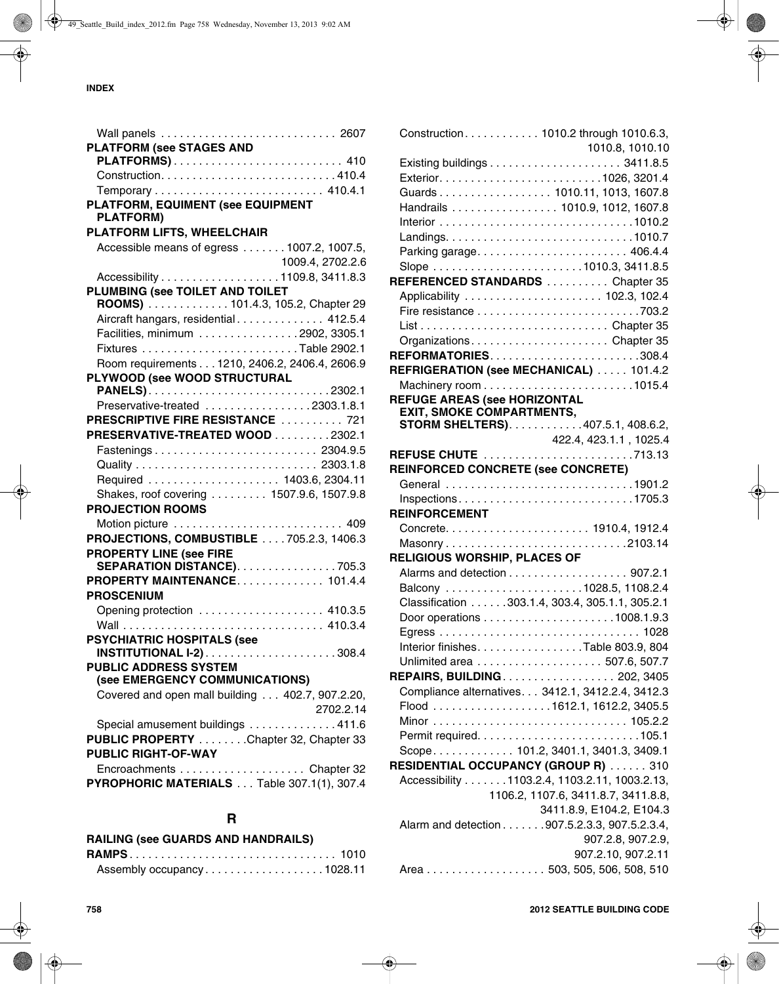| <b>PLATFORM (see STAGES AND</b>                                       |
|-----------------------------------------------------------------------|
| PLATFORMS) 410                                                        |
|                                                                       |
|                                                                       |
| PLATFORM, EQUIMENT (see EQUIPMENT                                     |
| <b>PLATFORM)</b>                                                      |
| PLATFORM LIFTS, WHEELCHAIR                                            |
| Accessible means of egress 1007.2, 1007.5,                            |
| 1009.4, 2702.2.6                                                      |
| Accessibility 1109.8, 3411.8.3                                        |
|                                                                       |
| PLUMBING (see TOILET AND TOILET<br>ROOMS)  101.4.3, 105.2, Chapter 29 |
|                                                                       |
| Aircraft hangars, residential 412.5.4                                 |
| Facilities, minimum 2902, 3305.1                                      |
|                                                                       |
| Room requirements 1210, 2406.2, 2406.4, 2606.9                        |
| PLYWOOD (see WOOD STRUCTURAL                                          |
|                                                                       |
| Preservative-treated 2303.1.8.1                                       |
| PRESCRIPTIVE FIRE RESISTANCE  721                                     |
| PRESERVATIVE-TREATED WOOD 2302.1                                      |
| Fastenings 2304.9.5                                                   |
|                                                                       |
| Required  1403.6, 2304.11                                             |
| Shakes, roof covering  1507.9.6, 1507.9.8                             |
| <b>PROJECTION ROOMS</b>                                               |
|                                                                       |
| PROJECTIONS, COMBUSTIBLE  . 705.2.3, 1406.3                           |
| <b>PROPERTY LINE (see FIRE</b>                                        |
| SEPARATION DISTANCE). 705.3                                           |
| PROPERTY MAINTENANCE 101.4.4                                          |
| <b>PROSCENIUM</b>                                                     |
| Opening protection  410.3.5                                           |
|                                                                       |
|                                                                       |
| <b>PSYCHIATRIC HOSPITALS (see</b>                                     |
| <b>PUBLIC ADDRESS SYSTEM</b>                                          |
| (see EMERGENCY COMMUNICATIONS)                                        |
|                                                                       |
| Covered and open mall building 402.7, 907.2.20,                       |
| 2702.2.14                                                             |
| Special amusement buildings 411.6                                     |
| PUBLIC PROPERTY Chapter 32, Chapter 33                                |
| <b>PUBLIC RIGHT-OF-WAY</b>                                            |
|                                                                       |
| PYROPHORIC MATERIALS Table 307.1(1), 307.4                            |
|                                                                       |

# **R**

| RAILING (see GUARDS AND HANDRAILS) |  |
|------------------------------------|--|
|                                    |  |
| Assembly occupancy1028.11          |  |

|                                           | Construction. 1010.2 through 1010.6.3,            |
|-------------------------------------------|---------------------------------------------------|
|                                           | 1010.8, 1010.10                                   |
|                                           |                                                   |
|                                           |                                                   |
|                                           | Guards 1010.11, 1013, 1607.8                      |
|                                           | Handrails 1010.9, 1012, 1607.8                    |
|                                           |                                                   |
|                                           |                                                   |
|                                           |                                                   |
|                                           |                                                   |
|                                           | REFERENCED STANDARDS Chapter 35                   |
|                                           |                                                   |
|                                           |                                                   |
|                                           |                                                   |
|                                           | OrganizationsChapter 35                           |
|                                           | REFORMATORIES308.4                                |
|                                           | REFRIGERATION (see MECHANICAL)  101.4.2           |
|                                           |                                                   |
| <b>REFUGE AREAS (see HORIZONTAL</b>       |                                                   |
| <b>EXIT, SMOKE COMPARTMENTS,</b>          |                                                   |
|                                           | STORM SHELTERS)407.5.1, 408.6.2,                  |
|                                           | 422.4, 423.1.1, 1025.4                            |
|                                           | REFUSE CHUTE 713.13                               |
| <b>REINFORCED CONCRETE (see CONCRETE)</b> |                                                   |
|                                           | General 1901.2                                    |
|                                           |                                                   |
| <b>REINFORCEMENT</b>                      |                                                   |
|                                           |                                                   |
|                                           |                                                   |
| <b>RELIGIOUS WORSHIP, PLACES OF</b>       |                                                   |
|                                           | Alarms and detection 907.2.1                      |
|                                           |                                                   |
|                                           | Classification 303.1.4, 303.4, 305.1.1, 305.2.1   |
|                                           |                                                   |
|                                           |                                                   |
|                                           | Interior finishes. Table 803.9, 804               |
|                                           |                                                   |
|                                           | <b>REPAIRS, BUILDING 202, 3405</b>                |
|                                           | Compliance alternatives. 3412.1, 3412.2.4, 3412.3 |
|                                           |                                                   |
|                                           |                                                   |
|                                           |                                                   |
|                                           | Scope 101.2, 3401.1, 3401.3, 3409.1               |
|                                           | <b>RESIDENTIAL OCCUPANCY (GROUP R)  310</b>       |
|                                           | Accessibility 1103.2.4, 1103.2.11, 1003.2.13,     |
|                                           | 1106.2, 1107.6, 3411.8.7, 3411.8.8,               |
|                                           | 3411.8.9, E104.2, E104.3                          |
|                                           | Alarm and detection 907.5.2.3.3, 907.5.2.3.4,     |
|                                           |                                                   |
|                                           | 907.2.8, 907.2.9,                                 |
|                                           | 907.2.10, 907.2.11                                |
|                                           | Area 503, 505, 506, 508, 510                      |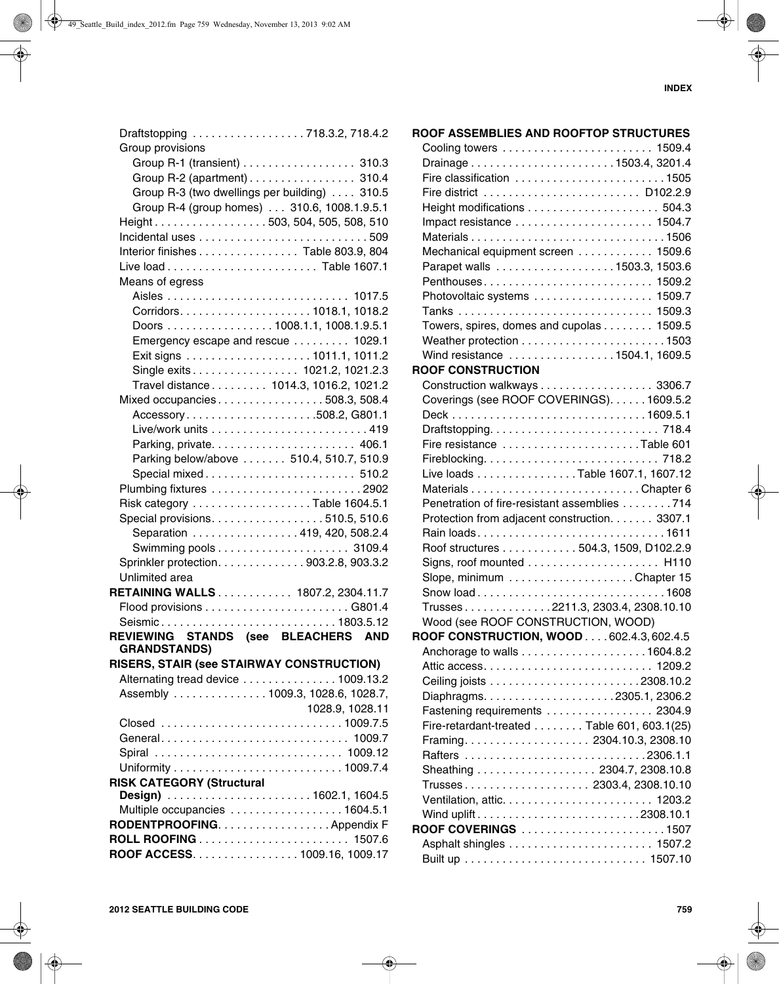|                                  | Draftstopping 718.3.2, 718.4.2               |
|----------------------------------|----------------------------------------------|
| Group provisions                 |                                              |
|                                  | Group R-1 (transient) 310.3                  |
|                                  | Group R-2 (apartment) 310.4                  |
|                                  | Group R-3 (two dwellings per building) 310.5 |
|                                  | Group R-4 (group homes) 310.6, 1008.1.9.5.1  |
|                                  | Height503, 504, 505, 508, 510                |
|                                  |                                              |
|                                  | Interior finishes Table 803.9, 804           |
|                                  |                                              |
| Means of egress                  |                                              |
|                                  |                                              |
|                                  |                                              |
|                                  |                                              |
|                                  | Doors 1008.1.1, 1008.1.9.5.1                 |
|                                  | Emergency escape and rescue  1029.1          |
|                                  |                                              |
|                                  | Single exits 1021.2, 1021.2.3                |
|                                  | Travel distance 1014.3, 1016.2, 1021.2       |
|                                  | Mixed occupancies508.3, 508.4                |
|                                  | Accessory508.2, G801.1                       |
|                                  |                                              |
|                                  |                                              |
|                                  | Parking below/above  510.4, 510.7, 510.9     |
|                                  | Special mixed 510.2                          |
|                                  |                                              |
|                                  | Risk category Table 1604.5.1                 |
|                                  | Special provisions. 510.5, 510.6             |
|                                  | Separation 419, 420, 508.2.4                 |
|                                  |                                              |
|                                  | Sprinkler protection. 903.2.8, 903.3.2       |
| Unlimited area                   |                                              |
|                                  | RETAINING WALLS 1807.2, 2304.11.7            |
|                                  |                                              |
|                                  | Seismic1803.5.12                             |
|                                  | REVIEWING STANDS (see BLEACHERS AND          |
| <b>GRANDSTANDS)</b>              |                                              |
|                                  | RISERS, STAIR (see STAIRWAY CONSTRUCTION)    |
|                                  | Alternating tread device 1009.13.2           |
|                                  | Assembly  1009.3, 1028.6, 1028.7,            |
|                                  | 1028.9, 1028.11                              |
|                                  | Closed 1009.7.5                              |
|                                  | General 1009.7                               |
|                                  |                                              |
|                                  |                                              |
| <b>RISK CATEGORY (Structural</b> |                                              |
|                                  |                                              |
|                                  | Multiple occupancies 1604.5.1                |
|                                  | RODENTPROOFING. Appendix F                   |
|                                  |                                              |
|                                  | ROOF ACCESS. 1009.16, 1009.17                |
|                                  |                                              |

| ROOF ASSEMBLIES AND ROOFTOP STRUCTURES          |  |
|-------------------------------------------------|--|
|                                                 |  |
| Drainage1503.4, 3201.4                          |  |
| Fire classification 1505                        |  |
|                                                 |  |
|                                                 |  |
|                                                 |  |
|                                                 |  |
| Mechanical equipment screen 1509.6              |  |
|                                                 |  |
| Penthouses 1509.2                               |  |
| Photovoltaic systems  1509.7                    |  |
|                                                 |  |
| Towers, spires, domes and cupolas 1509.5        |  |
|                                                 |  |
| Wind resistance 1504.1, 1609.5                  |  |
| <b>ROOF CONSTRUCTION</b>                        |  |
| Construction walkways 3306.7                    |  |
| Coverings (see ROOF COVERINGS). 1609.5.2        |  |
|                                                 |  |
|                                                 |  |
| Fire resistance Table 601                       |  |
|                                                 |  |
| Live loads Table 1607.1, 1607.12                |  |
|                                                 |  |
| Penetration of fire-resistant assemblies 714    |  |
| Protection from adjacent construction. 3307.1   |  |
|                                                 |  |
| Roof structures 504.3, 1509, D102.2.9           |  |
|                                                 |  |
|                                                 |  |
| Snow load1608                                   |  |
| Trusses2211.3, 2303.4, 2308.10.10               |  |
| Wood (see ROOF CONSTRUCTION, WOOD)              |  |
| <b>ROOF CONSTRUCTION, WOOD 602.4.3, 602.4.5</b> |  |
|                                                 |  |
|                                                 |  |
|                                                 |  |
|                                                 |  |
| Fastening requirements 2304.9                   |  |
| Fire-retardant-treated Table 601, 603.1(25)     |  |
|                                                 |  |
|                                                 |  |
| Sheathing 2304.7, 2308.10.8                     |  |
| Trusses 2303.4, 2308.10.10                      |  |
|                                                 |  |
| Wind uplift2308.10.1                            |  |
| ROOF COVERINGS 1507                             |  |
|                                                 |  |
|                                                 |  |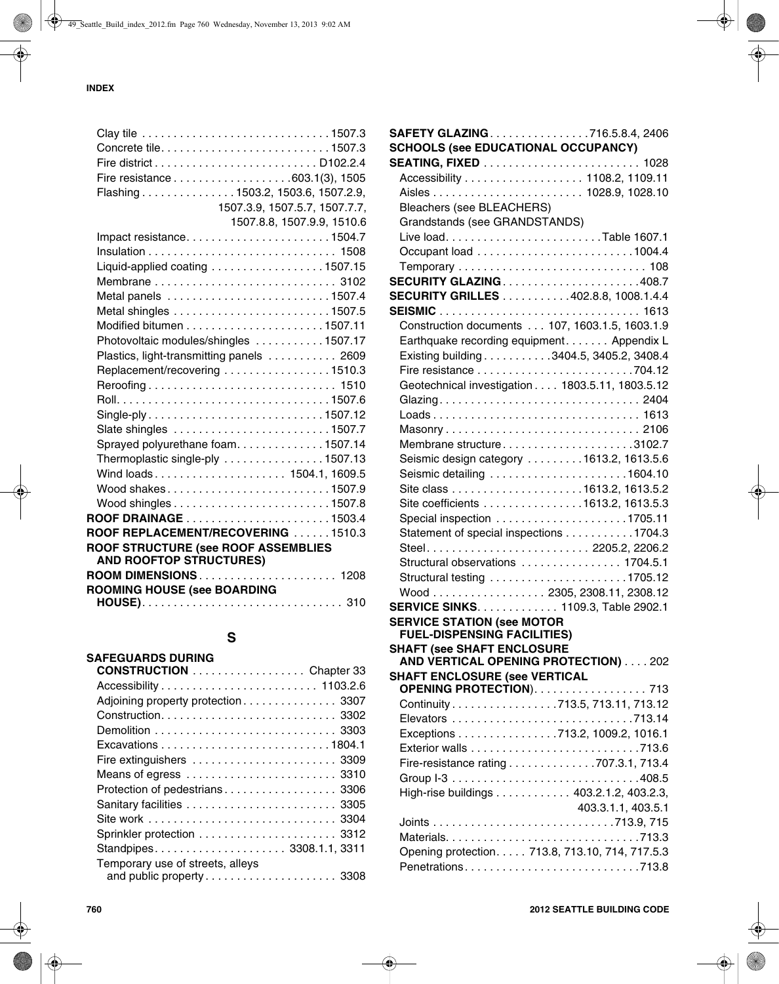| Concrete tile1507.3                       |                               |
|-------------------------------------------|-------------------------------|
|                                           |                               |
|                                           |                               |
| Flashing 1503.2, 1503.6, 1507.2.9,        |                               |
|                                           | 1507.3.9, 1507.5.7, 1507.7.7, |
|                                           | 1507.8.8, 1507.9.9, 1510.6    |
|                                           |                               |
|                                           |                               |
| Liquid-applied coating 1507.15            |                               |
|                                           |                               |
|                                           |                               |
|                                           |                               |
|                                           |                               |
| Photovoltaic modules/shingles 1507.17     |                               |
| Plastics, light-transmitting panels  2609 |                               |
| Replacement/recovering 1510.3             |                               |
|                                           |                               |
|                                           |                               |
| Single-ply1507.12                         |                               |
|                                           |                               |
| Sprayed polyurethane foam1507.14          |                               |
| Thermoplastic single-ply 1507.13          |                               |
| Wind loads 1504.1, 1609.5                 |                               |
| Wood shakes1507.9                         |                               |
|                                           |                               |
|                                           |                               |
| ROOF REPLACEMENT/RECOVERING 1510.3        |                               |
| ROOF STRUCTURE (see ROOF ASSEMBLIES       |                               |
| <b>AND ROOFTOP STRUCTURES)</b>            |                               |
| ROOM DIMENSIONS 1208                      |                               |
| <b>ROOMING HOUSE (see BOARDING</b>        |                               |
|                                           |                               |

## **S**

| <b>SAFEGUARDS DURING</b>           |  |
|------------------------------------|--|
| <b>CONSTRUCTION</b> Chapter 33     |  |
|                                    |  |
| Adjoining property protection 3307 |  |
|                                    |  |
|                                    |  |
|                                    |  |
| Fire extinguishers  3309           |  |
|                                    |  |
| Protection of pedestrians 3306     |  |
|                                    |  |
|                                    |  |
|                                    |  |
| Standpipes 3308.1.1, 3311          |  |
| Temporary use of streets, alleys   |  |
|                                    |  |

| SAFETY GLAZING. 716.5.8.4, 2406                                  |                    |
|------------------------------------------------------------------|--------------------|
| <b>SCHOOLS (see EDUCATIONAL OCCUPANCY)</b>                       |                    |
|                                                                  |                    |
| Accessibility 1108.2, 1109.11                                    |                    |
|                                                                  |                    |
| <b>Bleachers (see BLEACHERS)</b>                                 |                    |
| Grandstands (see GRANDSTANDS)                                    |                    |
|                                                                  |                    |
|                                                                  |                    |
|                                                                  |                    |
| <b>SECURITY GLAZING408.7</b>                                     |                    |
| <b>SECURITY GRILLES</b> 402.8.8, 1008.1.4.4                      |                    |
|                                                                  |                    |
| Construction documents 107, 1603.1.5, 1603.1.9                   |                    |
| Earthquake recording equipment. Appendix L                       |                    |
| Existing building 3404.5, 3405.2, 3408.4                         |                    |
|                                                                  |                    |
| Geotechnical investigation 1803.5.11, 1803.5.12                  |                    |
| Glazing 2404                                                     |                    |
| Loads 1613                                                       |                    |
|                                                                  |                    |
| Membrane structure3102.7                                         |                    |
| Seismic design category 1613.2, 1613.5.6                         |                    |
| Seismic detailing 1604.10                                        |                    |
|                                                                  |                    |
| Site coefficients 1613.2, 1613.5.3                               |                    |
|                                                                  |                    |
| Statement of special inspections 1704.3                          |                    |
| Steel 2205.2, 2206.2                                             |                    |
| Structural observations  1704.5.1                                |                    |
| Structural testing 1705.12                                       |                    |
| Wood 2305, 2308.11, 2308.12                                      |                    |
| SERVICE SINKS. 1109.3, Table 2902.1                              |                    |
| <b>SERVICE STATION (see MOTOR</b>                                |                    |
| <b>FUEL-DISPENSING FACILITIES)</b>                               |                    |
| <b>SHAFT (see SHAFT ENCLOSURE</b>                                |                    |
| AND VERTICAL OPENING PROTECTION) 202                             |                    |
| <b>SHAFT ENCLOSURE (see VERTICAL</b><br>OPENING PROTECTION). 713 |                    |
| Continuity 713.5, 713.11, 713.12                                 |                    |
|                                                                  |                    |
| Exceptions 713.2, 1009.2, 1016.1                                 |                    |
|                                                                  |                    |
| Fire-resistance rating 707.3.1, 713.4                            |                    |
|                                                                  |                    |
| High-rise buildings 403.2.1.2, 403.2.3,                          |                    |
|                                                                  |                    |
|                                                                  | 403.3.1.1, 403.5.1 |
|                                                                  |                    |
|                                                                  |                    |
| Opening protection. 713.8, 713.10, 714, 717.5.3                  |                    |
| Penetrations713.8                                                |                    |
|                                                                  |                    |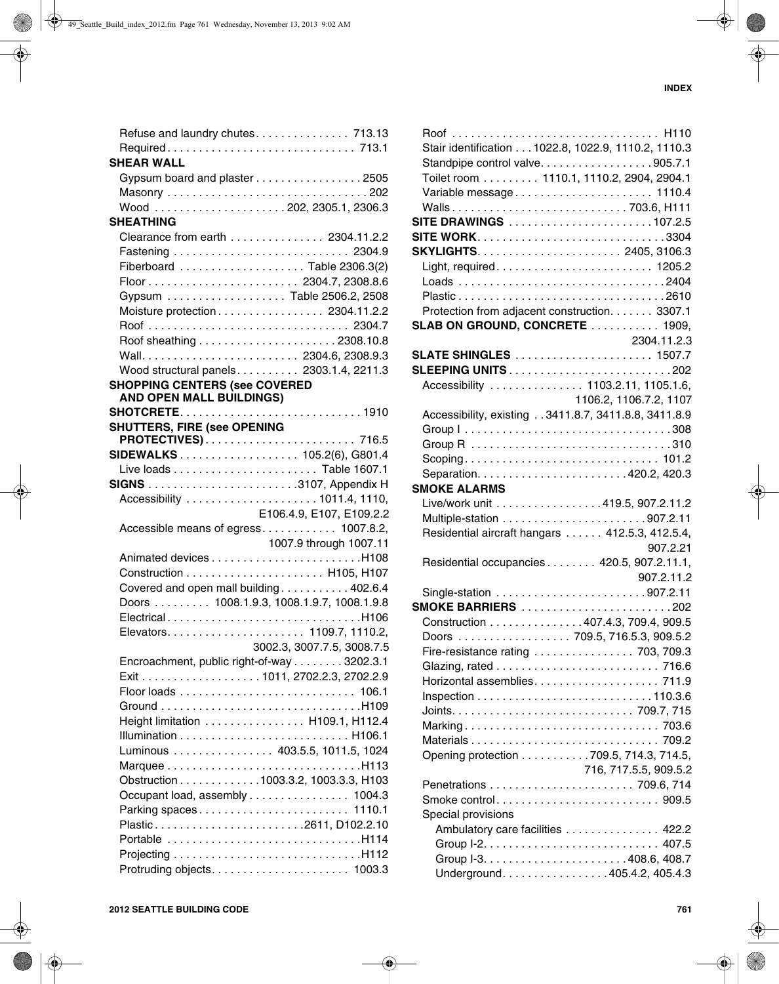| <b>SHEAR WALL</b>                               |
|-------------------------------------------------|
| Gypsum board and plaster 2505                   |
|                                                 |
|                                                 |
| <b>SHEATHING</b>                                |
| Clearance from earth 2304.11.2.2                |
|                                                 |
|                                                 |
|                                                 |
| Gypsum Table 2506.2, 2508                       |
| Moisture protection 2304.11.2.2                 |
|                                                 |
|                                                 |
|                                                 |
| Wood structural panels 2303.1.4, 2211.3         |
| <b>SHOPPING CENTERS (see COVERED</b>            |
| <b>AND OPEN MALL BUILDINGS)</b>                 |
|                                                 |
| <b>SHUTTERS, FIRE (see OPENING</b>              |
|                                                 |
| SIDEWALKS 105.2(6), G801.4                      |
|                                                 |
|                                                 |
|                                                 |
| E106.4.9, E107, E109.2.2                        |
| Accessible means of egress 1007.8.2,            |
| 1007.9 through 1007.11                          |
|                                                 |
|                                                 |
|                                                 |
| Covered and open mall building 402.6.4          |
| Doors  1008.1.9.3, 1008.1.9.7, 1008.1.9.8       |
|                                                 |
|                                                 |
| 3002.3, 3007.7.5, 3008.7.5                      |
|                                                 |
| Encroachment, public right-of-way 3202.3.1      |
|                                                 |
|                                                 |
| Height limitation H109.1, H112.4                |
|                                                 |
|                                                 |
| Luminous  403.5.5, 1011.5, 1024                 |
| Obstruction 1003.3.2, 1003.3.3, H103            |
|                                                 |
| Occupant load, assembly 1004.3                  |
| Parking spaces 1110.1<br>Plastic2611, D102.2.10 |
| Portable H114                                   |
|                                                 |

| Stair identification 1022.8, 1022.9, 1110.2, 1110.3  |                                  |
|------------------------------------------------------|----------------------------------|
| Standpipe control valve905.7.1                       |                                  |
| Toilet room 1110.1, 1110.2, 2904, 2904.1             |                                  |
| Variable message 1110.4                              |                                  |
| Walls703.6, H111                                     |                                  |
| SITE DRAWINGS 107.2.5                                |                                  |
|                                                      |                                  |
|                                                      |                                  |
|                                                      |                                  |
|                                                      |                                  |
|                                                      |                                  |
| Protection from adjacent construction. 3307.1        |                                  |
| SLAB ON GROUND, CONCRETE  1909,                      |                                  |
|                                                      | 2304.11.2.3                      |
|                                                      |                                  |
|                                                      |                                  |
| Accessibility  1103.2.11, 1105.1.6,                  |                                  |
|                                                      | 1106.2, 1106.7.2, 1107           |
| Accessibility, existing 3411.8.7, 3411.8.8, 3411.8.9 |                                  |
|                                                      |                                  |
|                                                      |                                  |
|                                                      |                                  |
|                                                      |                                  |
| <b>SMOKE ALARMS</b>                                  |                                  |
| Live/work unit 419.5, 907.2.11.2                     |                                  |
|                                                      |                                  |
|                                                      |                                  |
| Residential aircraft hangars  412.5.3, 412.5.4,      |                                  |
|                                                      | 907.2.21                         |
| Residential occupancies 420.5, 907.2.11.1,           |                                  |
|                                                      | 907.2.11.2                       |
|                                                      |                                  |
| <b>SMOKE BARRIERS</b> 202                            |                                  |
| Construction 407.4.3, 709.4, 909.5                   |                                  |
| Doors 709.5, 716.5.3, 909.5.2                        |                                  |
| Fire-resistance rating  703, 709.3                   |                                  |
|                                                      |                                  |
|                                                      |                                  |
|                                                      |                                  |
|                                                      |                                  |
|                                                      |                                  |
|                                                      |                                  |
| Opening protection 709.5, 714.3, 714.5,              |                                  |
|                                                      | 716, 717.5.5, 909.5.2            |
|                                                      |                                  |
|                                                      |                                  |
| Special provisions                                   |                                  |
|                                                      | Ambulatory care facilities 422.2 |
|                                                      |                                  |
|                                                      |                                  |
|                                                      | Underground. 405.4.2, 405.4.3    |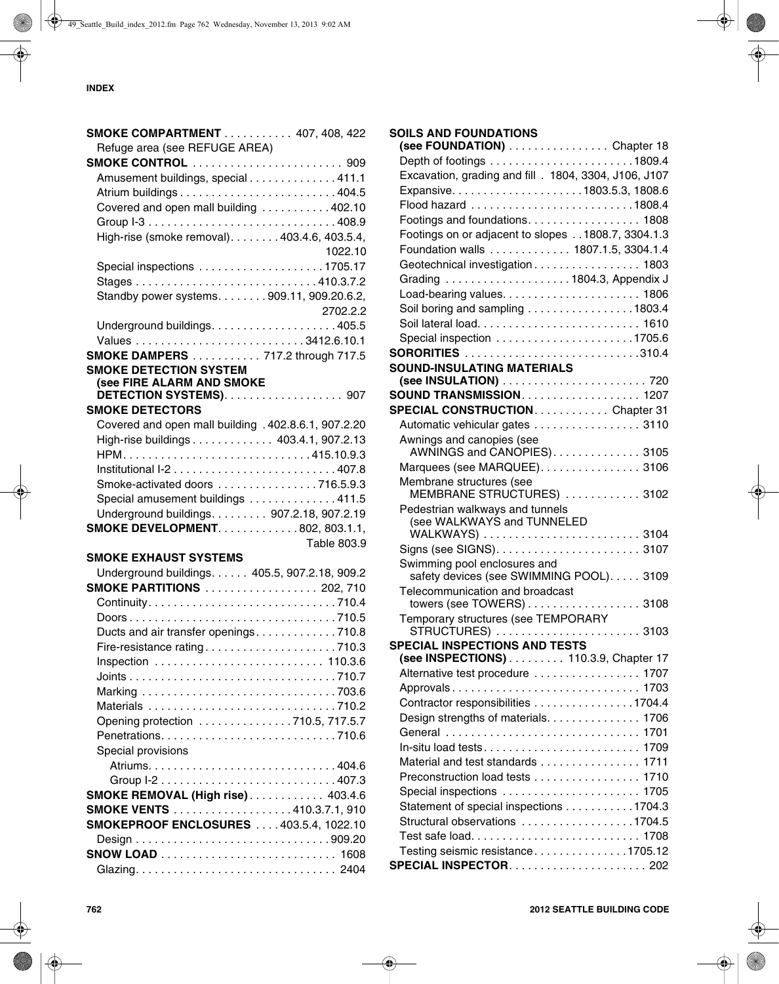| <b>SMOKE COMPARTMENT</b> 407, 408, 422                     |
|------------------------------------------------------------|
| Refuge area (see REFUGE AREA)                              |
| <b>SMOKE CONTROL</b> 909                                   |
| Amusement buildings, special 411.1                         |
| Atrium buildings404.5                                      |
| Covered and open mall building 402.10                      |
|                                                            |
| High-rise (smoke removal). 403.4.6, 403.5.4,               |
| 1022.10                                                    |
| Special inspections 1705.17                                |
|                                                            |
| Standby power systems. 909.11, 909.20.6.2,                 |
| 2702.2.2                                                   |
|                                                            |
|                                                            |
| <b>SMOKE DAMPERS</b> 717.2 through 717.5                   |
| <b>SMOKE DETECTION SYSTEM</b>                              |
| (see FIRE ALARM AND SMOKE<br><b>DETECTION SYSTEMS) 907</b> |
| <b>SMOKE DETECTORS</b>                                     |
| Covered and open mall building . 402.8.6.1, 907.2.20       |
| High-rise buildings 403.4.1, 907.2.13                      |
|                                                            |
|                                                            |
| Smoke-activated doors 716.5.9.3                            |
| Special amusement buildings 411.5                          |
| Underground buildings. 907.2.18, 907.2.19                  |
| <b>SMOKE DEVELOPMENT802, 803.1.1,</b>                      |
| Table 803.9                                                |
| <b>SMOKE EXHAUST SYSTEMS</b>                               |
| Underground buildings. 405.5, 907.2.18, 909.2              |
| <b>SMOKE PARTITIONS</b> 202, 710                           |
|                                                            |
|                                                            |
| Ducts and air transfer openings710.8                       |
| Fire-resistance rating710.3                                |
|                                                            |
|                                                            |
|                                                            |
|                                                            |
| Opening protection 710.5, 717.5.7                          |
|                                                            |
| Special provisions                                         |
|                                                            |
|                                                            |
| <b>SMOKE REMOVAL (High rise) 403.4.6</b>                   |
| <b>SMOKE VENTS</b> 410.3.7.1, 910                          |
| <b>SMOKEPROOF ENCLOSURES</b> 403.5.4, 1022.10              |
|                                                            |
|                                                            |

Glazing. . . . . . . . . . . . . . . . . . . . . . . . . . . . . . . . 2404

**SOILS AND FOUNDATIONS** 

**SOUND-INSULATING MATERIALS**

Awnings and canopies (see

Membrane structures (see

Pedestrian walkways and tunnels (see WALKWAYS and TUNNELED

Swimming pool enclosures and

Telecommunication and broadcast

**SPECIAL INSPECTIONS AND TESTS**

Temporary structures (see TEMPORARY

**(see FOUNDATION)** . . . . . . . . . . . . . . . . Chapter 18 Depth of footings . . . . . . . . . . . . . . . . . . . . . . .1809.4 Excavation, grading and fill . 1804, 3304, J106, J107 Expansive. . . . . . . . . . . . . . . . . . . . .1803.5.3, 1808.6 Flood hazard . . . . . . . . . . . . . . . . . . . . . . . . . .1808.4 Footings and foundations. . . . . . . . . . . . . . . . . . 1808 Footings on or adjacent to slopes . .1808.7, 3304.1.3 Foundation walls . . . . . . . . . . . . . 1807.1.5, 3304.1.4 Geotechnical investigation . . . . . . . . . . . . . . . . . 1803 Grading . . . . . . . . . . . . . . . . . . . . 1804.3, Appendix J Load-bearing values. . . . . . . . . . . . . . . . . . . . . . 1806 Soil boring and sampling . . . . . . . . . . . . . . . . 1803.4 Soil lateral load. . . . . . . . . . . . . . . . . . . . . . . . . . 1610 Special inspection . . . . . . . . . . . . . . . . . . . . . .1705.6 **SORORITIES** . . . . . . . . . . . . . . . . . . . . . . . . . . . .310.4

**(see INSULATION)** . . . . . . . . . . . . . . . . . . . . . . . 720 **SOUND TRANSMISSION**. . . . . . . . . . . . . . . . . . . 1207 **SPECIAL CONSTRUCTION**. . . . . . . . . . . . Chapter 31 Automatic vehicular gates . . . . . . . . . . . . . . . . 3110

AWNINGS and CANOPIES). . . . . . . . . . . . . . 3105 Marquees (see MARQUEE). . . . . . . . . . . . . . . 3106

MEMBRANE STRUCTURES) . . . . . . . . . . . . 3102

WALKWAYS) . . . . . . . . . . . . . . . . . . . . . . . . . 3104 Signs (see SIGNS). . . . . . . . . . . . . . . . . . . . . . . 3107

safety devices (see SWIMMING POOL)..... 3109

towers (see TOWERS) . . . . . . . . . . . . . . . . . . 3108

STRUCTURES) . . . . . . . . . . . . . . . . . . . . . . . 3103

**(see INSPECTIONS)** . . . . . . . . . 110.3.9, Chapter 17 Alternative test procedure . . . . . . . . . . . . . . . . . 1707 Approvals . . . . . . . . . . . . . . . . . . . . . . . . . . . . . . 1703 Contractor responsibilities . . . . . . . . . . . . . . . .1704.4 Design strengths of materials. . . . . . . . . . . . . . 1706 General . . . . . . . . . . . . . . . . . . . . . . . . . . . . . . . 1701 In-situ load tests. . . . . . . . . . . . . . . . . . . . . . . . . 1709 Material and test standards . . . . . . . . . . . . . . . 1711 Preconstruction load tests . . . . . . . . . . . . . . . . 1710 Special inspections . . . . . . . . . . . . . . . . . . . . . . 1705 Statement of special inspections . . . . . . . . . . . 1704.3 Structural observations . . . . . . . . . . . . . . . . . 1704.5 Test safe load. . . . . . . . . . . . . . . . . . . . . . . . . . . 1708 Testing seismic resistance. . . . . . . . . . . . . . .1705.12 **SPECIAL INSPECTOR**. . . . . . . . . . . . . . . . . . . . . . 202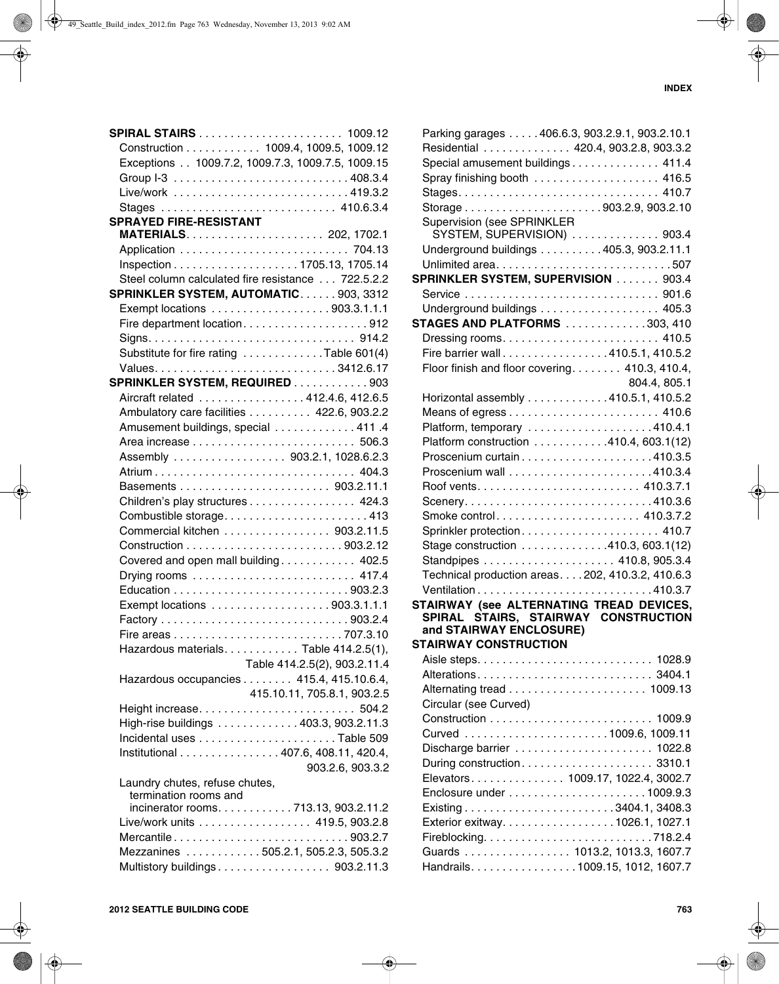|                                | <b>SPIRAL STAIRS</b> 1009.12                      |
|--------------------------------|---------------------------------------------------|
|                                | Construction 1009.4, 1009.5, 1009.12              |
|                                | Exceptions 1009.7.2, 1009.7.3, 1009.7.5, 1009.15  |
|                                |                                                   |
|                                | Live/work 419.3.2                                 |
|                                | Stages  410.6.3.4                                 |
| <b>SPRAYED FIRE-RESISTANT</b>  |                                                   |
|                                |                                                   |
|                                |                                                   |
|                                |                                                   |
|                                | Steel column calculated fire resistance 722.5.2.2 |
|                                | SPRINKLER SYSTEM, AUTOMATIC903, 3312              |
|                                | Exempt locations 903.3.1.1.1                      |
|                                |                                                   |
|                                |                                                   |
|                                | Substitute for fire rating Table 601(4)           |
|                                |                                                   |
|                                | SPRINKLER SYSTEM, REQUIRED 903                    |
|                                | Aircraft related 412.4.6, 412.6.5                 |
|                                | Ambulatory care facilities 422.6, 903.2.2         |
|                                | Amusement buildings, special  411.4               |
|                                |                                                   |
|                                | Assembly 903.2.1, 1028.6.2.3                      |
|                                | Atrium 404.3                                      |
|                                |                                                   |
|                                | Children's play structures 424.3                  |
|                                | Combustible storage413                            |
|                                | Commercial kitchen 903.2.11.5                     |
|                                |                                                   |
|                                | Covered and open mall building 402.5              |
|                                |                                                   |
|                                |                                                   |
|                                | Exempt locations 903.3.1.1.1                      |
|                                |                                                   |
|                                |                                                   |
|                                | Hazardous materials. Table 414.2.5(1),            |
|                                | Table 414.2.5(2), 903.2.11.4                      |
|                                | Hazardous occupancies 415.4, 415.10.6.4,          |
|                                | 415.10.11, 705.8.1, 903.2.5                       |
|                                |                                                   |
|                                | High-rise buildings 403.3, 903.2.11.3             |
|                                |                                                   |
|                                | Institutional 407.6, 408.11, 420.4,               |
|                                | 903.2.6, 903.3.2                                  |
| Laundry chutes, refuse chutes, |                                                   |
| termination rooms and          |                                                   |
|                                | incinerator rooms. 713.13, 903.2.11.2             |
|                                | Live/work units 419.5, 903.2.8                    |
|                                | Mercantile903.2.7                                 |
|                                | Mezzanines 505.2.1, 505.2.3, 505.3.2              |
|                                | Multistory buildings 903.2.11.3                   |

| Parking garages 406.6.3, 903.2.9.1, 903.2.10.1    |                                |
|---------------------------------------------------|--------------------------------|
| Residential  420.4, 903.2.8, 903.3.2              |                                |
| Special amusement buildings 411.4                 |                                |
| Spray finishing booth  416.5                      |                                |
|                                                   |                                |
|                                                   |                                |
| Supervision (see SPRINKLER                        |                                |
| SYSTEM, SUPERVISION)  903.4                       |                                |
| Underground buildings 405.3, 903.2.11.1           |                                |
|                                                   |                                |
| SPRINKLER SYSTEM, SUPERVISION 903.4               |                                |
|                                                   |                                |
| Underground buildings 405.3                       |                                |
| <b>STAGES AND PLATFORMS</b> 303, 410              |                                |
|                                                   |                                |
| Fire barrier wall410.5.1, 410.5.2                 |                                |
| Floor finish and floor covering 410.3, 410.4,     |                                |
|                                                   | 804.4, 805.1                   |
| Horizontal assembly 410.5.1, 410.5.2              |                                |
|                                                   |                                |
| Platform, temporary 410.4.1                       |                                |
| Platform construction 410.4, 603.1(12)            |                                |
|                                                   |                                |
|                                                   |                                |
|                                                   |                                |
|                                                   |                                |
| Smoke control 410.3.7.2                           |                                |
| Sprinkler protection 410.7                        |                                |
| Stage construction 410.3, 603.1(12)               |                                |
|                                                   |                                |
| Technical production areas. 202, 410.3.2, 410.6.3 |                                |
|                                                   |                                |
| STAIRWAY (see ALTERNATING TREAD DEVICES,          |                                |
| SPIRAL STAIRS, STAIRWAY CONSTRUCTION              |                                |
| and STAIRWAY ENCLOSURE)                           |                                |
| <b>STAIRWAY CONSTRUCTION</b>                      |                                |
|                                                   |                                |
| Alterations 3404.1                                |                                |
|                                                   |                                |
| Circular (see Curved)                             |                                |
|                                                   |                                |
|                                                   |                                |
| Discharge barrier  1022.8                         |                                |
|                                                   |                                |
| Elevators 1009.17, 1022.4, 3002.7                 |                                |
|                                                   |                                |
|                                                   |                                |
| Exterior exitway. 1026.1, 1027.1                  |                                |
|                                                   |                                |
|                                                   |                                |
|                                                   | Guards  1013.2, 1013.3, 1607.7 |
| Handrails. 1009.15, 1012, 1607.7                  |                                |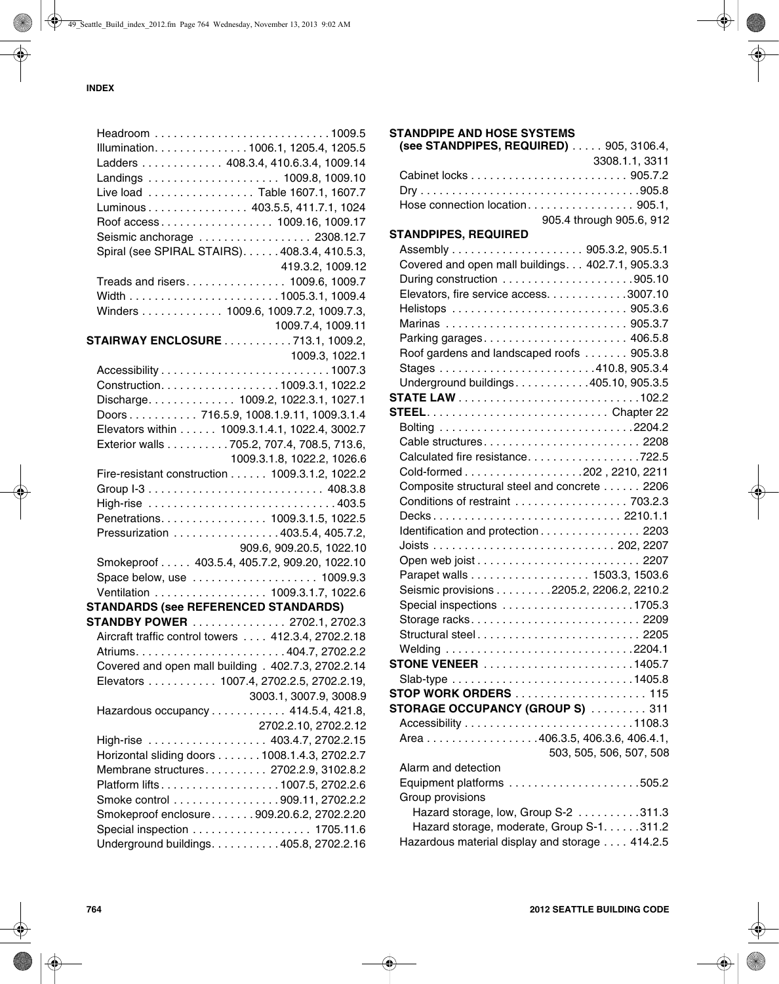| <b>STANDPIPE AND HOSE SYSTEMS</b>                 |                          |
|---------------------------------------------------|--------------------------|
| (see STANDPIPES, REQUIRED) 905, 3106.4,           |                          |
|                                                   | 3308.1.1, 3311           |
|                                                   |                          |
|                                                   |                          |
| Hose connection location 905.1,                   |                          |
|                                                   | 905.4 through 905.6, 912 |
| <b>STANDPIPES, REQUIRED</b>                       |                          |
|                                                   |                          |
| Covered and open mall buildings. 402.7.1, 905.3.3 |                          |
|                                                   |                          |
| Elevators, fire service access. 3007.10           |                          |
|                                                   |                          |
| Marinas  905.3.7                                  |                          |
| Parking garages 406.5.8                           |                          |
| Roof gardens and landscaped roofs 905.3.8         |                          |
|                                                   |                          |
| Underground buildings405.10, 905.3.5              |                          |
|                                                   |                          |
|                                                   |                          |
|                                                   |                          |
| Cable structures2208                              |                          |
| Calculated fire resistance722.5                   |                          |
|                                                   |                          |
| Composite structural steel and concrete 2206      |                          |
| Conditions of restraint  703.2.3                  |                          |
|                                                   |                          |
| Identification and protection 2203                |                          |
|                                                   |                          |
|                                                   |                          |
|                                                   |                          |
| Seismic provisions 2205.2, 2206.2, 2210.2         |                          |
|                                                   |                          |
| Storage racks2209                                 |                          |
| Structural steel2205                              |                          |
|                                                   |                          |
|                                                   |                          |
|                                                   |                          |
| <b>STOP WORK ORDERS</b> 115                       |                          |
| <b>STORAGE OCCUPANCY (GROUP S)</b> 311            |                          |
|                                                   |                          |
| Area 406.3.5, 406.3.6, 406.4.1,                   |                          |
|                                                   | 503, 505, 506, 507, 508  |
| Alarm and detection                               |                          |
|                                                   |                          |
| Group provisions                                  |                          |
| Hazard storage, low, Group S-2 311.3              |                          |
| Hazard storage, moderate, Group S-1. 311.2        |                          |
| Hazardous material display and storage 414.2.5    |                          |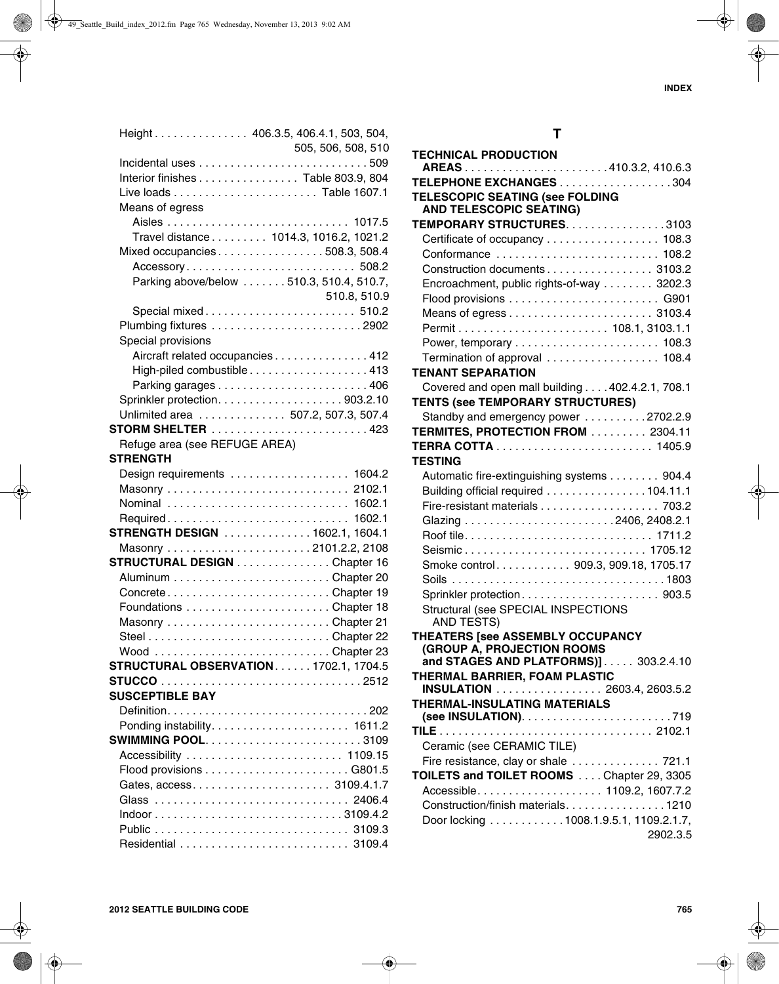| Height 406.3.5, 406.4.1, 503, 504,          |                                          |
|---------------------------------------------|------------------------------------------|
|                                             | 505, 506, 508, 510                       |
|                                             |                                          |
| Interior finishes Table 803.9, 804          |                                          |
|                                             |                                          |
| Means of egress                             |                                          |
|                                             |                                          |
|                                             | Travel distance 1014.3, 1016.2, 1021.2   |
| Mixed occupancies508.3, 508.4               |                                          |
|                                             | Accessory 508.2                          |
|                                             | Parking above/below 510.3, 510.4, 510.7, |
|                                             | 510.8, 510.9                             |
|                                             | Special mixed 510.2                      |
| Plumbing fixtures 2902                      |                                          |
| Special provisions                          |                                          |
|                                             | Aircraft related occupancies 412         |
|                                             | High-piled combustible 413               |
|                                             |                                          |
|                                             |                                          |
| Unlimited area  507.2, 507.3, 507.4         |                                          |
| <b>STORM SHELTER</b> 423                    |                                          |
| Refuge area (see REFUGE AREA)               |                                          |
| <b>STRENGTH</b>                             |                                          |
| Design requirements  1604.2                 |                                          |
|                                             |                                          |
| Nominal  1602.1                             |                                          |
| Required 1602.1                             |                                          |
| <b>STRENGTH DESIGN</b> 1602.1, 1604.1       |                                          |
| STRUCTURAL DESIGN Chapter 16                |                                          |
|                                             |                                          |
| ConcreteChapter 19                          |                                          |
|                                             |                                          |
|                                             |                                          |
|                                             |                                          |
| Wood Chapter 23                             |                                          |
| <b>STRUCTURAL OBSERVATION1702.1, 1704.5</b> |                                          |
|                                             |                                          |
| <b>SUSCEPTIBLE BAY</b>                      |                                          |
|                                             |                                          |
|                                             |                                          |
| <b>SWIMMING POOL3109</b>                    |                                          |
| Accessibility  1109.15                      |                                          |
|                                             |                                          |
| Gates, access 3109.4.1.7                    |                                          |
|                                             |                                          |
|                                             |                                          |
|                                             |                                          |
|                                             |                                          |

# **T**

| <b>TECHNICAL PRODUCTION</b>                     |
|-------------------------------------------------|
| AREAS410.3.2, 410.6.3                           |
| TELEPHONE EXCHANGES 304                         |
| <b>TELESCOPIC SEATING (see FOLDING</b>          |
| <b>AND TELESCOPIC SEATING)</b>                  |
| TEMPORARY STRUCTURES. 3103                      |
| Certificate of occupancy 108.3                  |
| Conformance  108.2                              |
| Construction documents 3103.2                   |
| Encroachment, public rights-of-way 3202.3       |
|                                                 |
|                                                 |
|                                                 |
|                                                 |
| Termination of approval  108.4                  |
| <b>TENANT SEPARATION</b>                        |
| Covered and open mall building 402.4.2.1, 708.1 |
| <b>TENTS (see TEMPORARY STRUCTURES)</b>         |
| Standby and emergency power 2702.2.9            |
| TERMITES, PROTECTION FROM  2304.11              |
|                                                 |
| <b>TESTING</b>                                  |
| Automatic fire-extinguishing systems 904.4      |
| Building official required 104.11.1             |
| Fire-resistant materials 703.2                  |
|                                                 |
|                                                 |
| Seismic 1705.12                                 |
| Smoke control 909.3, 909.18, 1705.17            |
|                                                 |
|                                                 |
| Structural (see SPECIAL INSPECTIONS             |
| AND TESTS)                                      |
| THEATERS [see ASSEMBLY OCCUPANCY                |
| (GROUP A, PROJECTION ROOMS                      |
| and STAGES AND PLATFORMS)] 303.2.4.10           |
| THERMAL BARRIER, FOAM PLASTIC                   |
| INSULATION 2603.4, 2603.5.2                     |
| <b>THERMAL-INSULATING MATERIALS</b>             |
|                                                 |
|                                                 |
| Ceramic (see CERAMIC TILE)                      |
| Fire resistance, clay or shale  721.1           |
| TOILETS and TOILET ROOMS Chapter 29, 3305       |
|                                                 |
| Construction/finish materials1210               |
| Door locking 1008.1.9.5.1, 1109.2.1.7,          |
| 2902.3.5                                        |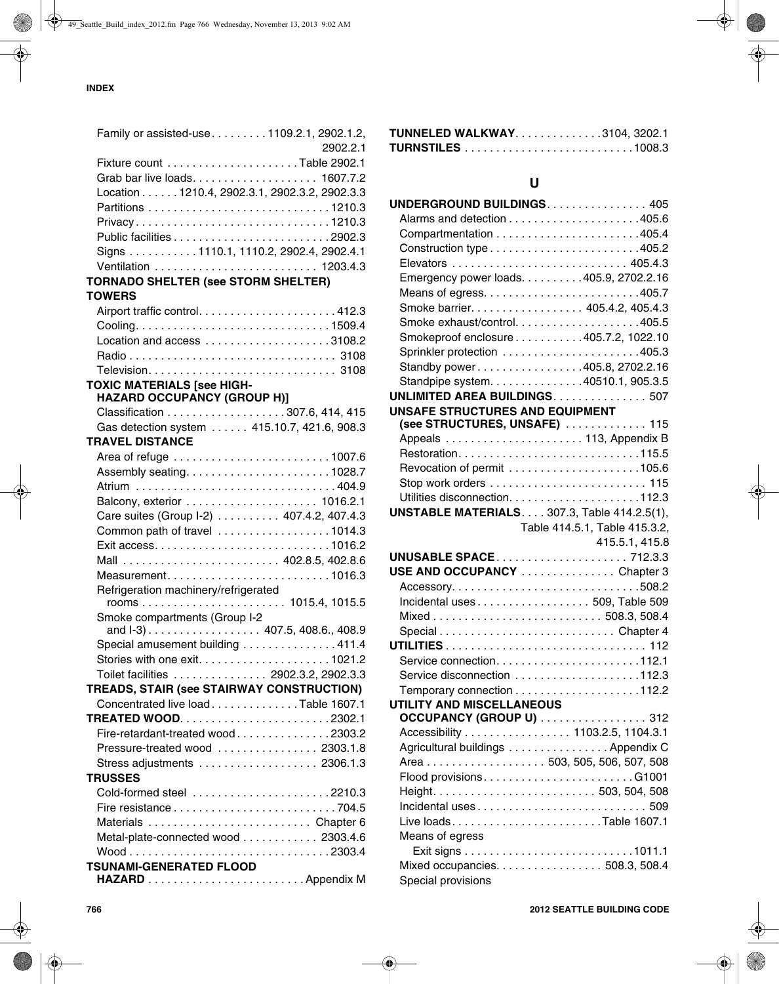| Family or assisted-use1109.2.1, 2902.1.2,     |          |
|-----------------------------------------------|----------|
|                                               | 2902.2.1 |
|                                               |          |
|                                               |          |
| Location 1210.4, 2902.3.1, 2902.3.2, 2902.3.3 |          |
|                                               |          |
| Privacy1210.3                                 |          |
|                                               |          |
| Signs 1110.1, 1110.2, 2902.4, 2902.4.1        |          |
|                                               |          |
| <b>TORNADO SHELTER (see STORM SHELTER)</b>    |          |
| <b>TOWERS</b>                                 |          |
|                                               |          |
|                                               |          |
|                                               |          |
|                                               |          |
|                                               |          |
| <b>TOXIC MATERIALS [see HIGH-</b>             |          |
| <b>HAZARD OCCUPANCY (GROUP H)]</b>            |          |
|                                               |          |
| Gas detection system  415.10.7, 421.6, 908.3  |          |
| <b>TRAVEL DISTANCE</b>                        |          |
|                                               |          |
|                                               |          |
|                                               |          |
|                                               |          |
| Care suites (Group I-2) 407.4.2, 407.4.3      |          |
| Common path of travel 1014.3                  |          |
|                                               |          |
|                                               |          |
|                                               |          |
| Refrigeration machinery/refrigerated          |          |
|                                               |          |
| Smoke compartments (Group I-2                 |          |
| and I-3) 407.5, 408.6., 408.9                 |          |
| Special amusement building 411.4              |          |
|                                               |          |
| Toilet facilities 2902.3.2, 2902.3.3          |          |
| TREADS, STAIR (see STAIRWAY CONSTRUCTION)     |          |
| Concentrated live loadTable 1607.1            |          |
| <b>TREATED WOOD2302.1</b>                     |          |
| Fire-retardant-treated wood2303.2             |          |
| Pressure-treated wood  2303.1.8               |          |
| Stress adjustments 2306.1.3                   |          |
| <b>TRUSSES</b>                                |          |
| Cold-formed steel 2210.3                      |          |
|                                               |          |
| Materials  Chapter 6                          |          |
| Metal-plate-connected wood 2303.4.6           |          |
|                                               |          |
| <b>TSUNAMI-GENERATED FLOOD</b>                |          |
|                                               |          |

| <b>TUNNELED WALKWAY3104, 3202.1</b> |  |
|-------------------------------------|--|
|                                     |  |

# **U**

| UNDERGROUND BUILDINGS. 405                                  |                               |
|-------------------------------------------------------------|-------------------------------|
|                                                             |                               |
|                                                             |                               |
| Construction type405.2                                      |                               |
|                                                             |                               |
| Emergency power loads. 405.9, 2702.2.16                     |                               |
|                                                             |                               |
| Smoke barrier. 405.4.2, 405.4.3                             |                               |
|                                                             |                               |
| Smokeproof enclosure 405.7.2, 1022.10                       |                               |
|                                                             |                               |
| Standby power405.8, 2702.2.16                               |                               |
| Standpipe system. 40510.1, 905.3.5                          |                               |
| UNLIMITED AREA BUILDINGS. 507                               |                               |
| UNSAFE STRUCTURES AND EQUIPMENT                             |                               |
| (see STRUCTURES, UNSAFE)  115                               |                               |
|                                                             |                               |
|                                                             |                               |
|                                                             |                               |
|                                                             |                               |
|                                                             |                               |
| <b>UNSTABLE MATERIALS 307.3, Table 414.2.5(1),</b>          |                               |
|                                                             | Table 414.5.1, Table 415.3.2, |
|                                                             | 415.5.1, 415.8                |
|                                                             |                               |
| USE AND OCCUPANCY Chapter 3                                 |                               |
|                                                             |                               |
| Incidental uses 509, Table 509                              |                               |
|                                                             |                               |
|                                                             |                               |
|                                                             |                               |
|                                                             |                               |
| Service disconnection 112.3                                 |                               |
|                                                             |                               |
| UTILITY AND MISCELLANEOUS                                   |                               |
| OCCUPANCY (GROUP U) 312<br>Accessibility 1103.2.5, 1104.3.1 |                               |
|                                                             |                               |
| Agricultural buildings Appendix C                           |                               |
| Area 503, 505, 506, 507, 508                                |                               |
|                                                             |                               |
|                                                             |                               |
|                                                             |                               |
| Live loadsTable 1607.1                                      |                               |
| Means of egress                                             |                               |
|                                                             |                               |
| Mixed occupancies. 508.3, 508.4<br>Special provisions       |                               |
|                                                             |                               |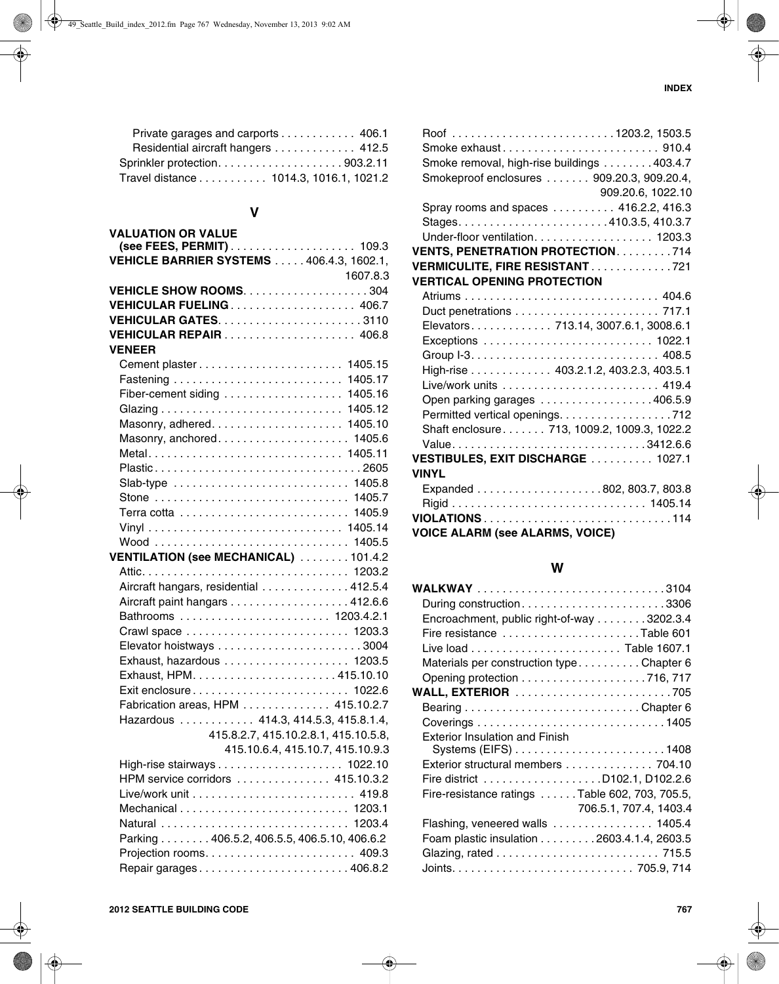| Private garages and carports 406.1     |  |
|----------------------------------------|--|
| Residential aircraft hangers  412.5    |  |
| Sprinkler protection903.2.11           |  |
| Travel distance 1014.3, 1016.1, 1021.2 |  |

# **V**

| <b>VALUATION OR VALUE</b>                        |
|--------------------------------------------------|
|                                                  |
| <b>VEHICLE BARRIER SYSTEMS  406.4.3, 1602.1,</b> |
| 1607.8.3                                         |
|                                                  |
|                                                  |
|                                                  |
|                                                  |
| <b>VENEER</b>                                    |
|                                                  |
|                                                  |
| Fiber-cement siding  1405.16                     |
|                                                  |
|                                                  |
| Masonry, anchored 1405.6                         |
| Metal 1405.11                                    |
| Plastic2605                                      |
| Slab-type  1405.8                                |
|                                                  |
|                                                  |
|                                                  |
|                                                  |
| VENTILATION (see MECHANICAL) 101.4.2             |
|                                                  |
| Aircraft hangars, residential 412.5.4            |
| Aircraft paint hangars 412.6.6                   |
| Bathrooms  1203.4.2.1                            |
|                                                  |
|                                                  |
|                                                  |
|                                                  |
| Exit enclosure 1022.6                            |
| Fabrication areas, HPM 415.10.2.7                |
| Hazardous  414.3, 414.5.3, 415.8.1.4,            |
| 415.8.2.7, 415.10.2.8.1, 415.10.5.8,             |
| 415.10.6.4, 415.10.7, 415.10.9.3                 |
|                                                  |
| HPM service corridors  415.10.3.2                |
|                                                  |
|                                                  |
|                                                  |
| Parking 406.5.2, 406.5.5, 406.5.10, 406.6.2      |
|                                                  |
| Repair garages406.8.2                            |

| Smoke exhaust 910.4<br>Smoke removal, high-rise buildings 403.4.7<br>Smokeproof enclosures 909.20.3, 909.20.4,<br>909.20.6, 1022.10 |
|-------------------------------------------------------------------------------------------------------------------------------------|
| Spray rooms and spaces 416.2.2, 416.3                                                                                               |
|                                                                                                                                     |
| Under-floor ventilation. 1203.3                                                                                                     |
| <b>VENTS, PENETRATION PROTECTION714</b>                                                                                             |
| VERMICULITE, FIRE RESISTANT721                                                                                                      |
| <b>VERTICAL OPENING PROTECTION</b>                                                                                                  |
|                                                                                                                                     |
|                                                                                                                                     |
| Elevators 713.14, 3007.6.1, 3008.6.1                                                                                                |
| Exceptions  1022.1                                                                                                                  |
|                                                                                                                                     |
| High-rise 403.2.1.2, 403.2.3, 403.5.1                                                                                               |
|                                                                                                                                     |
| Open parking garages 406.5.9                                                                                                        |
| Permitted vertical openings. 712                                                                                                    |
| Shaft enclosure 713, 1009.2, 1009.3, 1022.2                                                                                         |
| Value3412.6.6                                                                                                                       |
| VESTIBULES, EXIT DISCHARGE  1027.1                                                                                                  |
| <b>VINYL</b>                                                                                                                        |
|                                                                                                                                     |
|                                                                                                                                     |
| <b>VIOLATIONS</b> 114                                                                                                               |
| <b>VOICE ALARM (see ALARMS, VOICE)</b>                                                                                              |

## **W**

| During construction3306                        |
|------------------------------------------------|
| Encroachment, public right-of-way 3202.3.4     |
| Fire resistance Table 601                      |
|                                                |
| Materials per construction typeChapter 6       |
|                                                |
|                                                |
|                                                |
|                                                |
|                                                |
| Exterior structural members 704.10             |
|                                                |
| Fire-resistance ratings Table 602, 703, 705.5, |
| 706.5.1, 707.4, 1403.4                         |
| Flashing, veneered walls  1405.4               |
| Foam plastic insulation 2603.4.1.4, 2603.5     |
|                                                |
|                                                |
|                                                |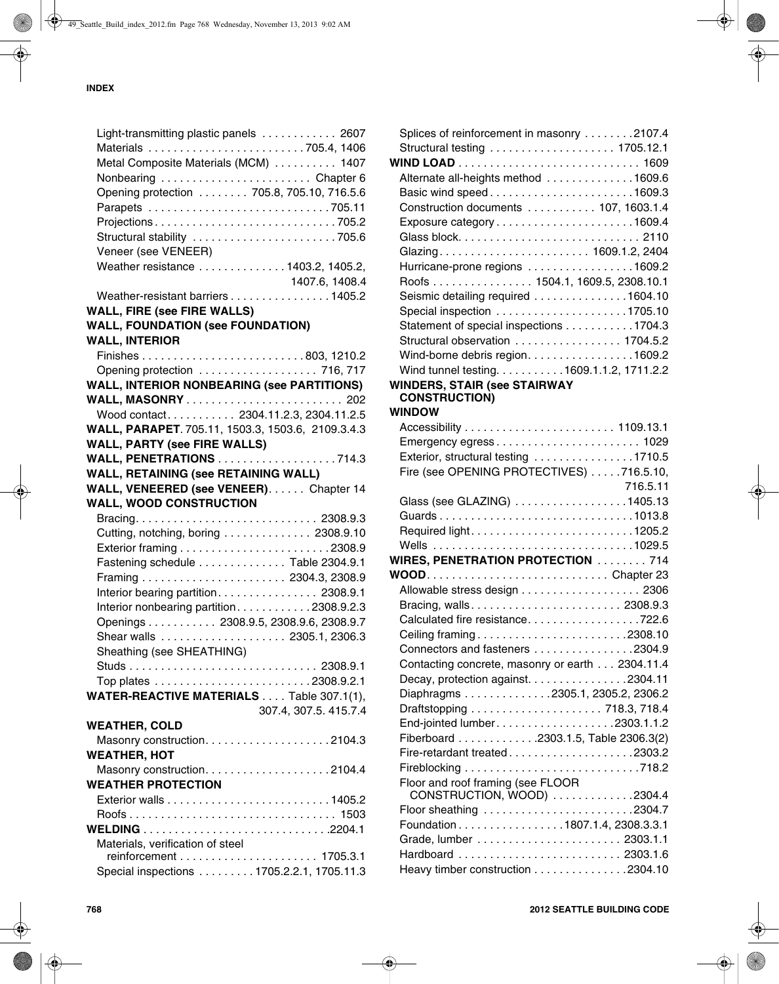| Light-transmitting plastic panels  2607           |
|---------------------------------------------------|
| Materials 705.4, 1406                             |
| Metal Composite Materials (MCM)  1407             |
| Nonbearing Chapter 6                              |
| Opening protection  705.8, 705.10, 716.5.6        |
|                                                   |
| Projections705.2                                  |
| Structural stability 705.6                        |
| Veneer (see VENEER)                               |
| Weather resistance 1403.2, 1405.2,                |
| 1407.6, 1408.4                                    |
| Weather-resistant barriers 1405.2                 |
| <b>WALL, FIRE (see FIRE WALLS)</b>                |
| <b>WALL, FOUNDATION (see FOUNDATION)</b>          |
| <b>WALL, INTERIOR</b>                             |
|                                                   |
| Opening protection  716, 717                      |
| <b>WALL, INTERIOR NONBEARING (see PARTITIONS)</b> |
|                                                   |
| Wood contact 2304.11.2.3, 2304.11.2.5             |
| WALL, PARAPET. 705.11, 1503.3, 1503.6, 2109.3.4.3 |
| <b>WALL, PARTY (see FIRE WALLS)</b>               |
| <b>WALL, PENETRATIONS</b> 714.3                   |
| <b>WALL, RETAINING (see RETAINING WALL)</b>       |
| WALL, VENEERED (see VENEER). Chapter 14           |
|                                                   |
|                                                   |
| <b>WALL, WOOD CONSTRUCTION</b>                    |
|                                                   |
| Cutting, notching, boring 2308.9.10               |
|                                                   |
| Fastening schedule Table 2304.9.1                 |
|                                                   |
| Interior bearing partition. 2308.9.1              |
| Interior nonbearing partition2308.9.2.3           |
| Openings 2308.9.5, 2308.9.6, 2308.9.7             |
|                                                   |
| Sheathing (see SHEATHING)                         |
|                                                   |
|                                                   |
| WATER-REACTIVE MATERIALS Table 307.1(1),          |
| 307.4, 307.5. 415.7.4                             |
| <b>WEATHER, COLD</b>                              |
|                                                   |
| <b>WEATHER, HOT</b>                               |
|                                                   |
| <b>WEATHER PROTECTION</b>                         |
|                                                   |
|                                                   |
|                                                   |
| Materials, verification of steel                  |
| Special inspections 1705.2.2.1, 1705.11.3         |

| Splices of reinforcement in masonry 2107.4      |          |
|-------------------------------------------------|----------|
|                                                 |          |
|                                                 |          |
| Alternate all-heights method 1609.6             |          |
| Basic wind speed1609.3                          |          |
| Construction documents  107, 1603.1.4           |          |
| Exposure category1609.4                         |          |
|                                                 |          |
|                                                 |          |
| Hurricane-prone regions 1609.2                  |          |
| Roofs 1504.1, 1609.5, 2308.10.1                 |          |
| Seismic detailing required 1604.10              |          |
|                                                 |          |
| Statement of special inspections 1704.3         |          |
| Structural observation 1704.5.2                 |          |
| Wind-borne debris region. 1609.2                |          |
| Wind tunnel testing. 1609.1.1.2, 1711.2.2       |          |
| <b>WINDERS, STAIR (see STAIRWAY</b>             |          |
| <b>CONSTRUCTION)</b>                            |          |
| <b>WINDOW</b>                                   |          |
|                                                 |          |
|                                                 |          |
| Emergency egress 1029                           |          |
| Exterior, structural testing 1710.5             |          |
| Fire (see OPENING PROTECTIVES) 716.5.10,        |          |
|                                                 | 716.5.11 |
| Glass (see GLAZING) 1405.13                     |          |
| Guards1013.8                                    |          |
|                                                 |          |
|                                                 |          |
| <b>WIRES, PENETRATION PROTECTION  714</b>       |          |
|                                                 |          |
| Allowable stress design 2306                    |          |
|                                                 |          |
| Calculated fire resistance722.6                 |          |
| Ceiling framing2308.10                          |          |
| Connectors and fasteners 2304.9                 |          |
| Contacting concrete, masonry or earth 2304.11.4 |          |
| Decay, protection against. 2304.11              |          |
| Diaphragms 2305.1, 2305.2, 2306.2               |          |
|                                                 |          |
| End-jointed lumber2303.1.1.2                    |          |
| Fiberboard 2303.1.5, Table 2306.3(2)            |          |
| Fire-retardant treated2303.2                    |          |
|                                                 |          |
| Floor and roof framing (see FLOOR               |          |
| CONSTRUCTION, WOOD) 2304.4                      |          |
| Floor sheathing 2304.7                          |          |
| Foundation1807.1.4, 2308.3.3.1                  |          |
|                                                 |          |
|                                                 |          |
| Heavy timber construction 2304.10               |          |